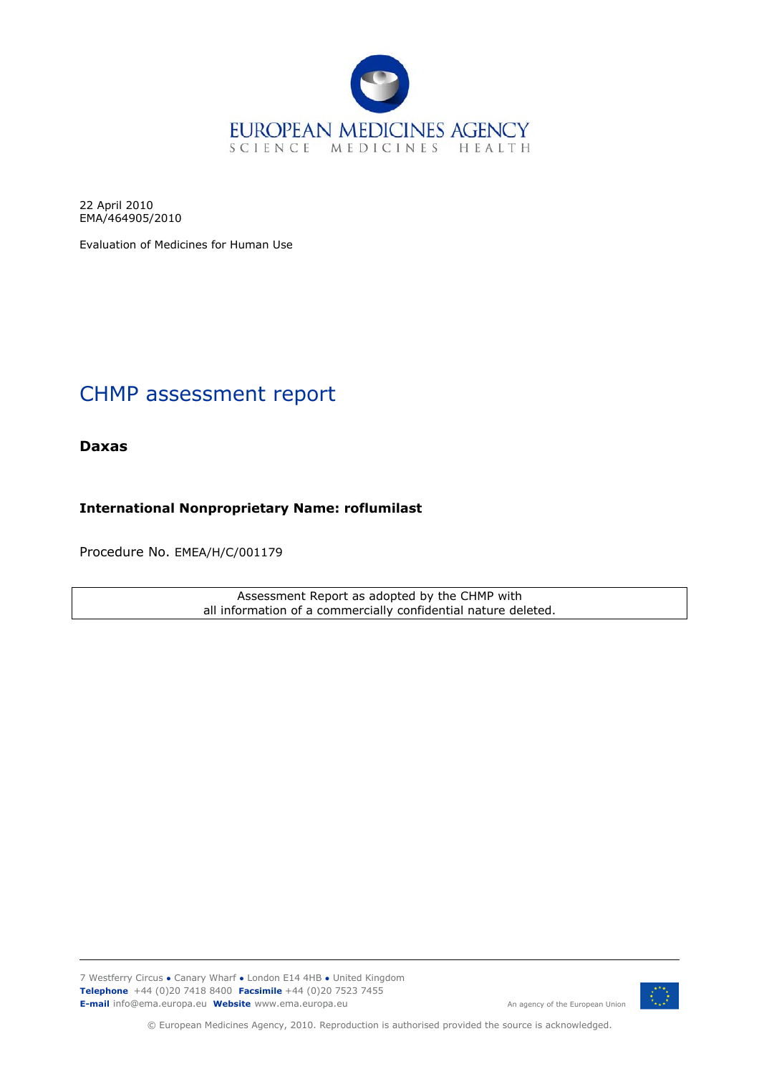

22 April 2010 EMA/464905/2010

Evaluation of Medicines for Human Use

# CHMP assessment report

**Daxas** 

**International Nonproprietary Name: roflumilast**

Procedure No. EMEA/H/C/001179

Assessment Report as adopted by the CHMP with all information of a commercially confidential nature deleted.

7 Westferry Circus **●** Canary Wharf **●** London E14 4HB **●** United Kingdom **Telephone** +44 (0)20 7418 8400 **Facsimile** +44 (0)20 7523 7455 **E-mail** info@ema.europa.eu **Website** www.ema.europa.eu An agency of the European Union

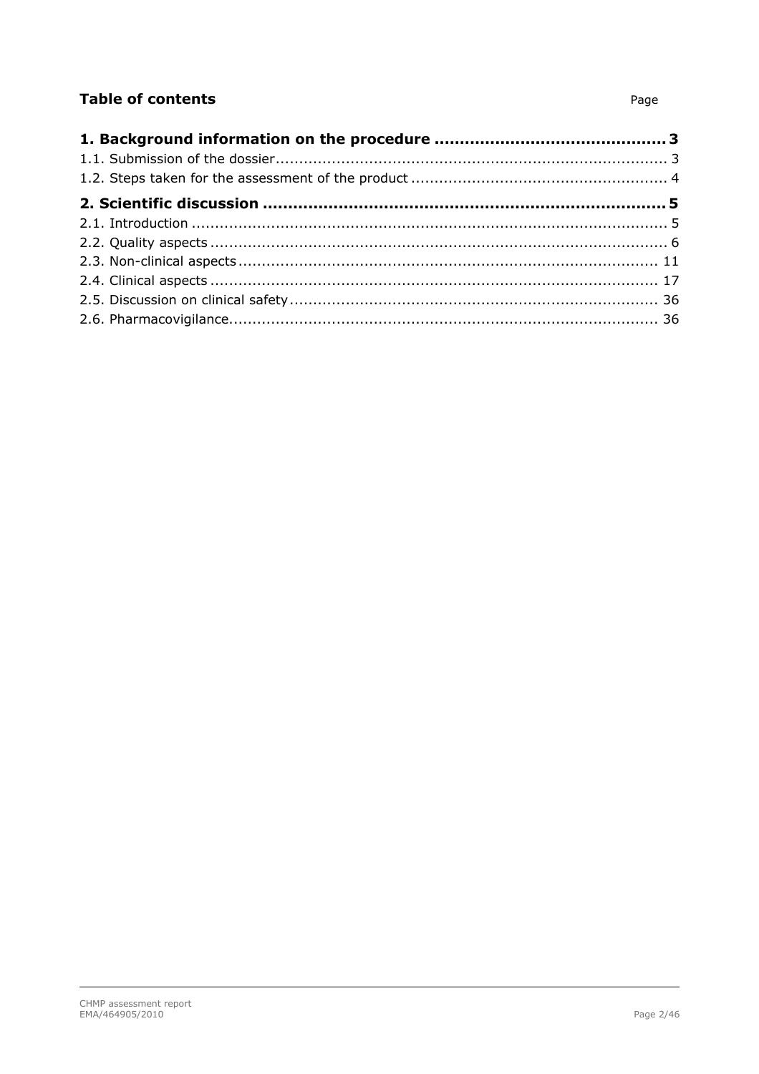# **Table of contents**

#### Page 2/46

#### Page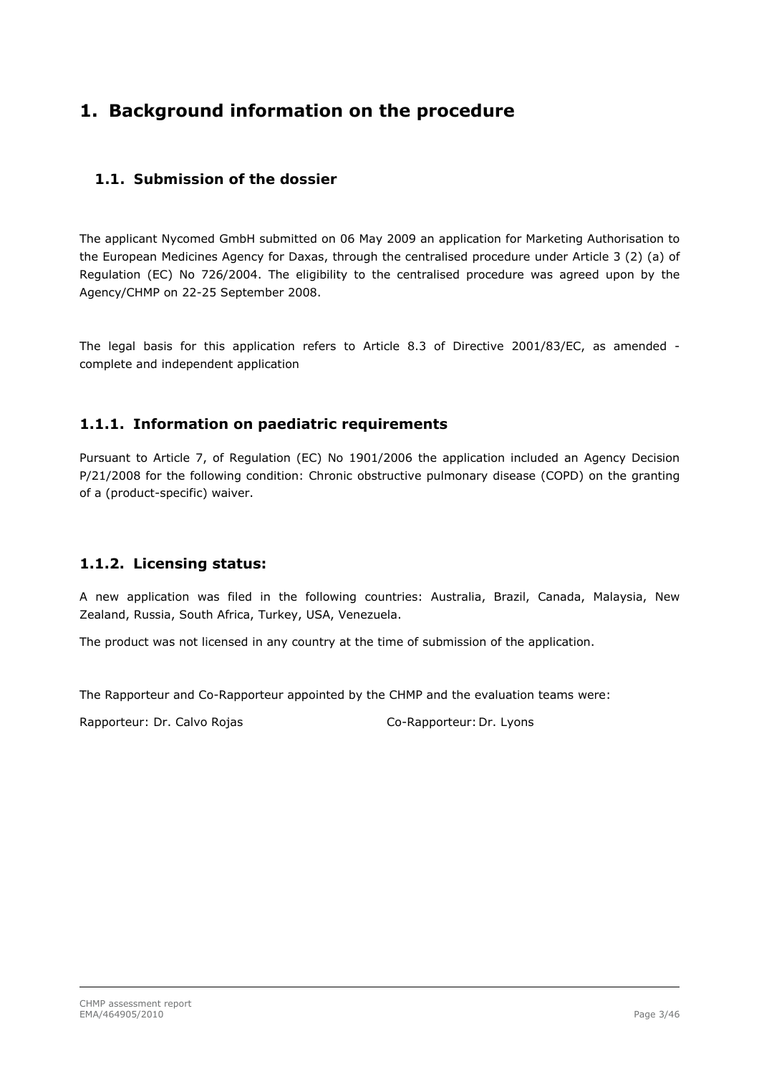# <span id="page-2-0"></span>**1. Background information on the procedure**

### *1.1. Submission of the dossier*

<span id="page-2-1"></span>The applicant Nycomed GmbH submitted on 06 May 2009 an application for Marketing Authorisation to the European Medicines Agency for Daxas, through the centralised procedure under Article 3 (2) (a) of Regulation (EC) No 726/2004. The eligibility to the centralised procedure was agreed upon by the Agency/CHMP on 22-25 September 2008.

The legal basis for this application refers to Article 8.3 of Directive 2001/83/EC, as amended complete and independent application

### **1.1.1. Information on paediatric requirements**

Pursuant to Article 7, of Regulation (EC) No 1901/2006 the application included an Agency Decision P/21/2008 for the following condition: Chronic obstructive pulmonary disease (COPD) on the granting of a (product-specific) waiver.

### **1.1.2. Licensing status:**

A new application was filed in the following countries: Australia, Brazil, Canada, Malaysia, New Zealand, Russia, South Africa, Turkey, USA, Venezuela.

The product was not licensed in any country at the time of submission of the application.

The Rapporteur and Co-Rapporteur appointed by the CHMP and the evaluation teams were:

Rapporteur: Dr. Calvo Rojas Co-Rapporteur: Dr. Lyons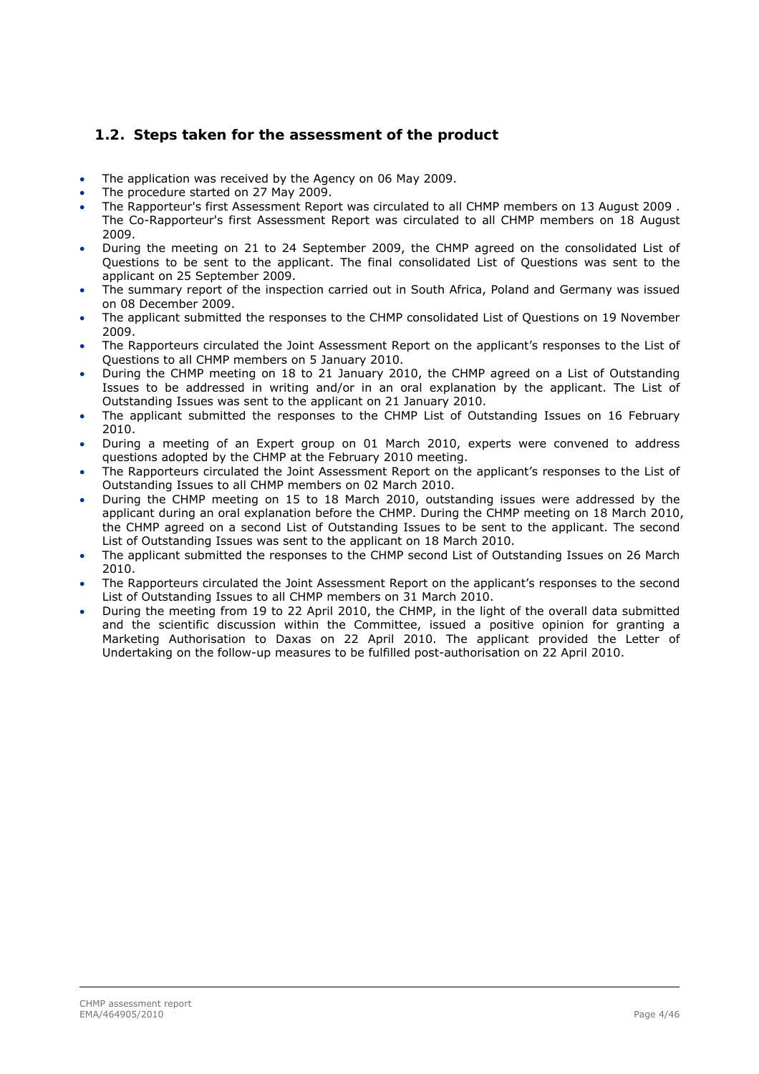### *1.2. Steps taken for the assessment of the product*

- <span id="page-3-0"></span>The application was received by the Agency on 06 May 2009.
- The procedure started on 27 May 2009.
- The Rapporteur's first Assessment Report was circulated to all CHMP members on 13 August 2009 . The Co-Rapporteur's first Assessment Report was circulated to all CHMP members on 18 August 2009.
- During the meeting on 21 to 24 September 2009, the CHMP agreed on the consolidated List of Questions to be sent to the applicant. The final consolidated List of Questions was sent to the applicant on 25 September 2009.
- The summary report of the inspection carried out in South Africa, Poland and Germany was issued on 08 December 2009.
- The applicant submitted the responses to the CHMP consolidated List of Questions on 19 November 2009.
- The Rapporteurs circulated the Joint Assessment Report on the applicant's responses to the List of Questions to all CHMP members on 5 January 2010.
- During the CHMP meeting on 18 to 21 January 2010, the CHMP agreed on a List of Outstanding Issues to be addressed in writing and/or in an oral explanation by the applicant. The List of Outstanding Issues was sent to the applicant on 21 January 2010.
- The applicant submitted the responses to the CHMP List of Outstanding Issues on 16 February 2010.
- During a meeting of an Expert group on 01 March 2010, experts were convened to address questions adopted by the CHMP at the February 2010 meeting.
- The Rapporteurs circulated the Joint Assessment Report on the applicant's responses to the List of Outstanding Issues to all CHMP members on 02 March 2010.
- During the CHMP meeting on 15 to 18 March 2010, outstanding issues were addressed by the applicant during an oral explanation before the CHMP. During the CHMP meeting on 18 March 2010, the CHMP agreed on a second List of Outstanding Issues to be sent to the applicant. The second List of Outstanding Issues was sent to the applicant on 18 March 2010.
- The applicant submitted the responses to the CHMP second List of Outstanding Issues on 26 March 2010.
- The Rapporteurs circulated the Joint Assessment Report on the applicant's responses to the second List of Outstanding Issues to all CHMP members on 31 March 2010.
- During the meeting from 19 to 22 April 2010, the CHMP, in the light of the overall data submitted and the scientific discussion within the Committee, issued a positive opinion for granting a Marketing Authorisation to Daxas on 22 April 2010. The applicant provided the Letter of Undertaking on the follow-up measures to be fulfilled post-authorisation on 22 April 2010.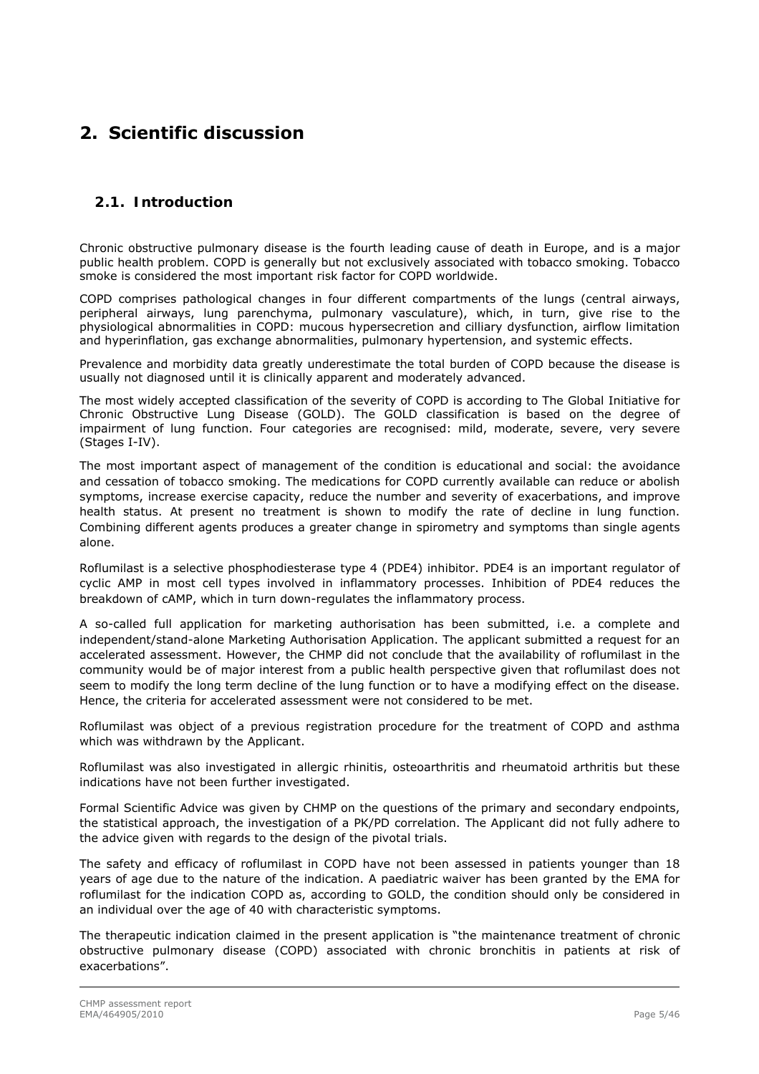# <span id="page-4-0"></span>**2. Scientific discussion**

### *2.1. Introduction*

<span id="page-4-1"></span>Chronic obstructive pulmonary disease is the fourth leading cause of death in Europe, and is a major public health problem. COPD is generally but not exclusively associated with tobacco smoking. Tobacco smoke is considered the most important risk factor for COPD worldwide.

COPD comprises pathological changes in four different compartments of the lungs (central airways, peripheral airways, lung parenchyma, pulmonary vasculature), which, in turn, give rise to the physiological abnormalities in COPD: mucous hypersecretion and cilliary dysfunction, airflow limitation and hyperinflation, gas exchange abnormalities, pulmonary hypertension, and systemic effects.

Prevalence and morbidity data greatly underestimate the total burden of COPD because the disease is usually not diagnosed until it is clinically apparent and moderately advanced.

The most widely accepted classification of the severity of COPD is according to The Global Initiative for Chronic Obstructive Lung Disease (GOLD). The GOLD classification is based on the degree of impairment of lung function. Four categories are recognised: mild, moderate, severe, very severe (Stages I-IV).

The most important aspect of management of the condition is educational and social: the avoidance and cessation of tobacco smoking. The medications for COPD currently available can reduce or abolish symptoms, increase exercise capacity, reduce the number and severity of exacerbations, and improve health status. At present no treatment is shown to modify the rate of decline in lung function. Combining different agents produces a greater change in spirometry and symptoms than single agents alone.

Roflumilast is a selective phosphodiesterase type 4 (PDE4) inhibitor. PDE4 is an important regulator of cyclic AMP in most cell types involved in inflammatory processes. Inhibition of PDE4 reduces the breakdown of cAMP, which in turn down-regulates the inflammatory process.

A so-called full application for marketing authorisation has been submitted, i.e. a complete and independent/stand-alone Marketing Authorisation Application. The applicant submitted a request for an accelerated assessment. However, the CHMP did not conclude that the availability of roflumilast in the community would be of major interest from a public health perspective given that roflumilast does not seem to modify the long term decline of the lung function or to have a modifying effect on the disease. Hence, the criteria for accelerated assessment were not considered to be met.

Roflumilast was object of a previous registration procedure for the treatment of COPD and asthma which was withdrawn by the Applicant.

Roflumilast was also investigated in allergic rhinitis, osteoarthritis and rheumatoid arthritis but these indications have not been further investigated.

Formal Scientific Advice was given by CHMP on the questions of the primary and secondary endpoints, the statistical approach, the investigation of a PK/PD correlation. The Applicant did not fully adhere to the advice given with regards to the design of the pivotal trials.

The safety and efficacy of roflumilast in COPD have not been assessed in patients younger than 18 years of age due to the nature of the indication. A paediatric waiver has been granted by the EMA for roflumilast for the indication COPD as, according to GOLD, the condition should only be considered in an individual over the age of 40 with characteristic symptoms.

The therapeutic indication claimed in the present application is "the maintenance treatment of chronic obstructive pulmonary disease (COPD) associated with chronic bronchitis in patients at risk of exacerbations".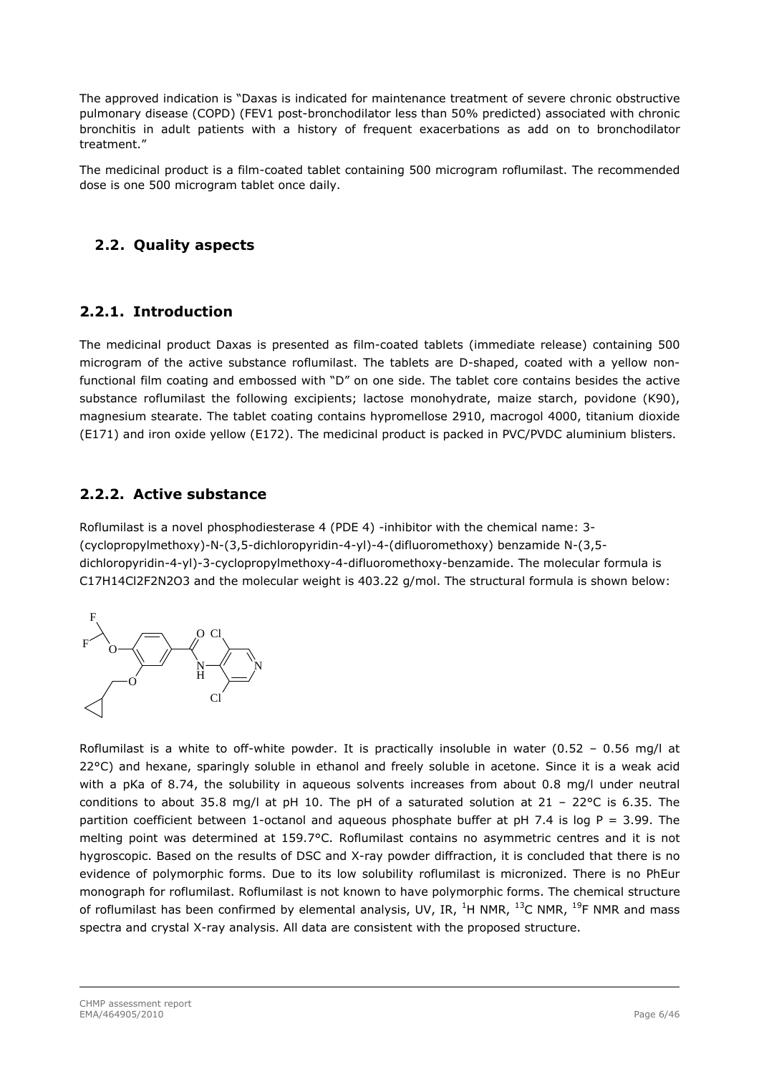The approved indication is "Daxas is indicated for maintenance treatment of severe chronic obstructive pulmonary disease (COPD) (FEV1 post-bronchodilator less than 50% predicted) associated with chronic bronchitis in adult patients with a history of frequent exacerbations as add on to bronchodilator treatment."

The medicinal product is a film-coated tablet containing 500 microgram roflumilast. The recommended dose is one 500 microgram tablet once daily.

### <span id="page-5-0"></span>*2.2. Quality aspects*

### **2.2.1. Introduction**

The medicinal product Daxas is presented as film-coated tablets (immediate release) containing 500 microgram of the active substance roflumilast. The tablets are D-shaped, coated with a yellow nonfunctional film coating and embossed with "D" on one side. The tablet core contains besides the active substance roflumilast the following excipients; lactose monohydrate, maize starch, povidone (K90), magnesium stearate. The tablet coating contains hypromellose 2910, macrogol 4000, titanium dioxide (E171) and iron oxide yellow (E172). The medicinal product is packed in PVC/PVDC aluminium blisters.

### **2.2.2. Active substance**

Roflumilast is a novel phosphodiesterase 4 (PDE 4) -inhibitor with the chemical name: 3- (cyclopropylmethoxy)-N-(3,5-dichloropyridin-4-yl)-4-(difluoromethoxy) benzamide N-(3,5 dichloropyridin-4-yl)-3-cyclopropylmethoxy-4-difluoromethoxy-benzamide. The molecular formula is C17H14Cl2F2N2O3 and the molecular weight is 403.22 g/mol. The structural formula is shown below:



Roflumilast is a white to off-white powder. It is practically insoluble in water (0.52 – 0.56 mg/l at 22°C) and hexane, sparingly soluble in ethanol and freely soluble in acetone. Since it is a weak acid with a pKa of 8.74, the solubility in aqueous solvents increases from about 0.8 mg/l under neutral conditions to about 35.8 mg/l at pH 10. The pH of a saturated solution at 21 – 22°C is 6.35. The partition coefficient between 1-octanol and aqueous phosphate buffer at pH 7.4 is log P = 3.99. The melting point was determined at 159.7°C. Roflumilast contains no asymmetric centres and it is not hygroscopic. Based on the results of DSC and X-ray powder diffraction, it is concluded that there is no evidence of polymorphic forms. Due to its low solubility roflumilast is micronized. There is no PhEur monograph for roflumilast. Roflumilast is not known to have polymorphic forms. The chemical structure of roflumilast has been confirmed by elemental analysis, UV, IR,  $^{1}$ H NMR,  $^{13}$ C NMR,  $^{19}$ F NMR and mass spectra and crystal X-ray analysis. All data are consistent with the proposed structure.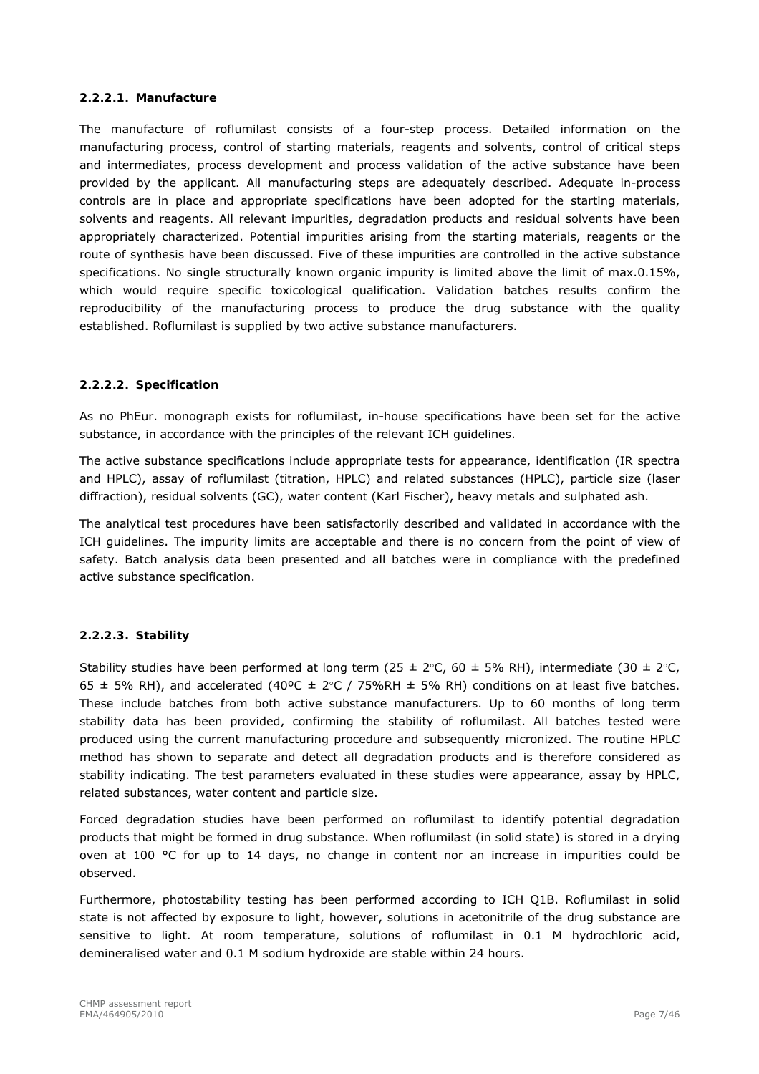### *2.2.2.1. Manufacture*

The manufacture of roflumilast consists of a four-step process. Detailed information on the manufacturing process, control of starting materials, reagents and solvents, control of critical steps and intermediates, process development and process validation of the active substance have been provided by the applicant. All manufacturing steps are adequately described. Adequate in-process controls are in place and appropriate specifications have been adopted for the starting materials, solvents and reagents. All relevant impurities, degradation products and residual solvents have been appropriately characterized. Potential impurities arising from the starting materials, reagents or the route of synthesis have been discussed. Five of these impurities are controlled in the active substance specifications. No single structurally known organic impurity is limited above the limit of max.0.15%, which would require specific toxicological qualification. Validation batches results confirm the reproducibility of the manufacturing process to produce the drug substance with the quality established. Roflumilast is supplied by two active substance manufacturers.

### *2.2.2.2. Specification*

As no PhEur. monograph exists for roflumilast, in-house specifications have been set for the active substance, in accordance with the principles of the relevant ICH guidelines.

The active substance specifications include appropriate tests for appearance, identification (IR spectra and HPLC), assay of roflumilast (titration, HPLC) and related substances (HPLC), particle size (laser diffraction), residual solvents (GC), water content (Karl Fischer), heavy metals and sulphated ash.

The analytical test procedures have been satisfactorily described and validated in accordance with the ICH guidelines. The impurity limits are acceptable and there is no concern from the point of view of safety. Batch analysis data been presented and all batches were in compliance with the predefined active substance specification.

### *2.2.2.3. Stability*

Stability studies have been performed at long term (25  $\pm$  2°C, 60  $\pm$  5% RH), intermediate (30  $\pm$  2°C, 65  $\pm$  5% RH), and accelerated (40°C  $\pm$  2°C / 75%RH  $\pm$  5% RH) conditions on at least five batches. These include batches from both active substance manufacturers. Up to 60 months of long term stability data has been provided, confirming the stability of roflumilast. All batches tested were produced using the current manufacturing procedure and subsequently micronized. The routine HPLC method has shown to separate and detect all degradation products and is therefore considered as stability indicating. The test parameters evaluated in these studies were appearance, assay by HPLC, related substances, water content and particle size.

Forced degradation studies have been performed on roflumilast to identify potential degradation products that might be formed in drug substance. When roflumilast (in solid state) is stored in a drying oven at 100  $\degree$ C for up to 14 days, no change in content nor an increase in impurities could be observed.

Furthermore, photostability testing has been performed according to ICH Q1B. Roflumilast in solid state is not affected by exposure to light, however, solutions in acetonitrile of the drug substance are sensitive to light. At room temperature, solutions of roflumilast in 0.1 M hydrochloric acid, demineralised water and 0.1 M sodium hydroxide are stable within 24 hours.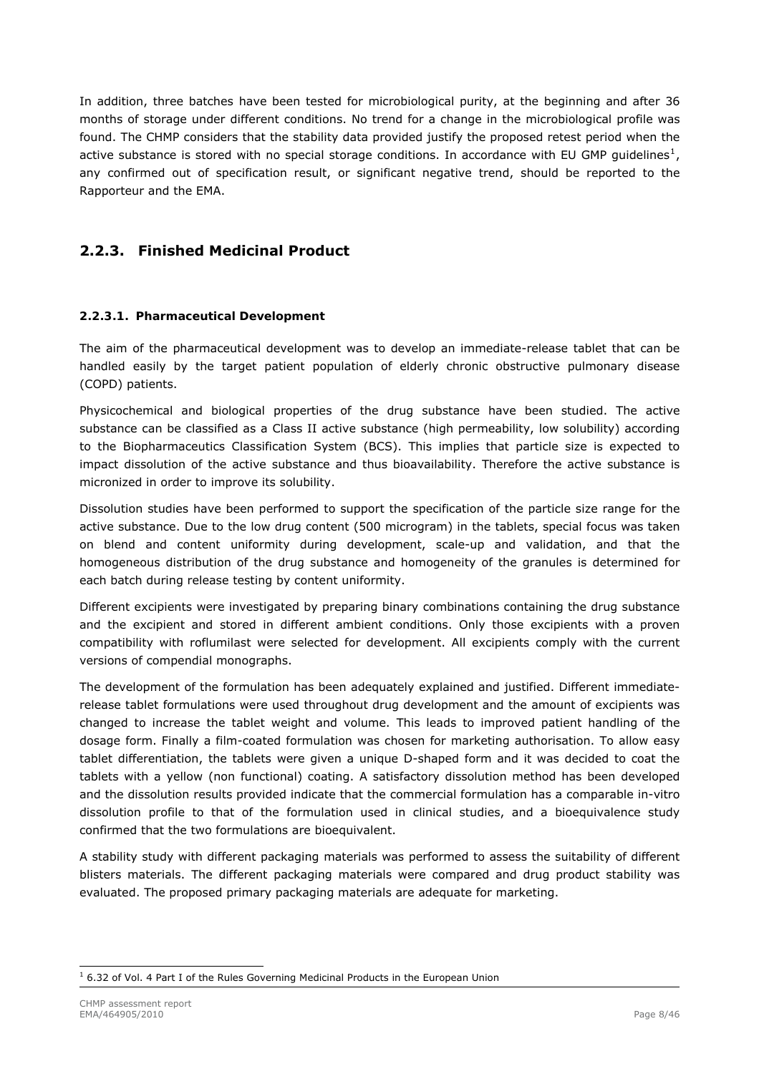In addition, three batches have been tested for microbiological purity, at the beginning and after 36 months of storage under different conditions. No trend for a change in the microbiological profile was found. The CHMP considers that the stability data provided justify the proposed retest period when the active substance is stored with no special storage conditions. In accordance with EU GMP guidelines<sup>[1](#page-7-0)</sup>, any confirmed out of specification result, or significant negative trend, should be reported to the Rapporteur and the EMA.

# **2.2.3. Finished Medicinal Product**

### *2.2.3.1. Pharmaceutical Development*

The aim of the pharmaceutical development was to develop an immediate-release tablet that can be handled easily by the target patient population of elderly chronic obstructive pulmonary disease (COPD) patients.

Physicochemical and biological properties of the drug substance have been studied. The active substance can be classified as a Class II active substance (high permeability, low solubility) according to the Biopharmaceutics Classification System (BCS). This implies that particle size is expected to impact dissolution of the active substance and thus bioavailability. Therefore the active substance is micronized in order to improve its solubility.

Dissolution studies have been performed to support the specification of the particle size range for the active substance. Due to the low drug content (500 microgram) in the tablets, special focus was taken on blend and content uniformity during development, scale-up and validation, and that the homogeneous distribution of the drug substance and homogeneity of the granules is determined for each batch during release testing by content uniformity.

Different excipients were investigated by preparing binary combinations containing the drug substance and the excipient and stored in different ambient conditions. Only those excipients with a proven compatibility with roflumilast were selected for development. All excipients comply with the current versions of compendial monographs.

The development of the formulation has been adequately explained and justified. Different immediaterelease tablet formulations were used throughout drug development and the amount of excipients was changed to increase the tablet weight and volume. This leads to improved patient handling of the dosage form. Finally a film-coated formulation was chosen for marketing authorisation. To allow easy tablet differentiation, the tablets were given a unique D-shaped form and it was decided to coat the tablets with a yellow (non functional) coating. A satisfactory dissolution method has been developed and the dissolution results provided indicate that the commercial formulation has a comparable in-vitro dissolution profile to that of the formulation used in clinical studies, and a bioequivalence study confirmed that the two formulations are bioequivalent.

A stability study with different packaging materials was performed to assess the suitability of different blisters materials. The different packaging materials were compared and drug product stability was evaluated. The proposed primary packaging materials are adequate for marketing.

<span id="page-7-0"></span>ł  $<sup>1</sup>$  6.32 of Vol. 4 Part I of the Rules Governing Medicinal Products in the European Union</sup>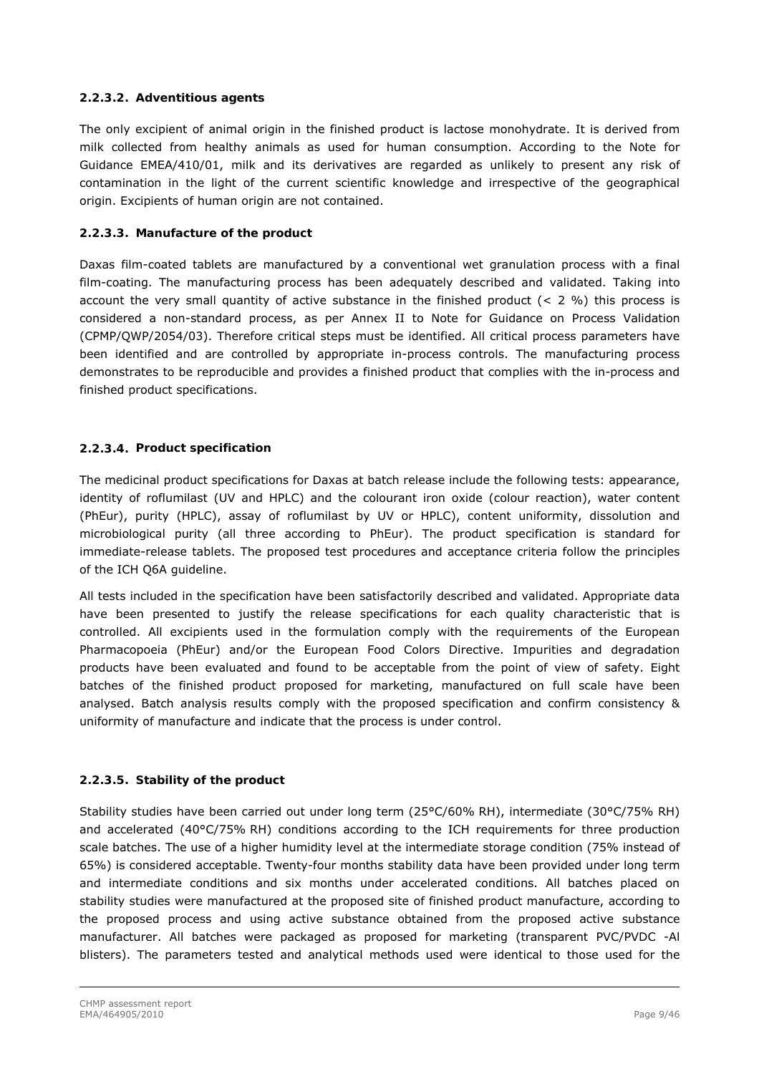### *2.2.3.2. Adventitious agents*

The only excipient of animal origin in the finished product is lactose monohydrate. It is derived from milk collected from healthy animals as used for human consumption. According to the Note for Guidance EMEA/410/01, milk and its derivatives are regarded as unlikely to present any risk of contamination in the light of the current scientific knowledge and irrespective of the geographical origin. Excipients of human origin are not contained.

### *2.2.3.3. Manufacture of the product*

Daxas film-coated tablets are manufactured by a conventional wet granulation process with a final film-coating. The manufacturing process has been adequately described and validated. Taking into account the very small quantity of active substance in the finished product  $(< 2 \%)$  this process is considered a non-standard process, as per Annex II to Note for Guidance on Process Validation (CPMP/QWP/2054/03). Therefore critical steps must be identified. All critical process parameters have been identified and are controlled by appropriate in-process controls. The manufacturing process demonstrates to be reproducible and provides a finished product that complies with the in-process and finished product specifications.

### *2.2.3.4. Product specification*

The medicinal product specifications for Daxas at batch release include the following tests: appearance, identity of roflumilast (UV and HPLC) and the colourant iron oxide (colour reaction), water content (PhEur), purity (HPLC), assay of roflumilast by UV or HPLC), content uniformity, dissolution and microbiological purity (all three according to PhEur). The product specification is standard for immediate-release tablets. The proposed test procedures and acceptance criteria follow the principles of the ICH Q6A guideline.

All tests included in the specification have been satisfactorily described and validated. Appropriate data have been presented to justify the release specifications for each quality characteristic that is controlled. All excipients used in the formulation comply with the requirements of the European Pharmacopoeia (PhEur) and/or the European Food Colors Directive. Impurities and degradation products have been evaluated and found to be acceptable from the point of view of safety. Eight batches of the finished product proposed for marketing, manufactured on full scale have been analysed. Batch analysis results comply with the proposed specification and confirm consistency & uniformity of manufacture and indicate that the process is under control.

### *2.2.3.5. Stability of the product*

Stability studies have been carried out under long term (25°C/60% RH), intermediate (30°C/75% RH) and accelerated (40°C/75% RH) conditions according to the ICH requirements for three production scale batches. The use of a higher humidity level at the intermediate storage condition (75% instead of 65%) is considered acceptable. Twenty-four months stability data have been provided under long term and intermediate conditions and six months under accelerated conditions. All batches placed on stability studies were manufactured at the proposed site of finished product manufacture, according to the proposed process and using active substance obtained from the proposed active substance manufacturer. All batches were packaged as proposed for marketing (transparent PVC/PVDC -Al blisters). The parameters tested and analytical methods used were identical to those used for the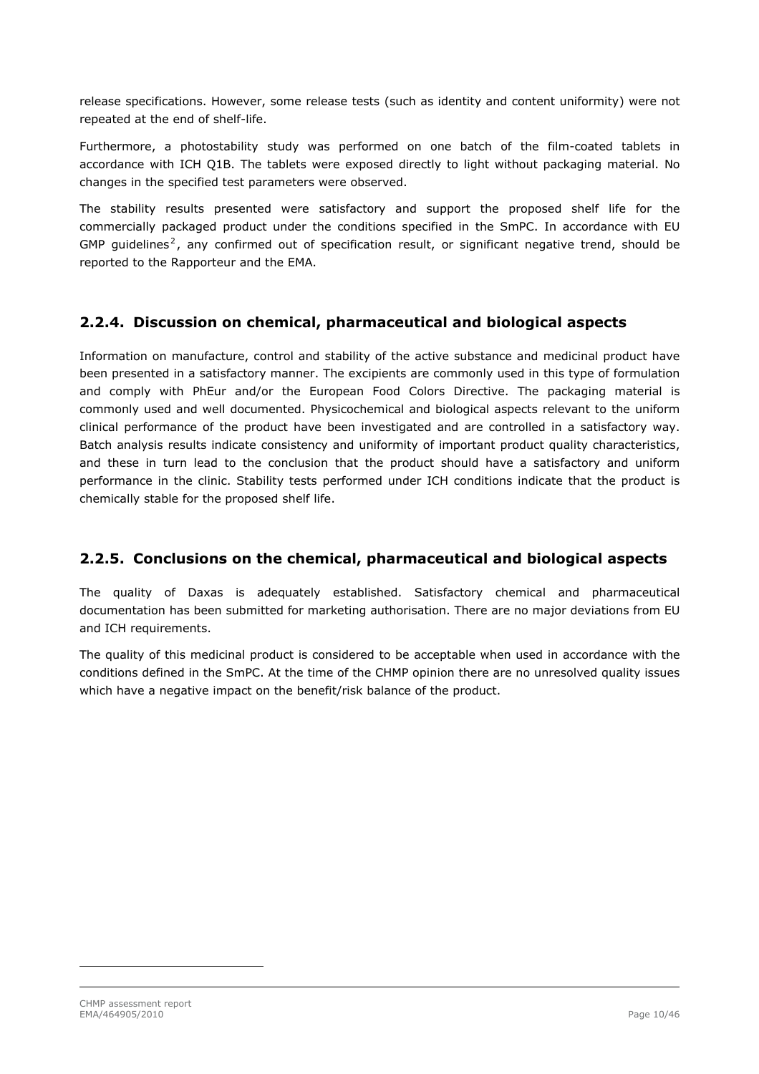release specifications. However, some release tests (such as identity and content uniformity) were not repeated at the end of shelf-life.

Furthermore, a photostability study was performed on one batch of the film-coated tablets in accordance with ICH Q1B. The tablets were exposed directly to light without packaging material. No changes in the specified test parameters were observed.

The stability results presented were satisfactory and support the proposed shelf life for the commercially packaged product under the conditions specified in the SmPC. In accordance with EU GMP guidelines<sup>[2](#page-9-0)</sup>, any confirmed out of specification result, or significant negative trend, should be reported to the Rapporteur and the EMA.

# **2.2.4. Discussion on chemical, pharmaceutical and biological aspects**

Information on manufacture, control and stability of the active substance and medicinal product have been presented in a satisfactory manner. The excipients are commonly used in this type of formulation and comply with PhEur and/or the European Food Colors Directive. The packaging material is commonly used and well documented. Physicochemical and biological aspects relevant to the uniform clinical performance of the product have been investigated and are controlled in a satisfactory way. Batch analysis results indicate consistency and uniformity of important product quality characteristics, and these in turn lead to the conclusion that the product should have a satisfactory and uniform performance in the clinic. Stability tests performed under ICH conditions indicate that the product is chemically stable for the proposed shelf life.

### **2.2.5. Conclusions on the chemical, pharmaceutical and biological aspects**

The quality of Daxas is adequately established. Satisfactory chemical and pharmaceutical documentation has been submitted for marketing authorisation. There are no major deviations from EU and ICH requirements.

The quality of this medicinal product is considered to be acceptable when used in accordance with the conditions defined in the SmPC. At the time of the CHMP opinion there are no unresolved quality issues which have a negative impact on the benefit/risk balance of the product.

<span id="page-9-0"></span>ł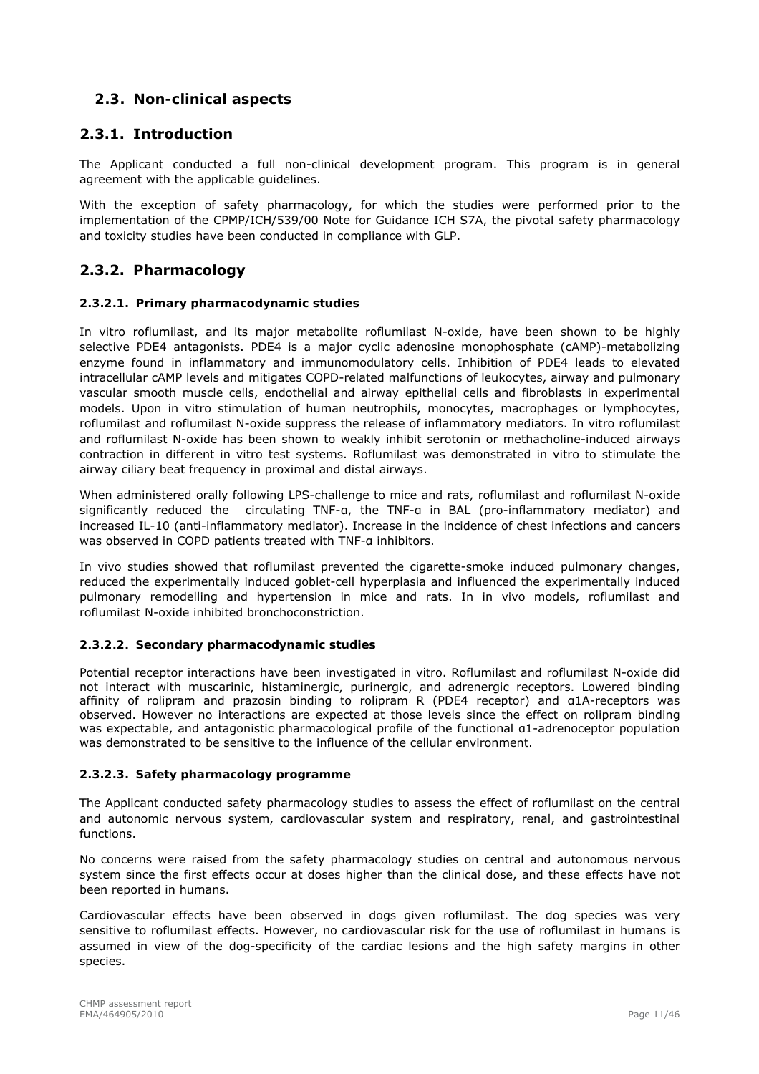# *2.3. Non-clinical aspects*

## <span id="page-10-0"></span>**2.3.1. Introduction**

The Applicant conducted a full non-clinical development program. This program is in general agreement with the applicable guidelines.

With the exception of safety pharmacology, for which the studies were performed prior to the implementation of the CPMP/ICH/539/00 Note for Guidance ICH S7A, the pivotal safety pharmacology and toxicity studies have been conducted in compliance with GLP.

# **2.3.2. Pharmacology**

### *2.3.2.1. Primary pharmacodynamic studies*

In vitro roflumilast, and its major metabolite roflumilast N-oxide, have been shown to be highly selective PDE4 antagonists. PDE4 is a major cyclic adenosine monophosphate (cAMP)-metabolizing enzyme found in inflammatory and immunomodulatory cells. Inhibition of PDE4 leads to elevated intracellular cAMP levels and mitigates COPD-related malfunctions of leukocytes, airway and pulmonary vascular smooth muscle cells, endothelial and airway epithelial cells and fibroblasts in experimental models. Upon in vitro stimulation of human neutrophils, monocytes, macrophages or lymphocytes, roflumilast and roflumilast N-oxide suppress the release of inflammatory mediators. In vitro roflumilast and roflumilast N-oxide has been shown to weakly inhibit serotonin or methacholine-induced airways contraction in different in vitro test systems. Roflumilast was demonstrated in vitro to stimulate the airway ciliary beat frequency in proximal and distal airways.

When administered orally following LPS-challenge to mice and rats, roflumilast and roflumilast N-oxide significantly reduced the circulating TNF-a, the TNF-a in BAL (pro-inflammatory mediator) and increased IL-10 (anti-inflammatory mediator). Increase in the incidence of chest infections and cancers was observed in COPD patients treated with TNF-a inhibitors.

In vivo studies showed that roflumilast prevented the cigarette-smoke induced pulmonary changes, reduced the experimentally induced goblet-cell hyperplasia and influenced the experimentally induced pulmonary remodelling and hypertension in mice and rats. In in vivo models, roflumilast and roflumilast N-oxide inhibited bronchoconstriction.

### *2.3.2.2. Secondary pharmacodynamic studies*

Potential receptor interactions have been investigated *in vitro*. Roflumilast and roflumilast N-oxide did not interact with muscarinic, histaminergic, purinergic, and adrenergic receptors. Lowered binding affinity of rolipram and prazosin binding to rolipram R (PDE4 receptor) and α1A-receptors was observed. However no interactions are expected at those levels since the effect on rolipram binding was expectable, and antagonistic pharmacological profile of the functional α1-adrenoceptor population was demonstrated to be sensitive to the influence of the cellular environment.

### *2.3.2.3. Safety pharmacology programme*

The Applicant conducted safety pharmacology studies to assess the effect of roflumilast on the central and autonomic nervous system, cardiovascular system and respiratory, renal, and gastrointestinal functions.

No concerns were raised from the safety pharmacology studies on central and autonomous nervous system since the first effects occur at doses higher than the clinical dose, and these effects have not been reported in humans.

Cardiovascular effects have been observed in dogs given roflumilast. The dog species was very sensitive to roflumilast effects. However, no cardiovascular risk for the use of roflumilast in humans is assumed in view of the dog-specificity of the cardiac lesions and the high safety margins in other species.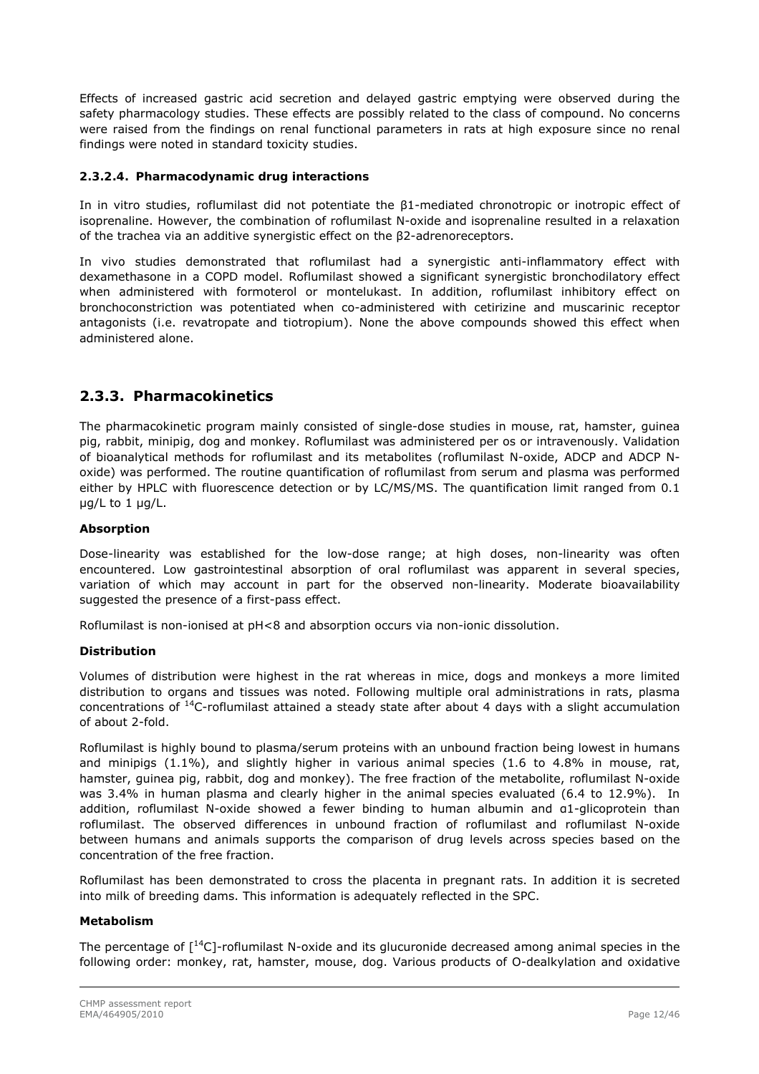Effects of increased gastric acid secretion and delayed gastric emptying were observed during the safety pharmacology studies. These effects are possibly related to the class of compound. No concerns were raised from the findings on renal functional parameters in rats at high exposure since no renal findings were noted in standard toxicity studies.

### *2.3.2.4. Pharmacodynamic drug interactions*

In in vitro studies, roflumilast did not potentiate the β1-mediated chronotropic or inotropic effect of isoprenaline. However, the combination of roflumilast N-oxide and isoprenaline resulted in a relaxation of the trachea via an additive synergistic effect on the β2-adrenoreceptors.

In vivo studies demonstrated that roflumilast had a synergistic anti-inflammatory effect with dexamethasone in a COPD model. Roflumilast showed a significant synergistic bronchodilatory effect when administered with formoterol or montelukast. In addition, roflumilast inhibitory effect on bronchoconstriction was potentiated when co-administered with cetirizine and muscarinic receptor antagonists (i.e. revatropate and tiotropium). None the above compounds showed this effect when administered alone.

### **2.3.3. Pharmacokinetics**

The pharmacokinetic program mainly consisted of single-dose studies in mouse, rat, hamster, guinea pig, rabbit, minipig, dog and monkey. Roflumilast was administered per os or intravenously. Validation of bioanalytical methods for roflumilast and its metabolites (roflumilast N-oxide, ADCP and ADCP Noxide) was performed. The routine quantification of roflumilast from serum and plasma was performed either by HPLC with fluorescence detection or by LC/MS/MS. The quantification limit ranged from 0.1 μg/L to 1 μg/L.

### **Absorption**

Dose-linearity was established for the low-dose range; at high doses, non-linearity was often encountered. Low gastrointestinal absorption of oral roflumilast was apparent in several species, variation of which may account in part for the observed non-linearity. Moderate bioavailability suggested the presence of a first-pass effect.

Roflumilast is non-ionised at pH<8 and absorption occurs via non-ionic dissolution.

### **Distribution**

Volumes of distribution were highest in the rat whereas in mice, dogs and monkeys a more limited distribution to organs and tissues was noted. Following multiple oral administrations in rats, plasma concentrations of 14C-roflumilast attained a steady state after about 4 days with a slight accumulation of about 2-fold.

Roflumilast is highly bound to plasma/serum proteins with an unbound fraction being lowest in humans and minipigs (1.1%), and slightly higher in various animal species (1.6 to 4.8% in mouse, rat, hamster, guinea pig, rabbit, dog and monkey). The free fraction of the metabolite, roflumilast N-oxide was 3.4% in human plasma and clearly higher in the animal species evaluated (6.4 to 12.9%). In addition, roflumilast N-oxide showed a fewer binding to human albumin and α1-glicoprotein than roflumilast. The observed differences in unbound fraction of roflumilast and roflumilast N-oxide between humans and animals supports the comparison of drug levels across species based on the concentration of the free fraction.

Roflumilast has been demonstrated to cross the placenta in pregnant rats. In addition it is secreted into milk of breeding dams. This information is adequately reflected in the SPC.

### **Metabolism**

The percentage of  $\lceil {^{14}C} \rceil$ -roflumilast N-oxide and its glucuronide decreased among animal species in the following order: monkey, rat, hamster, mouse, dog. Various products of O-dealkylation and oxidative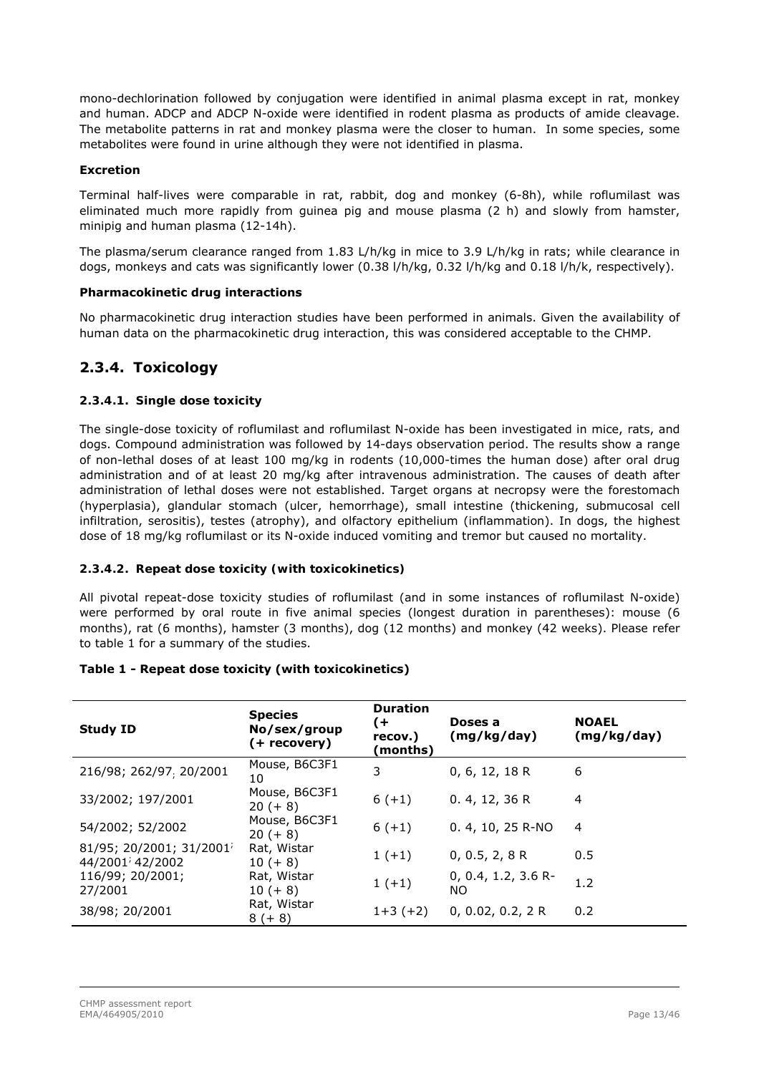mono-dechlorination followed by conjugation were identified in animal plasma except in rat, monkey and human. ADCP and ADCP N-oxide were identified in rodent plasma as products of amide cleavage. The metabolite patterns in rat and monkey plasma were the closer to human. In some species, some metabolites were found in urine although they were not identified in plasma.

### **Excretion**

Terminal half-lives were comparable in rat, rabbit, dog and monkey (6-8h), while roflumilast was eliminated much more rapidly from guinea pig and mouse plasma (2 h) and slowly from hamster, minipig and human plasma (12-14h).

The plasma/serum clearance ranged from 1.83 L/h/kg in mice to 3.9 L/h/kg in rats; while clearance in dogs, monkeys and cats was significantly lower (0.38 l/h/kg, 0.32 l/h/kg and 0.18 l/h/k, respectively).

#### **Pharmacokinetic drug interactions**

No pharmacokinetic drug interaction studies have been performed in animals. Given the availability of human data on the pharmacokinetic drug interaction, this was considered acceptable to the CHMP.

# **2.3.4. Toxicology**

### *2.3.4.1. Single dose toxicity*

The single-dose toxicity of roflumilast and roflumilast N-oxide has been investigated in mice, rats, and dogs. Compound administration was followed by 14-days observation period. The results show a range of non-lethal doses of at least 100 mg/kg in rodents (10,000-times the human dose) after oral drug administration and of at least 20 mg/kg after intravenous administration. The causes of death after administration of lethal doses were not established. Target organs at necropsy were the forestomach (hyperplasia), glandular stomach (ulcer, hemorrhage), small intestine (thickening, submucosal cell infiltration, serositis), testes (atrophy), and olfactory epithelium (inflammation). In dogs, the highest dose of 18 mg/kg roflumilast or its N-oxide induced vomiting and tremor but caused no mortality.

### *2.3.4.2. Repeat dose toxicity (with toxicokinetics)*

All pivotal repeat-dose toxicity studies of roflumilast (and in some instances of roflumilast N-oxide) were performed by oral route in five animal species (longest duration in parentheses): mouse (6 months), rat (6 months), hamster (3 months), dog (12 months) and monkey (42 weeks). Please refer to table 1 for a summary of the studies.

| <b>Study ID</b>                                                         | <b>Species</b><br>No/sex/group<br>(+ recovery) | <b>Duration</b><br>(+<br>recov.)<br>(months) | Doses a<br>(mg/kg/day)        | <b>NOAEL</b><br>(mg/kg/day) |
|-------------------------------------------------------------------------|------------------------------------------------|----------------------------------------------|-------------------------------|-----------------------------|
| 216/98; 262/97, 20/2001                                                 | Mouse, B6C3F1<br>10                            | 3                                            | 0, 6, 12, 18 R                | 6                           |
| 33/2002; 197/2001                                                       | Mouse, B6C3F1<br>$20 (+ 8)$                    | $6(+1)$                                      | 0.4, 12, 36 R                 | $\overline{4}$              |
| 54/2002; 52/2002                                                        | Mouse, B6C3F1<br>$20 (+ 8)$                    | $6(+1)$                                      | 0. 4, 10, 25 R-NO             | $\overline{4}$              |
| $81/95$ ; 20/2001; 31/2001 <sup>;</sup><br>44/2001 <sup>;</sup> 42/2002 | Rat, Wistar<br>$10 (+ 8)$                      | $1 (+1)$                                     | 0, 0.5, 2, 8 R                | 0.5                         |
| 116/99; 20/2001;<br>27/2001                                             | Rat, Wistar<br>$10 (+ 8)$                      | $1 (+1)$                                     | $0, 0.4, 1.2, 3.6 R -$<br>NO. | 1.2                         |
| 38/98; 20/2001                                                          | Rat, Wistar<br>$8 (+ 8)$                       | $1+3(+2)$                                    | 0, 0.02, 0.2, 2 R             | 0.2                         |

### **Table 1 - Repeat dose toxicity (with toxicokinetics)**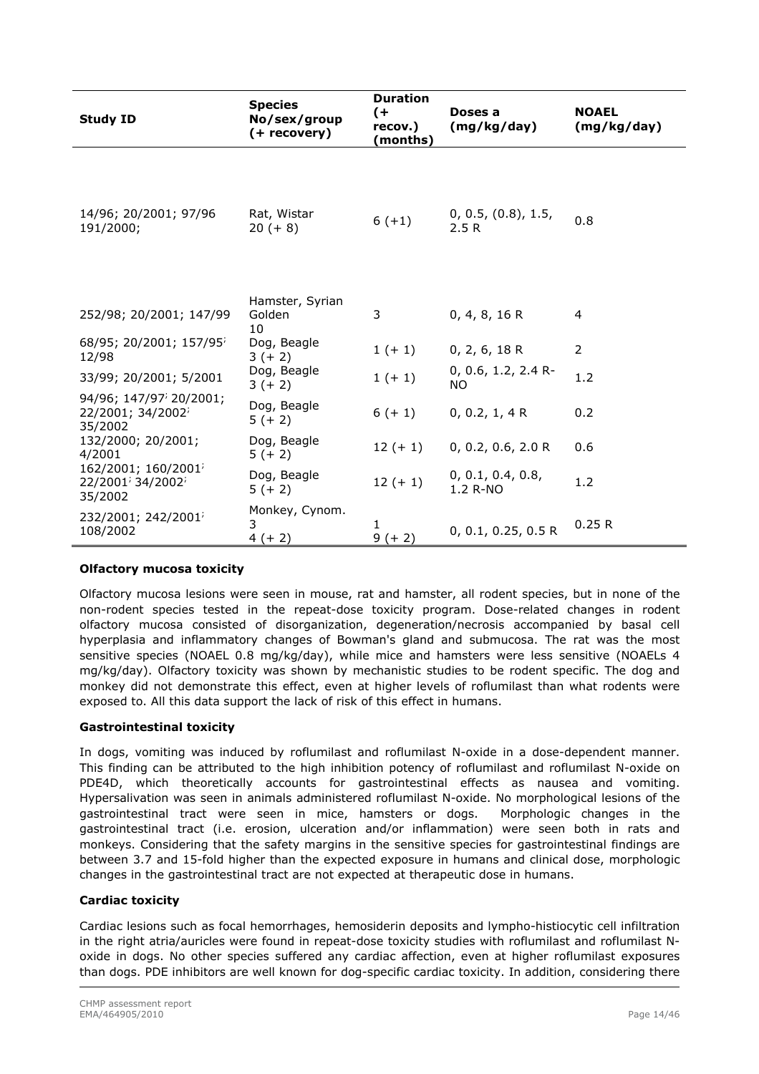| <b>Study ID</b>                                                                         | <b>Species</b><br>No/sex/group<br>(+ recovery) | <b>Duration</b><br>$($ +<br>recov.)<br>(months) | Doses a<br>(mg/kg/day)              | <b>NOAEL</b><br>(mg/kg/day) |
|-----------------------------------------------------------------------------------------|------------------------------------------------|-------------------------------------------------|-------------------------------------|-----------------------------|
| 14/96; 20/2001; 97/96<br>191/2000;                                                      | Rat, Wistar<br>$20 (+ 8)$                      | $6 (+1)$                                        | 0, 0.5, (0.8), 1.5,<br>2.5R         | 0.8                         |
| 252/98; 20/2001; 147/99                                                                 | Hamster, Syrian<br>Golden<br>10                | 3                                               | 0, 4, 8, 16 R                       | $\overline{4}$              |
| 68/95; 20/2001; 157/95 <sup>;</sup><br>12/98                                            | Dog, Beagle<br>$3 (+ 2)$                       | $1 (+ 1)$                                       | 0, 2, 6, 18 R                       | $\overline{2}$              |
| 33/99; 20/2001; 5/2001                                                                  | Dog, Beagle<br>$3 (+ 2)$                       | $1 (+ 1)$                                       | $0, 0.6, 1.2, 2.4 R$ -<br><b>NO</b> | 1.2                         |
| 94/96; 147/97 <sup>;</sup> 20/2001;<br>$22/2001$ ; 34/2002 <sup>;</sup><br>35/2002      | Dog, Beagle<br>$5(+2)$                         | $6 (+ 1)$                                       | 0, 0.2, 1, 4 R                      | 0.2                         |
| 132/2000; 20/2001;<br>4/2001                                                            | Dog, Beagle<br>$5(+2)$                         | $12 (+ 1)$                                      | 0, 0.2, 0.6, 2.0 R                  | 0.6                         |
| 162/2001; 160/2001 <sup>;</sup><br>22/2001 <sup>;</sup> 34/2002 <sup>;</sup><br>35/2002 | Dog, Beagle<br>$5(+2)$                         | $12 (+ 1)$                                      | 0, 0.1, 0.4, 0.8,<br>1.2 R-NO       | 1.2                         |
| 232/2001; 242/2001 <sup>;</sup><br>108/2002                                             | Monkey, Cynom.<br>3<br>$4(+2)$                 | 1<br>$9 (+ 2)$                                  | 0, 0.1, 0.25, 0.5 R                 | 0.25R                       |

### **Olfactory mucosa toxicity**

Olfactory mucosa lesions were seen in mouse, rat and hamster, all rodent species, but in none of the non-rodent species tested in the repeat-dose toxicity program. Dose-related changes in rodent olfactory mucosa consisted of disorganization, degeneration/necrosis accompanied by basal cell hyperplasia and inflammatory changes of Bowman's gland and submucosa. The rat was the most sensitive species (NOAEL 0.8 mg/kg/day), while mice and hamsters were less sensitive (NOAELs 4 mg/kg/day). Olfactory toxicity was shown by mechanistic studies to be rodent specific. The dog and monkey did not demonstrate this effect, even at higher levels of roflumilast than what rodents were exposed to. All this data support the lack of risk of this effect in humans.

### **Gastrointestinal toxicity**

In dogs, vomiting was induced by roflumilast and roflumilast N-oxide in a dose-dependent manner. This finding can be attributed to the high inhibition potency of roflumilast and roflumilast N-oxide on PDE4D, which theoretically accounts for gastrointestinal effects as nausea and vomiting. Hypersalivation was seen in animals administered roflumilast N-oxide. No morphological lesions of the gastrointestinal tract were seen in mice, hamsters or dogs. Morphologic changes in the gastrointestinal tract (i.e. erosion, ulceration and/or inflammation) were seen both in rats and monkeys. Considering that the safety margins in the sensitive species for gastrointestinal findings are between 3.7 and 15-fold higher than the expected exposure in humans and clinical dose, morphologic changes in the gastrointestinal tract are not expected at therapeutic dose in humans.

### **Cardiac toxicity**

Cardiac lesions such as focal hemorrhages, hemosiderin deposits and lympho-histiocytic cell infiltration in the right atria/auricles were found in repeat-dose toxicity studies with roflumilast and roflumilast Noxide in dogs. No other species suffered any cardiac affection, even at higher roflumilast exposures than dogs. PDE inhibitors are well known for dog-specific cardiac toxicity. In addition, considering there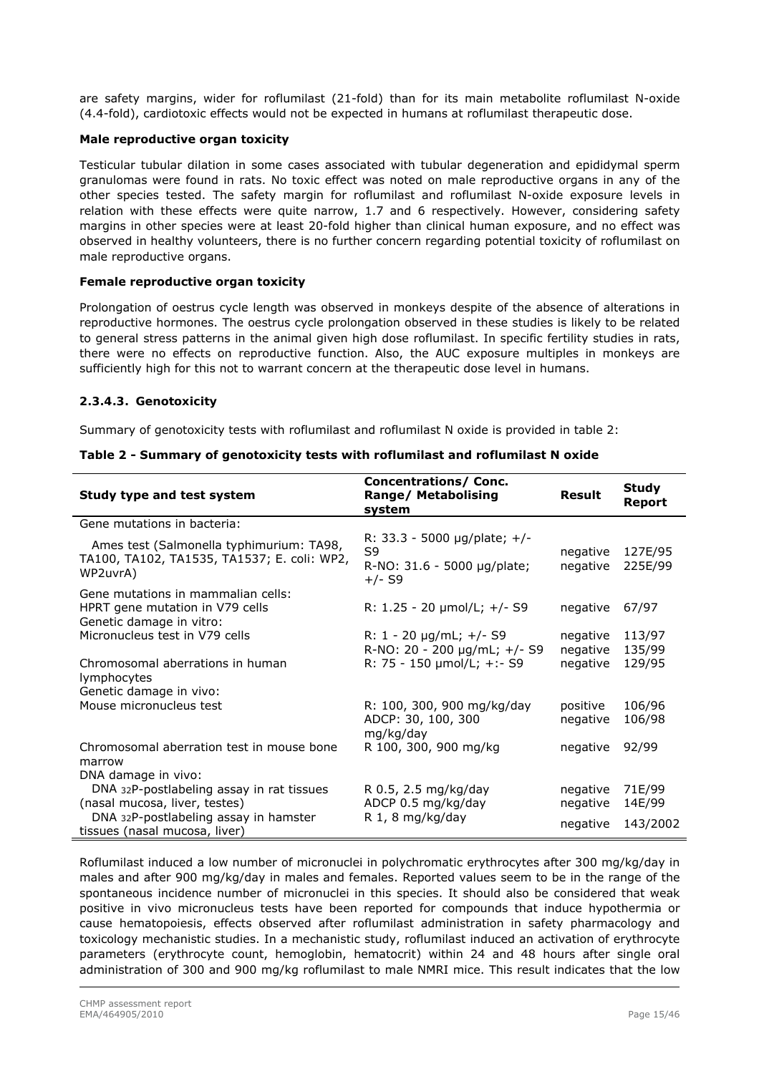are safety margins, wider for roflumilast (21-fold) than for its main metabolite roflumilast N-oxide (4.4-fold), cardiotoxic effects would not be expected in humans at roflumilast therapeutic dose.

### **Male reproductive organ toxicity**

Testicular tubular dilation in some cases associated with tubular degeneration and epididymal sperm granulomas were found in rats. No toxic effect was noted on male reproductive organs in any of the other species tested. The safety margin for roflumilast and roflumilast N-oxide exposure levels in relation with these effects were quite narrow, 1.7 and 6 respectively. However, considering safety margins in other species were at least 20-fold higher than clinical human exposure, and no effect was observed in healthy volunteers, there is no further concern regarding potential toxicity of roflumilast on male reproductive organs.

#### **Female reproductive organ toxicity**

Prolongation of oestrus cycle length was observed in monkeys despite of the absence of alterations in reproductive hormones. The oestrus cycle prolongation observed in these studies is likely to be related to general stress patterns in the animal given high dose roflumilast. In specific fertility studies in rats, there were no effects on reproductive function. Also, the AUC exposure multiples in monkeys are sufficiently high for this not to warrant concern at the therapeutic dose level in humans.

#### *2.3.4.3. Genotoxicity*

Summary of genotoxicity tests with roflumilast and roflumilast N oxide is provided in table 2:

| Study type and test system                                                                          | Concentrations/Conc.<br><b>Range/ Metabolising</b><br>system                  | <b>Result</b>        | <b>Study</b><br>Report |
|-----------------------------------------------------------------------------------------------------|-------------------------------------------------------------------------------|----------------------|------------------------|
| Gene mutations in bacteria:                                                                         |                                                                               |                      |                        |
| Ames test (Salmonella typhimurium: TA98,<br>TA100, TA102, TA1535, TA1537; E. coli: WP2,<br>WP2uvrA) | R: 33.3 - 5000 µg/plate; +/-<br>S9<br>R-NO: 31.6 - 5000 µg/plate;<br>$+/-$ S9 | negative<br>negative | 127E/95<br>225E/99     |
| Gene mutations in mammalian cells:<br>HPRT gene mutation in V79 cells<br>Genetic damage in vitro:   | R: 1.25 - 20 µmol/L; +/- S9                                                   | negative             | 67/97                  |
| Micronucleus test in V79 cells                                                                      | R: 1 - 20 $\mu$ g/mL; +/- S9<br>R-NO: 20 - 200 µg/mL; +/- S9                  | negative<br>negative | 113/97<br>135/99       |
| Chromosomal aberrations in human<br>lymphocytes                                                     | R: 75 - 150 µmol/L; +:- S9                                                    | negative             | 129/95                 |
| Genetic damage in vivo:                                                                             |                                                                               |                      |                        |
| Mouse micronucleus test                                                                             | R: 100, 300, 900 mg/kg/day<br>ADCP: 30, 100, 300<br>mg/kg/day                 | positive<br>negative | 106/96<br>106/98       |
| Chromosomal aberration test in mouse bone<br>marrow                                                 | R 100, 300, 900 mg/kg                                                         | negative             | 92/99                  |
| DNA damage in vivo:                                                                                 |                                                                               |                      |                        |
| DNA 32P-postlabeling assay in rat tissues<br>(nasal mucosa, liver, testes)                          | R 0.5, 2.5 mg/kg/day<br>ADCP 0.5 mg/kg/day                                    | negative<br>negative | 71E/99<br>14E/99       |
| DNA 32P-postlabeling assay in hamster<br>tissues (nasal mucosa, liver)                              | R 1, 8 mg/kg/day                                                              | negative             | 143/2002               |

|  |  |  |  | Table 2 - Summary of genotoxicity tests with roflumilast and roflumilast N oxide |  |
|--|--|--|--|----------------------------------------------------------------------------------|--|
|  |  |  |  |                                                                                  |  |

Roflumilast induced a low number of micronuclei in polychromatic erythrocytes after 300 mg/kg/day in males and after 900 mg/kg/day in males and females. Reported values seem to be in the range of the spontaneous incidence number of micronuclei in this species. It should also be considered that weak positive in vivo micronucleus tests have been reported for compounds that induce hypothermia or cause hematopoiesis, effects observed after roflumilast administration in safety pharmacology and toxicology mechanistic studies. In a mechanistic study, roflumilast induced an activation of erythrocyte parameters (erythrocyte count, hemoglobin, hematocrit) within 24 and 48 hours after single oral administration of 300 and 900 mg/kg roflumilast to male NMRI mice. This result indicates that the low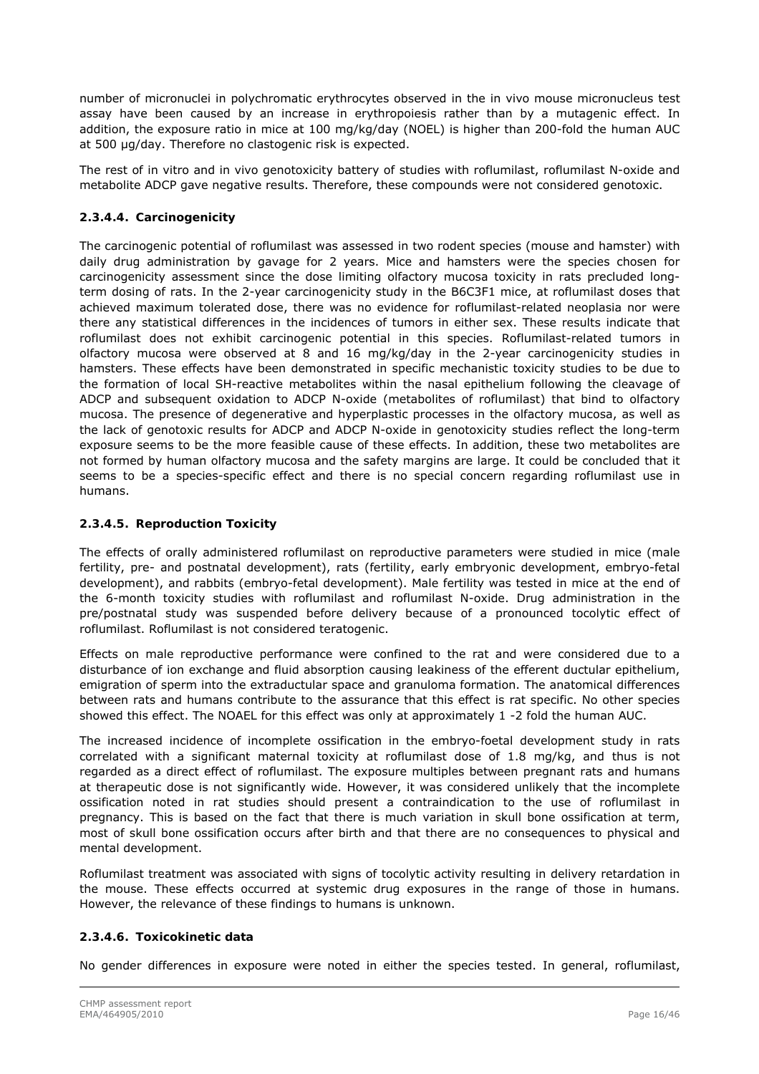number of micronuclei in polychromatic erythrocytes observed in the in vivo mouse micronucleus test assay have been caused by an increase in erythropoiesis rather than by a mutagenic effect. In addition, the exposure ratio in mice at 100 mg/kg/day (NOEL) is higher than 200-fold the human AUC at 500 μg/day. Therefore no clastogenic risk is expected.

The rest of in vitro and in vivo genotoxicity battery of studies with roflumilast, roflumilast N-oxide and metabolite ADCP gave negative results. Therefore, these compounds were not considered genotoxic.

### *2.3.4.4. Carcinogenicity*

The carcinogenic potential of roflumilast was assessed in two rodent species (mouse and hamster) with daily drug administration by gavage for 2 years. Mice and hamsters were the species chosen for carcinogenicity assessment since the dose limiting olfactory mucosa toxicity in rats precluded longterm dosing of rats. In the 2-year carcinogenicity study in the B6C3F1 mice, at roflumilast doses that achieved maximum tolerated dose, there was no evidence for roflumilast-related neoplasia nor were there any statistical differences in the incidences of tumors in either sex. These results indicate that roflumilast does not exhibit carcinogenic potential in this species. Roflumilast-related tumors in olfactory mucosa were observed at 8 and 16 mg/kg/day in the 2-year carcinogenicity studies in hamsters. These effects have been demonstrated in specific mechanistic toxicity studies to be due to the formation of local SH-reactive metabolites within the nasal epithelium following the cleavage of ADCP and subsequent oxidation to ADCP N-oxide (metabolites of roflumilast) that bind to olfactory mucosa. The presence of degenerative and hyperplastic processes in the olfactory mucosa, as well as the lack of genotoxic results for ADCP and ADCP N-oxide in genotoxicity studies reflect the long-term exposure seems to be the more feasible cause of these effects. In addition, these two metabolites are not formed by human olfactory mucosa and the safety margins are large. It could be concluded that it seems to be a species-specific effect and there is no special concern regarding roflumilast use in humans.

### *2.3.4.5. Reproduction Toxicity*

The effects of orally administered roflumilast on reproductive parameters were studied in mice (male fertility, pre- and postnatal development), rats (fertility, early embryonic development, embryo-fetal development), and rabbits (embryo-fetal development). Male fertility was tested in mice at the end of the 6-month toxicity studies with roflumilast and roflumilast N-oxide. Drug administration in the pre/postnatal study was suspended before delivery because of a pronounced tocolytic effect of roflumilast. Roflumilast is not considered teratogenic.

Effects on male reproductive performance were confined to the rat and were considered due to a disturbance of ion exchange and fluid absorption causing leakiness of the efferent ductular epithelium, emigration of sperm into the extraductular space and granuloma formation. The anatomical differences between rats and humans contribute to the assurance that this effect is rat specific. No other species showed this effect. The NOAEL for this effect was only at approximately 1 -2 fold the human AUC.

The increased incidence of incomplete ossification in the embryo-foetal development study in rats correlated with a significant maternal toxicity at roflumilast dose of 1.8 mg/kg, and thus is not regarded as a direct effect of roflumilast. The exposure multiples between pregnant rats and humans at therapeutic dose is not significantly wide. However, it was considered unlikely that the incomplete ossification noted in rat studies should present a contraindication to the use of roflumilast in pregnancy. This is based on the fact that there is much variation in skull bone ossification at term, most of skull bone ossification occurs after birth and that there are no consequences to physical and mental development.

Roflumilast treatment was associated with signs of tocolytic activity resulting in delivery retardation in the mouse. These effects occurred at systemic drug exposures in the range of those in humans. However, the relevance of these findings to humans is unknown.

### *2.3.4.6. Toxicokinetic data*

No gender differences in exposure were noted in either the species tested. In general, roflumilast,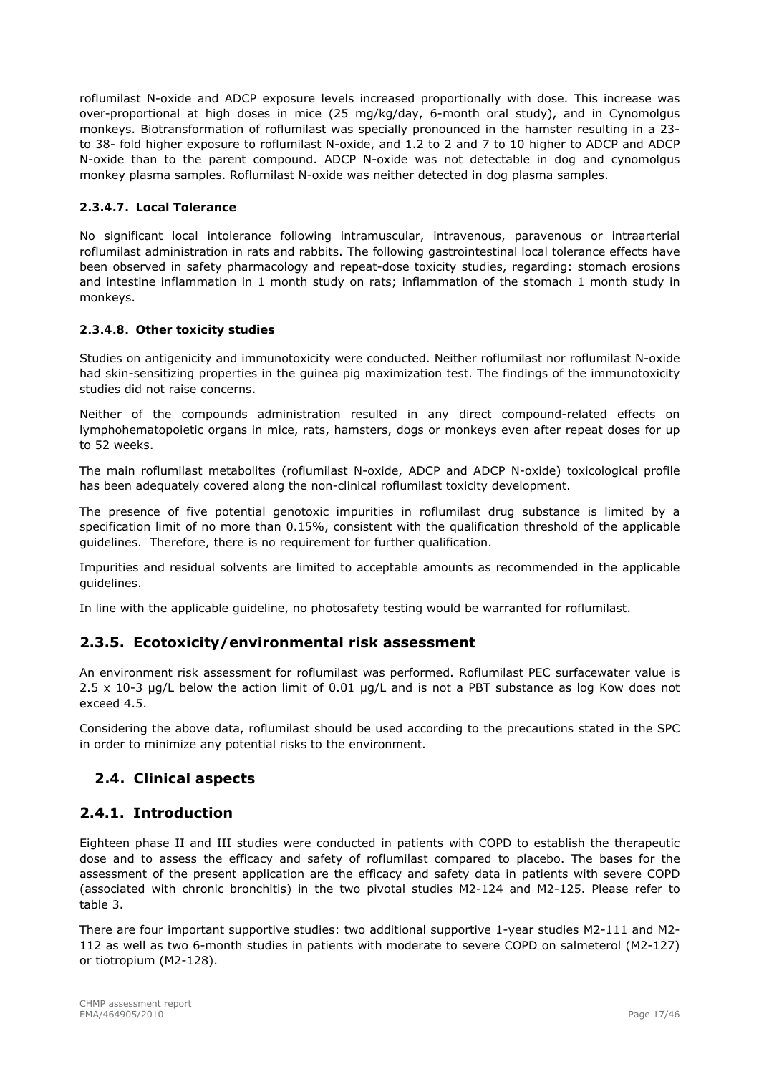roflumilast N-oxide and ADCP exposure levels increased proportionally with dose. This increase was over-proportional at high doses in mice (25 mg/kg/day, 6-month oral study), and in Cynomolgus monkeys. Biotransformation of roflumilast was specially pronounced in the hamster resulting in a 23 to 38- fold higher exposure to roflumilast N-oxide, and 1.2 to 2 and 7 to 10 higher to ADCP and ADCP N-oxide than to the parent compound. ADCP N-oxide was not detectable in dog and cynomolgus monkey plasma samples. Roflumilast N-oxide was neither detected in dog plasma samples.

### *2.3.4.7. Local Tolerance*

No significant local intolerance following intramuscular, intravenous, paravenous or intraarterial roflumilast administration in rats and rabbits. The following gastrointestinal local tolerance effects have been observed in safety pharmacology and repeat-dose toxicity studies, regarding: stomach erosions and intestine inflammation in 1 month study on rats; inflammation of the stomach 1 month study in monkeys.

### *2.3.4.8. Other toxicity studies*

Studies on antigenicity and immunotoxicity were conducted. Neither roflumilast nor roflumilast N-oxide had skin-sensitizing properties in the guinea pig maximization test. The findings of the immunotoxicity studies did not raise concerns.

Neither of the compounds administration resulted in any direct compound-related effects on lymphohematopoietic organs in mice, rats, hamsters, dogs or monkeys even after repeat doses for up to 52 weeks.

The main roflumilast metabolites (roflumilast N-oxide, ADCP and ADCP N-oxide) toxicological profile has been adequately covered along the non-clinical roflumilast toxicity development.

The presence of five potential genotoxic impurities in roflumilast drug substance is limited by a specification limit of no more than 0.15%, consistent with the qualification threshold of the applicable guidelines. Therefore, there is no requirement for further qualification.

Impurities and residual solvents are limited to acceptable amounts as recommended in the applicable guidelines.

In line with the applicable guideline, no photosafety testing would be warranted for roflumilast.

### **2.3.5. Ecotoxicity/environmental risk assessment**

An environment risk assessment for roflumilast was performed. Roflumilast PEC surfacewater value is 2.5 x 10-3 μg/L below the action limit of 0.01 μg/L and is not a PBT substance as log Kow does not exceed 4.5.

Considering the above data, roflumilast should be used according to the precautions stated in the SPC in order to minimize any potential risks to the environment.

### *2.4. Clinical aspects*

### <span id="page-16-0"></span>**2.4.1. Introduction**

Eighteen phase II and III studies were conducted in patients with COPD to establish the therapeutic dose and to assess the efficacy and safety of roflumilast compared to placebo. The bases for the assessment of the present application are the efficacy and safety data in patients with severe COPD (associated with chronic bronchitis) in the two pivotal studies M2-124 and M2-125. Please refer to table 3.

There are four important supportive studies: two additional supportive 1-year studies M2-111 and M2- 112 as well as two 6-month studies in patients with moderate to severe COPD on salmeterol (M2-127) or tiotropium (M2-128).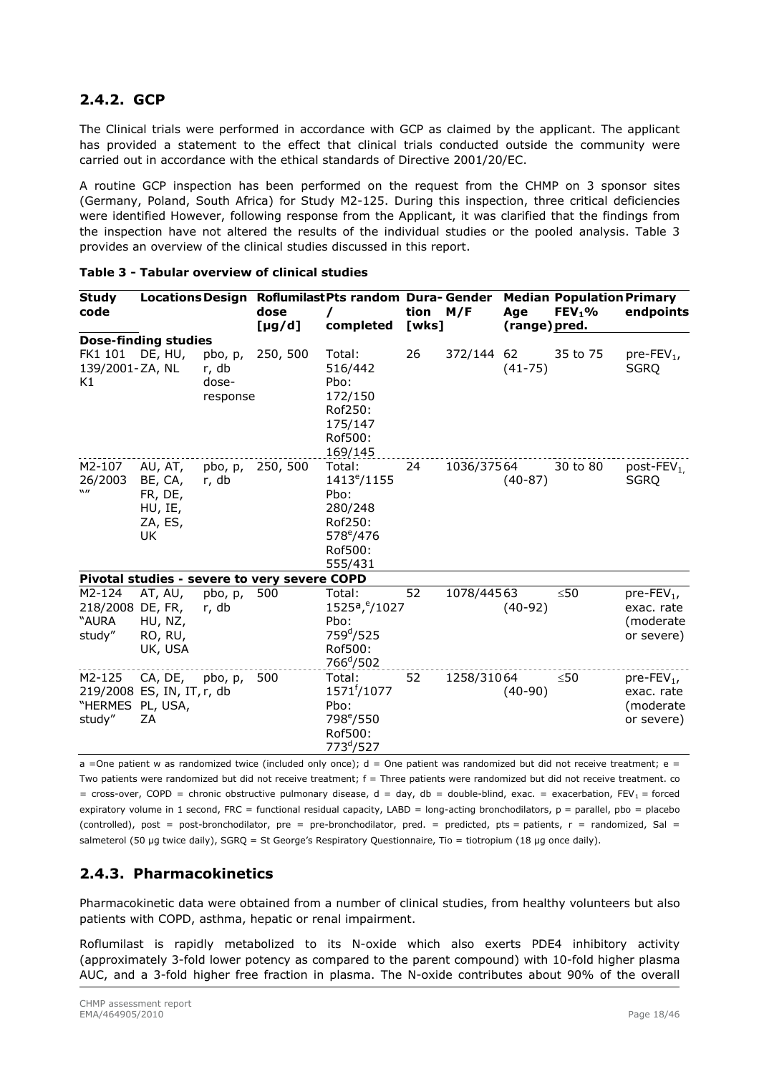# **2.4.2. GCP**

The Clinical trials were performed in accordance with GCP as claimed by the applicant. The applicant has provided a statement to the effect that clinical trials conducted outside the community were carried out in accordance with the ethical standards of Directive 2001/20/EC.

A routine GCP inspection has been performed on the request from the CHMP on 3 sponsor sites (Germany, Poland, South Africa) for Study M2-125. During this inspection, three critical deficiencies were identified However, following response from the Applicant, it was clarified that the findings from the inspection have not altered the results of the individual studies or the pooled analysis. Table 3 provides an overview of the clinical studies discussed in this report.

| <b>Study</b><br>code                  |                                                           |                                       | dose<br>$[\mu g/d]$                          | Locations Design Roflumilast Pts random Dura-Gender<br>completed                                           | tion<br>[wks] | M/F        | Age<br>(range) pred. | <b>Median Population Primary</b><br>$FEV1$ % | endpoints                                                          |
|---------------------------------------|-----------------------------------------------------------|---------------------------------------|----------------------------------------------|------------------------------------------------------------------------------------------------------------|---------------|------------|----------------------|----------------------------------------------|--------------------------------------------------------------------|
|                                       | <b>Dose-finding studies</b>                               |                                       |                                              |                                                                                                            |               |            |                      |                                              |                                                                    |
| FK1 101<br>139/2001-ZA, NL<br>Κ1      | DE, HU,                                                   | pbo, p,<br>r, db<br>dose-<br>response | 250, 500                                     | Total:<br>516/442<br>Pbo:<br>172/150<br>Rof250:<br>175/147<br>Rof500:<br>169/145                           | 26            | 372/144 62 | $(41 - 75)$          | 35 to 75                                     | $pre$ -FEV <sub>1</sub> ,<br>SGRO                                  |
| M2-107<br>26/2003<br>$\mathbf{w}$     | AU, AT,<br>BE, CA,<br>FR, DE,<br>HU, IE,<br>ZA, ES,<br>UK | pbo, p,<br>r, db                      | 250, 500                                     | Total:<br>$1413^{\circ}/1155$<br>Pbo:<br>280/248<br>Rof250:<br>578 <sup>e</sup> /476<br>Rof500:<br>555/431 | 24            | 1036/37564 | $(40-87)$            | 30 to 80                                     | post-FEV <sub>1.</sub><br><b>SGRQ</b>                              |
|                                       |                                                           |                                       | Pivotal studies - severe to very severe COPD |                                                                                                            |               |            |                      |                                              |                                                                    |
| M2-124<br>218/2008<br>"AURA<br>study" | AT, AU,<br>DE, FR,<br>HU, NZ,<br>RO, RU,<br>UK, USA       | pbo, p,<br>r, db                      | 500                                          | Total:<br>1525a, <sup>e</sup> /1027<br>Pbo:<br>759 <sup>d</sup> /525<br>Rof500:<br>766 <sup>d</sup> /502   | 52            | 1078/44563 | $(40-92)$            | ≤50                                          | $pre$ -FEV <sub>1</sub> ,<br>exac. rate<br>(moderate<br>or severe) |
| M2-125<br>"HERMES<br>study"           | CA, DE,<br>219/2008 ES, IN, IT, r, db<br>PL, USA,<br>ZA   | pbo, p,                               | 500                                          | Total:<br>$1571^{t}/1077$<br>Pbo:<br>798 <sup>e</sup> /550<br>Rof500:<br>773 <sup>d</sup> /527             | 52            | 1258/31064 | $(40-90)$            | $\leq 50$                                    | $pre$ -FEV <sub>1</sub> ,<br>exac. rate<br>(moderate<br>or severe) |

| Table 3 - Tabular overview of clinical studies |  |  |  |  |
|------------------------------------------------|--|--|--|--|
|------------------------------------------------|--|--|--|--|

a =One patient w as randomized twice (included only once);  $d =$ One patient was randomized but did not receive treatment; e = Two patients were randomized but did not receive treatment; f = Three patients were randomized but did not receive treatment. co = cross-over, COPD = chronic obstructive pulmonary disease,  $d = day$ ,  $db = double$ -blind, exac. = exacerbation,  $FEV_1 =$  forced expiratory volume in 1 second, FRC = functional residual capacity, LABD = long-acting bronchodilators, p = parallel, pbo = placebo (controlled), post = post-bronchodilator, pre = pre-bronchodilator, pred. = predicted, pts = patients,  $r =$  randomized, Sal = salmeterol (50 µg twice daily), SGRQ = St George's Respiratory Questionnaire, Tio = tiotropium (18 µg once daily).

# **2.4.3. Pharmacokinetics**

Pharmacokinetic data were obtained from a number of clinical studies, from healthy volunteers but also patients with COPD, asthma, hepatic or renal impairment.

Roflumilast is rapidly metabolized to its N-oxide which also exerts PDE4 inhibitory activity (approximately 3-fold lower potency as compared to the parent compound) with 10-fold higher plasma AUC, and a 3-fold higher free fraction in plasma. The N-oxide contributes about 90% of the overall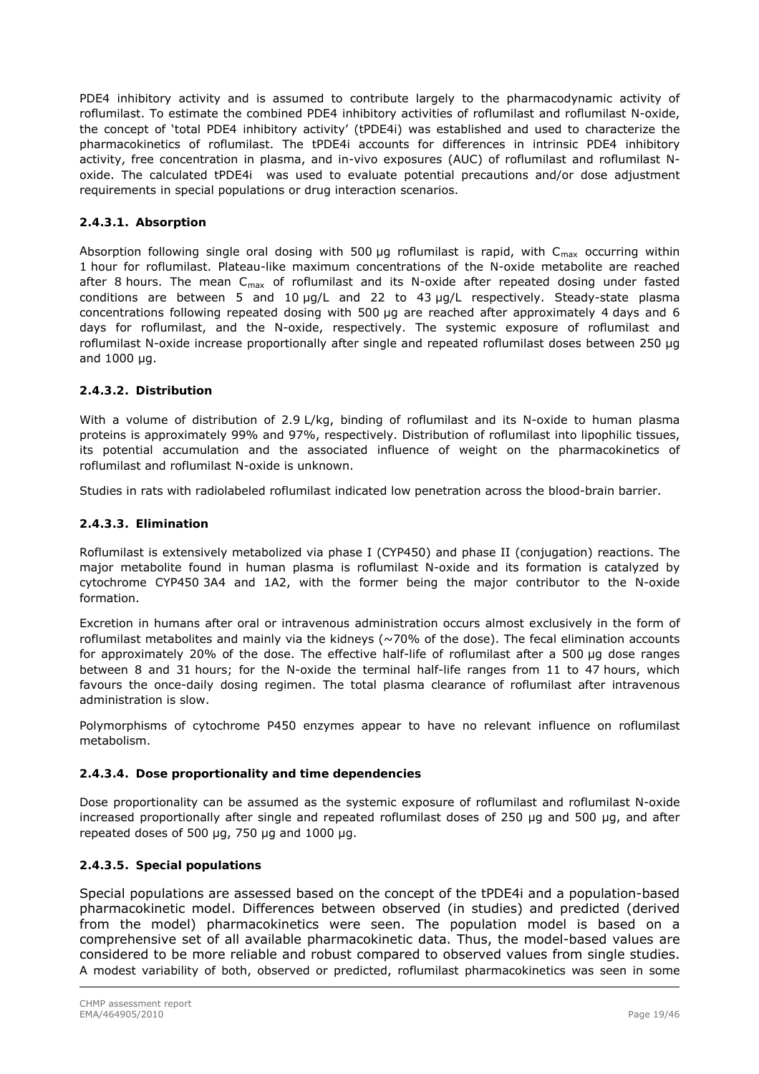PDE4 inhibitory activity and is assumed to contribute largely to the pharmacodynamic activity of roflumilast. To estimate the combined PDE4 inhibitory activities of roflumilast and roflumilast N-oxide, the concept of 'total PDE4 inhibitory activity' (tPDE4i) was established and used to characterize the pharmacokinetics of roflumilast. The tPDE4i accounts for differences in intrinsic PDE4 inhibitory activity, free concentration in plasma, and in-vivo exposures (AUC) of roflumilast and roflumilast Noxide. The calculated tPDE4i was used to evaluate potential precautions and/or dose adjustment requirements in special populations or drug interaction scenarios.

### *2.4.3.1. Absorption*

Absorption following single oral dosing with 500  $\mu$ g roflumilast is rapid, with C<sub>max</sub> occurring within 1 hour for roflumilast. Plateau-like maximum concentrations of the N-oxide metabolite are reached after 8 hours. The mean  $C_{\text{max}}$  of roflumilast and its N-oxide after repeated dosing under fasted conditions are between 5 and 10  $\mu$ g/L and 22 to 43  $\mu$ g/L respectively. Steady-state plasma concentrations following repeated dosing with 500 µg are reached after approximately 4 days and 6 days for roflumilast, and the N-oxide, respectively. The systemic exposure of roflumilast and roflumilast N-oxide increase proportionally after single and repeated roflumilast doses between 250 µg and 1000 µg.

### *2.4.3.2. Distribution*

With a volume of distribution of 2.9 L/kg, binding of roflumilast and its N-oxide to human plasma proteins is approximately 99% and 97%, respectively. Distribution of roflumilast into lipophilic tissues, its potential accumulation and the associated influence of weight on the pharmacokinetics of roflumilast and roflumilast N-oxide is unknown.

Studies in rats with radiolabeled roflumilast indicated low penetration across the blood-brain barrier.

### *2.4.3.3. Elimination*

Roflumilast is extensively metabolized via phase I (CYP450) and phase II (conjugation) reactions. The major metabolite found in human plasma is roflumilast N-oxide and its formation is catalyzed by cytochrome CYP450 3A4 and 1A2, with the former being the major contributor to the N-oxide formation.

Excretion in humans after oral or intravenous administration occurs almost exclusively in the form of roflumilast metabolites and mainly via the kidneys (~70% of the dose). The fecal elimination accounts for approximately 20% of the dose. The effective half-life of roflumilast after a 500 µg dose ranges between 8 and 31 hours; for the N-oxide the terminal half-life ranges from 11 to 47 hours, which favours the once-daily dosing regimen. The total plasma clearance of roflumilast after intravenous administration is slow.

Polymorphisms of cytochrome P450 enzymes appear to have no relevant influence on roflumilast metabolism.

### *2.4.3.4. Dose proportionality and time dependencies*

Dose proportionality can be assumed as the systemic exposure of roflumilast and roflumilast N-oxide increased proportionally after single and repeated roflumilast doses of 250 μg and 500 μg, and after repeated doses of 500 μg, 750 μg and 1000 μg.

### *2.4.3.5. Special populations*

Special populations are assessed based on the concept of the tPDE4i and a population-based pharmacokinetic model. Differences between observed (in studies) and predicted (derived from the model) pharmacokinetics were seen. The population model is based on a comprehensive set of all available pharmacokinetic data. Thus, the model-based values are considered to be more reliable and robust compared to observed values from single studies. A modest variability of both, observed or predicted, roflumilast pharmacokinetics was seen in some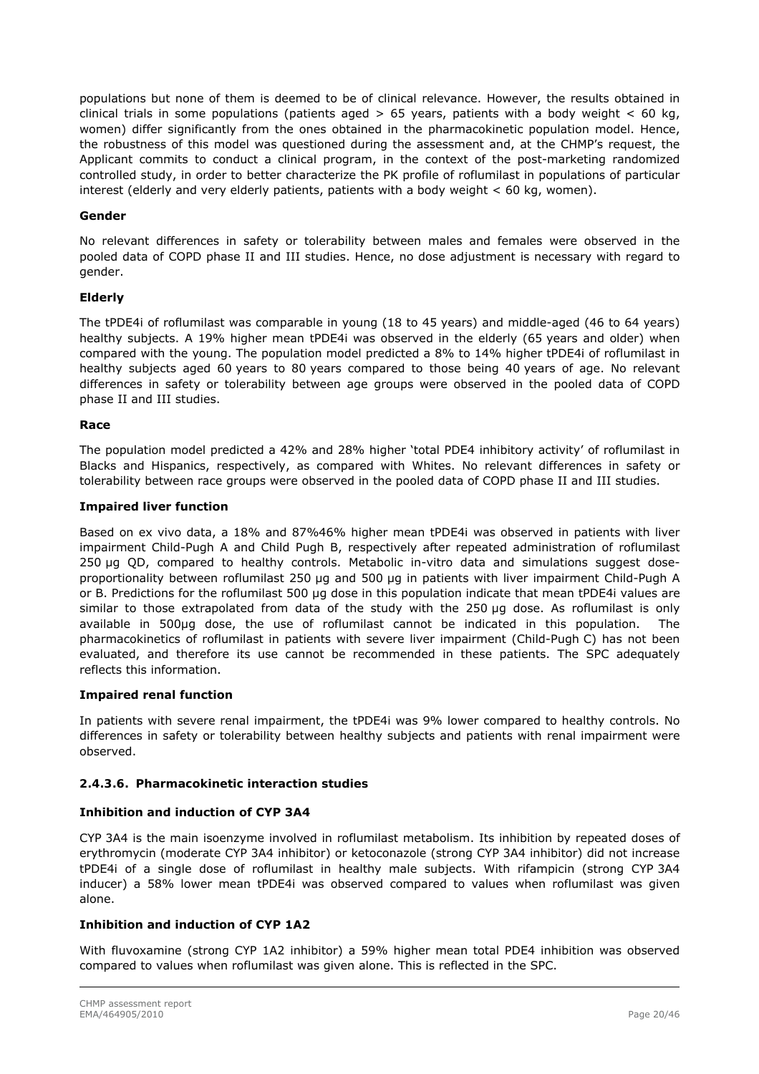populations but none of them is deemed to be of clinical relevance. However, the results obtained in clinical trials in some populations (patients aged  $> 65$  years, patients with a body weight  $< 60$  kg, women) differ significantly from the ones obtained in the pharmacokinetic population model. Hence, the robustness of this model was questioned during the assessment and, at the CHMP's request, the Applicant commits to conduct a clinical program, in the context of the post-marketing randomized controlled study, in order to better characterize the PK profile of roflumilast in populations of particular interest (elderly and very elderly patients, patients with a body weight  $<$  60 kg, women).

### **Gender**

No relevant differences in safety or tolerability between males and females were observed in the pooled data of COPD phase II and III studies. Hence, no dose adjustment is necessary with regard to gender.

#### **Elderly**

The tPDE4i of roflumilast was comparable in young (18 to 45 years) and middle-aged (46 to 64 years) healthy subjects. A 19% higher mean tPDE4i was observed in the elderly (65 years and older) when compared with the young. The population model predicted a 8% to 14% higher tPDE4i of roflumilast in healthy subjects aged 60 years to 80 years compared to those being 40 years of age. No relevant differences in safety or tolerability between age groups were observed in the pooled data of COPD phase II and III studies.

#### **Race**

The population model predicted a 42% and 28% higher 'total PDE4 inhibitory activity' of roflumilast in Blacks and Hispanics, respectively, as compared with Whites. No relevant differences in safety or tolerability between race groups were observed in the pooled data of COPD phase II and III studies.

#### **Impaired liver function**

Based on ex vivo data, a 18% and 87%46% higher mean tPDE4i was observed in patients with liver impairment Child-Pugh A and Child Pugh B, respectively after repeated administration of roflumilast 250 µg QD, compared to healthy controls. Metabolic in-vitro data and simulations suggest doseproportionality between roflumilast 250 µg and 500 µg in patients with liver impairment Child-Pugh A or B. Predictions for the roflumilast 500 µg dose in this population indicate that mean tPDE4i values are similar to those extrapolated from data of the study with the 250 µg dose. As roflumilast is only available in 500µg dose, the use of roflumilast cannot be indicated in this population. The pharmacokinetics of roflumilast in patients with severe liver impairment (Child-Pugh C) has not been evaluated, and therefore its use cannot be recommended in these patients. The SPC adequately reflects this information.

#### **Impaired renal function**

In patients with severe renal impairment, the tPDE4i was 9% lower compared to healthy controls. No differences in safety or tolerability between healthy subjects and patients with renal impairment were observed.

### *2.4.3.6. Pharmacokinetic interaction studies*

### **Inhibition and induction of CYP 3A4**

CYP 3A4 is the main isoenzyme involved in roflumilast metabolism. Its inhibition by repeated doses of erythromycin (moderate CYP 3A4 inhibitor) or ketoconazole (strong CYP 3A4 inhibitor) did not increase tPDE4i of a single dose of roflumilast in healthy male subjects. With rifampicin (strong CYP 3A4 inducer) a 58% lower mean tPDE4i was observed compared to values when roflumilast was given alone.

### **Inhibition and induction of CYP 1A2**

With fluvoxamine (strong CYP 1A2 inhibitor) a 59% higher mean total PDE4 inhibition was observed compared to values when roflumilast was given alone. This is reflected in the SPC.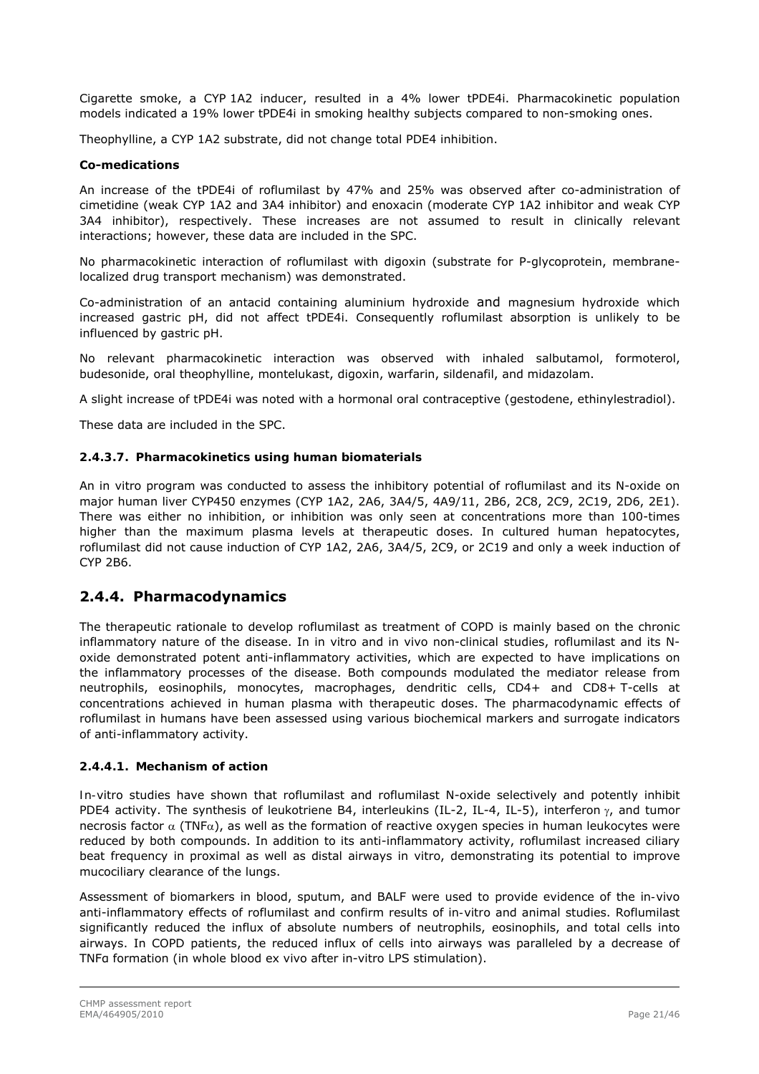Cigarette smoke, a CYP 1A2 inducer, resulted in a 4% lower tPDE4i. Pharmacokinetic population models indicated a 19% lower tPDE4i in smoking healthy subjects compared to non-smoking ones.

Theophylline, a CYP 1A2 substrate, did not change total PDE4 inhibition.

### **Co-medications**

An increase of the tPDE4i of roflumilast by 47% and 25% was observed after co-administration of cimetidine (weak CYP 1A2 and 3A4 inhibitor) and enoxacin (moderate CYP 1A2 inhibitor and weak CYP 3A4 inhibitor), respectively. These increases are not assumed to result in clinically relevant interactions; however, these data are included in the SPC.

No pharmacokinetic interaction of roflumilast with digoxin (substrate for P-glycoprotein, membranelocalized drug transport mechanism) was demonstrated.

Co-administration of an antacid containing [aluminium hydroxide](http://en.wikipedia.org/wiki/Aluminium_hydroxide) and [magnesium hydroxide](http://en.wikipedia.org/wiki/Magnesium_hydroxide) which increased gastric pH, did not affect tPDE4i. Consequently roflumilast absorption is unlikely to be influenced by gastric pH.

No relevant pharmacokinetic interaction was observed with inhaled salbutamol, formoterol, budesonide, oral theophylline, montelukast, digoxin, warfarin, sildenafil, and midazolam.

A slight increase of tPDE4i was noted with a hormonal oral contraceptive (gestodene, ethinylestradiol).

These data are included in the SPC.

#### *2.4.3.7. Pharmacokinetics using human biomaterials*

An in vitro program was conducted to assess the inhibitory potential of roflumilast and its N-oxide on major human liver CYP450 enzymes (CYP 1A2, 2A6, 3A4/5, 4A9/11, 2B6, 2C8, 2C9, 2C19, 2D6, 2E1). There was either no inhibition, or inhibition was only seen at concentrations more than 100-times higher than the maximum plasma levels at therapeutic doses. In cultured human hepatocytes, roflumilast did not cause induction of CYP 1A2, 2A6, 3A4/5, 2C9, or 2C19 and only a week induction of CYP 2B6.

### **2.4.4. Pharmacodynamics**

The therapeutic rationale to develop roflumilast as treatment of COPD is mainly based on the chronic inflammatory nature of the disease. In in vitro and in vivo non-clinical studies, roflumilast and its Noxide demonstrated potent anti-inflammatory activities, which are expected to have implications on the inflammatory processes of the disease. Both compounds modulated the mediator release from neutrophils, eosinophils, monocytes, macrophages, dendritic cells, CD4+ and CD8+ T-cells at concentrations achieved in human plasma with therapeutic doses. The pharmacodynamic effects of roflumilast in humans have been assessed using various biochemical markers and surrogate indicators of anti-inflammatory activity.

#### *2.4.4.1. Mechanism of action*

*In-vitro* studies have shown that roflumilast and roflumilast N-oxide selectively and potently inhibit PDE4 activity. The synthesis of leukotriene B4, interleukins (IL-2, IL-4, IL-5), interferon  $\gamma$ , and tumor necrosis factor  $\alpha$  (TNF $\alpha$ ), as well as the formation of reactive oxygen species in human leukocytes were reduced by both compounds. In addition to its anti-inflammatory activity, roflumilast increased ciliary beat frequency in proximal as well as distal airways in vitro, demonstrating its potential to improve mucociliary clearance of the lungs.

Assessment of biomarkers in blood, sputum, and BALF were used to provide evidence of the *in-vivo* anti-inflammatory effects of roflumilast and confirm results of *in-vitro* and animal studies. Roflumilast significantly reduced the influx of absolute numbers of neutrophils, eosinophils, and total cells into airways. In COPD patients, the reduced influx of cells into airways was paralleled by a decrease of TNFα formation (in whole blood ex vivo after in-vitro LPS stimulation).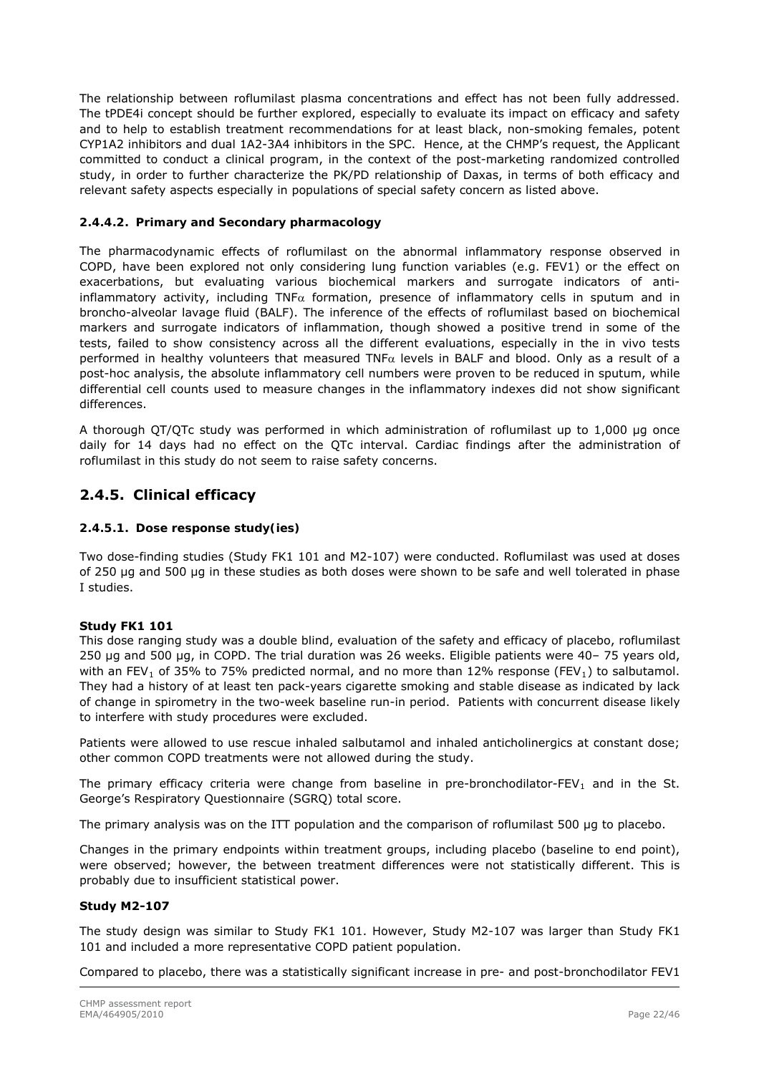The relationship between roflumilast plasma concentrations and effect has not been fully addressed. The tPDE4i concept should be further explored, especially to evaluate its impact on efficacy and safety and to help to establish treatment recommendations for at least black, non-smoking females, potent CYP1A2 inhibitors and dual 1A2-3A4 inhibitors in the SPC. Hence, at the CHMP's request, the Applicant committed to conduct a clinical program, in the context of the post-marketing randomized controlled study, in order to further characterize the PK/PD relationship of Daxas, in terms of both efficacy and relevant safety aspects especially in populations of special safety concern as listed above.

### *2.4.4.2. Primary and Secondary pharmacology*

The pharmacodynamic effects of roflumilast on the abnormal inflammatory response observed in COPD, have been explored not only considering lung function variables (e.g. FEV1) or the effect on exacerbations, but evaluating various biochemical markers and surrogate indicators of antiinflammatory activity, including TNF $\alpha$  formation, presence of inflammatory cells in sputum and in broncho-alveolar lavage fluid (BALF). The inference of the effects of roflumilast based on biochemical markers and surrogate indicators of inflammation, though showed a positive trend in some of the tests, failed to show consistency across all the different evaluations, especially in the in vivo tests performed in healthy volunteers that measured TNF $\alpha$  levels in BALF and blood. Only as a result of a post-hoc analysis, the absolute inflammatory cell numbers were proven to be reduced in sputum, while differential cell counts used to measure changes in the inflammatory indexes did not show significant differences.

A thorough QT/QTc study was performed in which administration of roflumilast up to 1,000 μg once daily for 14 days had no effect on the QTc interval. Cardiac findings after the administration of roflumilast in this study do not seem to raise safety concerns.

### **2.4.5. Clinical efficacy**

#### *2.4.5.1. Dose response study(ies)*

Two dose-finding studies (Study FK1 101 and M2-107) were conducted. Roflumilast was used at doses of 250 μg and 500 μg in these studies as both doses were shown to be safe and well tolerated in phase I studies.

#### **Study FK1 101**

This dose ranging study was a double blind, evaluation of the safety and efficacy of placebo, roflumilast 250 μg and 500 μg, in COPD. The trial duration was 26 weeks. Eligible patients were 40– 75 years old, with an FEV<sub>1</sub> of 35% to 75% predicted normal, and no more than 12% response (FEV<sub>1</sub>) to salbutamol. They had a history of at least ten pack-years cigarette smoking and stable disease as indicated by lack of change in spirometry in the two-week baseline run-in period. Patients with concurrent disease likely to interfere with study procedures were excluded.

Patients were allowed to use rescue inhaled salbutamol and inhaled anticholinergics at constant dose; other common COPD treatments were not allowed during the study.

The primary efficacy criteria were change from baseline in pre-bronchodilator-FEV<sub>1</sub> and in the St. George's Respiratory Questionnaire (SGRQ) total score.

The primary analysis was on the ITT population and the comparison of roflumilast 500 µg to placebo.

Changes in the primary endpoints within treatment groups, including placebo (baseline to end point), were observed; however, the between treatment differences were not statistically different. This is probably due to insufficient statistical power.

#### **Study M2-107**

The study design was similar to Study FK1 101. However, Study M2-107 was larger than Study FK1 101 and included a more representative COPD patient population.

Compared to placebo, there was a statistically significant increase in pre- and post-bronchodilator FEV1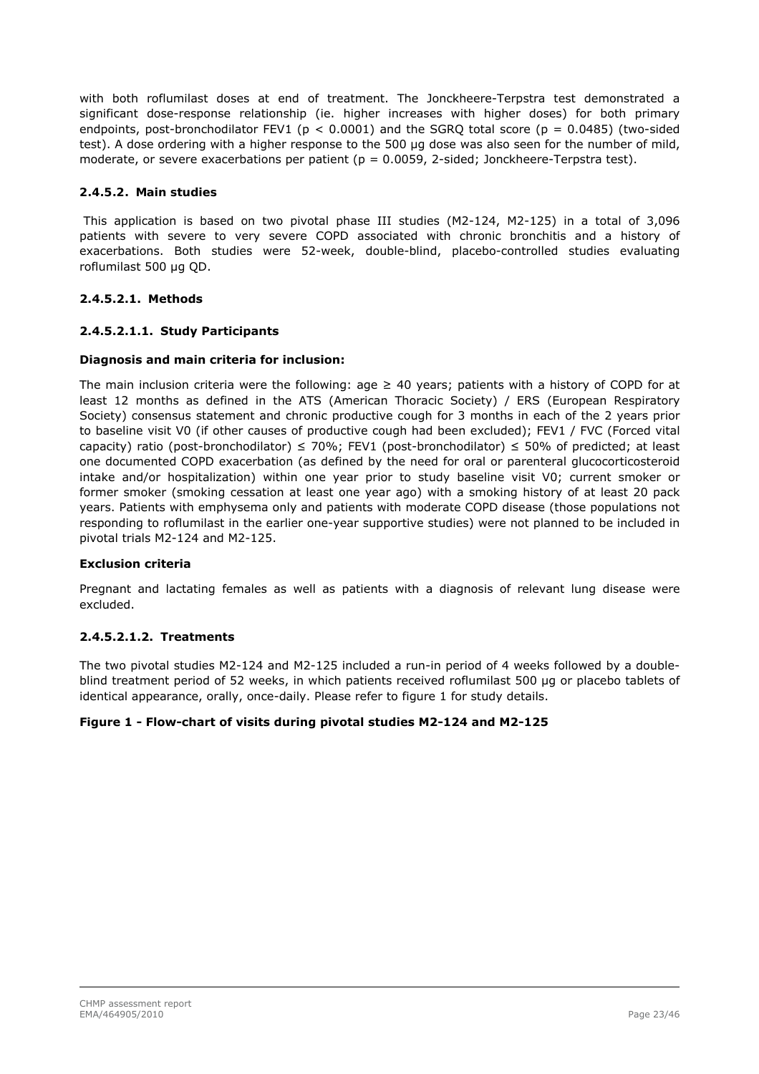with both roflumilast doses at end of treatment. The Jonckheere-Terpstra test demonstrated a significant dose-response relationship (ie. higher increases with higher doses) for both primary endpoints, post-bronchodilator FEV1 ( $p < 0.0001$ ) and the SGRO total score ( $p = 0.0485$ ) (two-sided test). A dose ordering with a higher response to the 500 μg dose was also seen for the number of mild, moderate, or severe exacerbations per patient ( $p = 0.0059$ , 2-sided; Jonckheere-Terpstra test).

### *2.4.5.2. Main studies*

This application is based on two pivotal phase III studies (M2-124, M2-125) in a total of 3,096 patients with severe to very severe COPD associated with chronic bronchitis and a history of exacerbations. Both studies were 52-week, double-blind, placebo-controlled studies evaluating roflumilast 500 μg QD.

### **2.4.5.2.1. Methods**

### **2.4.5.2.1.1. Study Participants**

### **Diagnosis and main criteria for inclusion:**

The main inclusion criteria were the following: age  $\geq$  40 years; patients with a history of COPD for at least 12 months as defined in the ATS (American Thoracic Society) / ERS (European Respiratory Society) consensus statement and chronic productive cough for 3 months in each of the 2 years prior to baseline visit V0 (if other causes of productive cough had been excluded); FEV1 / FVC (Forced vital capacity) ratio (post-bronchodilator)  $\leq$  70%; FEV1 (post-bronchodilator)  $\leq$  50% of predicted; at least one documented COPD exacerbation (as defined by the need for oral or parenteral glucocorticosteroid intake and/or hospitalization) within one year prior to study baseline visit V0; current smoker or former smoker (smoking cessation at least one year ago) with a smoking history of at least 20 pack years. Patients with emphysema only and patients with moderate COPD disease (those populations not responding to roflumilast in the earlier one-year supportive studies) were not planned to be included in pivotal trials M2-124 and M2-125.

### **Exclusion criteria**

Pregnant and lactating females as well as patients with a diagnosis of relevant lung disease were excluded.

### **2.4.5.2.1.2. Treatments**

The two pivotal studies M2-124 and M2-125 included a run-in period of 4 weeks followed by a doubleblind treatment period of 52 weeks, in which patients received roflumilast 500 µg or placebo tablets of identical appearance, orally, once-daily. Please refer to figure 1 for study details.

### **Figure 1 - Flow-chart of visits during pivotal studies M2-124 and M2-125**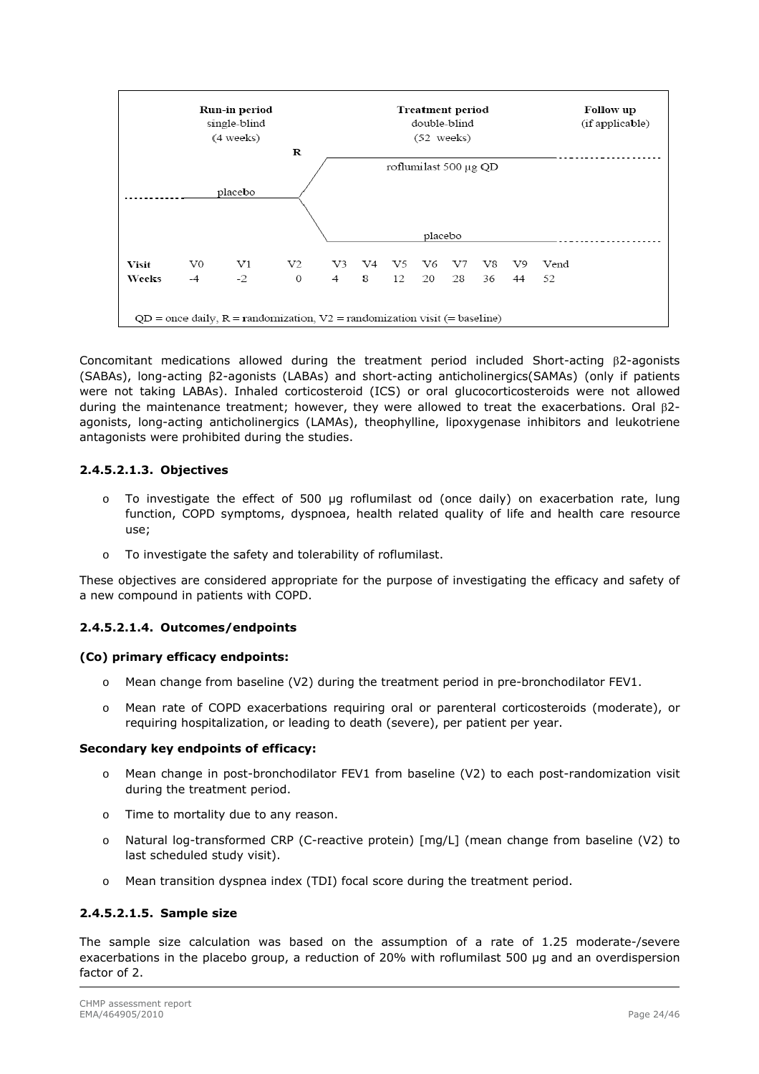

Concomitant medications allowed during the treatment period included Short-acting  $\beta$ 2-agonists (SABAs), long-acting β2-agonists (LABAs) and short-acting anticholinergics(SAMAs) (only if patients were not taking LABAs). Inhaled corticosteroid (ICS) or oral glucocorticosteroids were not allowed during the maintenance treatment; however, they were allowed to treat the exacerbations. Oral  $\beta$ 2agonists, long-acting anticholinergics (LAMAs), theophylline, lipoxygenase inhibitors and leukotriene antagonists were prohibited during the studies.

### **2.4.5.2.1.3. Objectives**

- o To investigate the effect of 500 µg roflumilast od (once daily) on exacerbation rate, lung function, COPD symptoms, dyspnoea, health related quality of life and health care resource use;
- o To investigate the safety and tolerability of roflumilast.

These objectives are considered appropriate for the purpose of investigating the efficacy and safety of a new compound in patients with COPD.

### **2.4.5.2.1.4. Outcomes/endpoints**

### **(Co) primary efficacy endpoints:**

- o Mean change from baseline (V2) during the treatment period in pre-bronchodilator FEV1.
- o Mean rate of COPD exacerbations requiring oral or parenteral corticosteroids (moderate), or requiring hospitalization, or leading to death (severe), per patient per year.

### **Secondary key endpoints of efficacy:**

- o Mean change in post-bronchodilator FEV1 from baseline (V2) to each post-randomization visit during the treatment period.
- o Time to mortality due to any reason.
- o Natural log-transformed CRP (C-reactive protein) [mg/L] (mean change from baseline (V2) to last scheduled study visit).
- o Mean transition dyspnea index (TDI) focal score during the treatment period.

### **2.4.5.2.1.5. Sample size**

The sample size calculation was based on the assumption of a rate of 1.25 moderate-/severe exacerbations in the placebo group, a reduction of 20% with roflumilast 500 µg and an overdispersion factor of 2.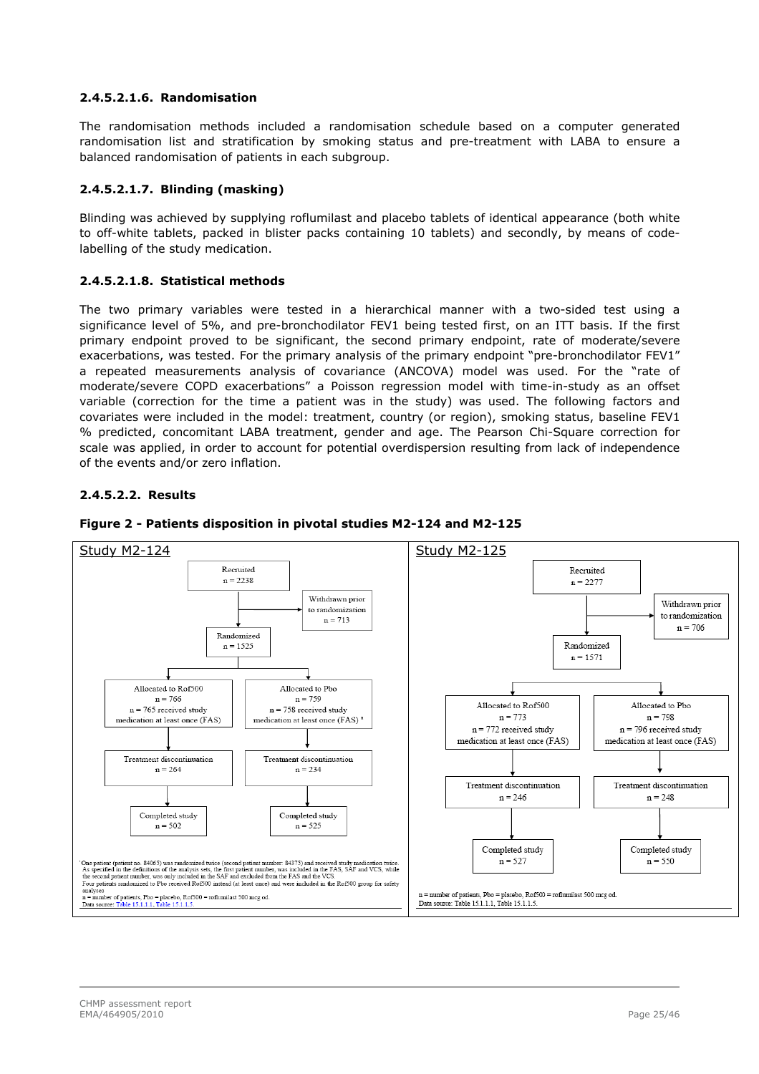### **2.4.5.2.1.6. Randomisation**

The randomisation methods included a randomisation schedule based on a computer generated randomisation list and stratification by smoking status and pre-treatment with LABA to ensure a balanced randomisation of patients in each subgroup.

### **2.4.5.2.1.7. Blinding (masking)**

Blinding was achieved by supplying roflumilast and placebo tablets of identical appearance (both white to off-white tablets, packed in blister packs containing 10 tablets) and secondly, by means of codelabelling of the study medication.

### **2.4.5.2.1.8. Statistical methods**

The two primary variables were tested in a hierarchical manner with a two-sided test using a significance level of 5%, and pre-bronchodilator FEV1 being tested first, on an ITT basis. If the first primary endpoint proved to be significant, the second primary endpoint, rate of moderate/severe exacerbations, was tested. For the primary analysis of the primary endpoint "pre-bronchodilator FEV1" a repeated measurements analysis of covariance (ANCOVA) model was used. For the "rate of moderate/severe COPD exacerbations" a Poisson regression model with time-in-study as an offset variable (correction for the time a patient was in the study) was used. The following factors and covariates were included in the model: treatment, country (or region), smoking status, baseline FEV1 % predicted, concomitant LABA treatment, gender and age. The Pearson Chi-Square correction for scale was applied, in order to account for potential overdispersion resulting from lack of independence of the events and/or zero inflation.

### **2.4.5.2.2. Results**



#### **Figure 2 - Patients disposition in pivotal studies M2-124 and M2-125**

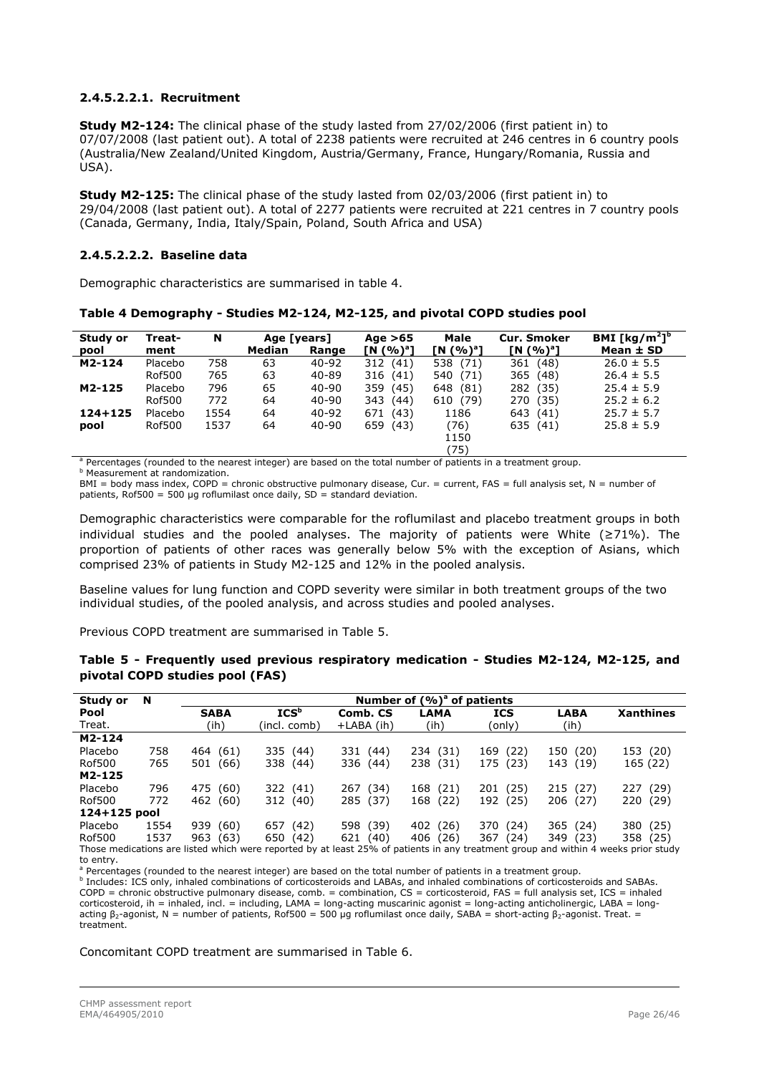### **2.4.5.2.2.1. Recruitment**

**Study M2-124:** The clinical phase of the study lasted from 27/02/2006 (first patient in) to 07/07/2008 (last patient out). A total of 2238 patients were recruited at 246 centres in 6 country pools (Australia/New Zealand/United Kingdom, Austria/Germany, France, Hungary/Romania, Russia and USA).

**Study M2-125:** The clinical phase of the study lasted from 02/03/2006 (first patient in) to 29/04/2008 (last patient out). A total of 2277 patients were recruited at 221 centres in 7 country pools (Canada, Germany, India, Italy/Spain, Poland, South Africa and USA)

### **2.4.5.2.2.2. Baseline data**

Demographic characteristics are summarised in table 4.

**Table 4 Demography - Studies M2-124, M2-125, and pivotal COPD studies pool** 

| Study or<br>pool | Treat-<br>ment | N    | Age [years]<br>Median | Range     | Age $>65$<br>[N (%) <sup>a</sup> ] | Male<br>[N (%) <sup>a</sup> ] | <b>Cur. Smoker</b><br>[N (%) <sup>a</sup> ] | BMI [kg/m <sup>2</sup> ] <sup>b</sup><br>Mean $\pm$ SD |
|------------------|----------------|------|-----------------------|-----------|------------------------------------|-------------------------------|---------------------------------------------|--------------------------------------------------------|
| M2-124           | Placebo        | 758  | 63                    | $40 - 92$ | 312 (41)                           | 538 (71)                      | 361 (48)                                    | $26.0 \pm 5.5$                                         |
|                  | Rof500         | 765  | 63                    | 40-89     | 316 (41)                           | 540 (71)                      | 365 (48)                                    | $26.4 \pm 5.5$                                         |
| M2-125           | Placebo        | 796  | 65                    | 40-90     | 359 (45)                           | 648 (81)                      | 282 (35)                                    | $25.4 \pm 5.9$                                         |
|                  | Rof500         | 772  | 64                    | 40-90     | 343 (44)                           | 610 (79)                      | 270 (35)                                    | $25.2 \pm 6.2$                                         |
| $124 + 125$      | Placebo        | 1554 | 64                    | 40-92     | (43)<br>671                        | 1186                          | 643 (41)                                    | $25.7 \pm 5.7$                                         |
| pool             | Rof500         | 1537 | 64                    | 40-90     | 659 (43)                           | (76)                          | 635 (41)                                    | $25.8 \pm 5.9$                                         |
|                  |                |      |                       |           |                                    | 1150                          |                                             |                                                        |
|                  |                |      |                       |           |                                    | (75)                          |                                             |                                                        |

<sup>a</sup> Percentages (rounded to the nearest integer) are based on the total number of patients in a treatment group.<br><sup>b</sup> Measurement at randomization **b** Measurement at randomization.

 $BMI = body$  mass index, COPD = chronic obstructive pulmonary disease, Cur. = current, FAS = full analysis set, N = number of patients,  $Rof500 = 500$  µg roflumilast once daily,  $SD =$  standard deviation.

Demographic characteristics were comparable for the roflumilast and placebo treatment groups in both individual studies and the pooled analyses. The majority of patients were White (≥71%). The proportion of patients of other races was generally below 5% with the exception of Asians, which comprised 23% of patients in Study M2-125 and 12% in the pooled analysis.

Baseline values for lung function and COPD severity were similar in both treatment groups of the two individual studies, of the pooled analysis, and across studies and pooled analyses.

Previous COPD treatment are summarised in Table 5.

| Study or     | N    | Number of $(%)^a$ of patients |                                                                                                                                    |             |             |             |             |                  |  |  |  |  |  |
|--------------|------|-------------------------------|------------------------------------------------------------------------------------------------------------------------------------|-------------|-------------|-------------|-------------|------------------|--|--|--|--|--|
| Pool         |      | <b>SABA</b>                   | ICS <sup>b</sup>                                                                                                                   | Comb. CS    | LAMA        | <b>ICS</b>  | <b>LABA</b> | <b>Xanthines</b> |  |  |  |  |  |
| Treat.       |      | (ih)                          | (incl. comb)                                                                                                                       | +LABA (ih)  | (ih)        | (only)      | (ih)        |                  |  |  |  |  |  |
| M2-124       |      |                               |                                                                                                                                    |             |             |             |             |                  |  |  |  |  |  |
| Placebo      | 758  | 464 (61)                      | 335 (44)                                                                                                                           | 331 (44)    | 234 (31)    | 169 (22)    | 150 (20)    | 153 (20)         |  |  |  |  |  |
| Rof500       | 765  | (66)<br>501                   | 338<br>(44)                                                                                                                        | 336 (44)    | (31)<br>238 | 175 (23)    | 143 (19)    | 165 (22)         |  |  |  |  |  |
| M2-125       |      |                               |                                                                                                                                    |             |             |             |             |                  |  |  |  |  |  |
| Placebo      | 796  | 475 (60)                      | 322 (41)                                                                                                                           | (34)<br>267 | 168<br>(21) | (25)<br>201 | 215(27)     | (29)<br>227      |  |  |  |  |  |
| Rof500       | 772  | 462 (60)                      | 312 (40)                                                                                                                           | 285 (37)    | (22)<br>168 | (25)<br>192 | 206 (27)    | 220 (29)         |  |  |  |  |  |
| 124+125 pool |      |                               |                                                                                                                                    |             |             |             |             |                  |  |  |  |  |  |
| Placebo      | 1554 | (60)<br>939                   | 657<br>(42)                                                                                                                        | (39)<br>598 | (26)<br>402 | (24)<br>370 | 365 (24)    | 380 (25)         |  |  |  |  |  |
| Rof500       | 1537 | 963<br>(63)                   | 650<br>(42)                                                                                                                        | 621<br>(40) | (26)<br>406 | 367<br>(24) | 349 (23)    | 358 (25)         |  |  |  |  |  |
|              |      |                               | Those medications are listed which were reported by at least 25% of patients in any treatment group and within 4 weeks prior study |             |             |             |             |                  |  |  |  |  |  |

#### **Table 5 - Frequently used previous respiratory medication - Studies M2-124, M2-125, and pivotal COPD studies pool (FAS)**

to entry.

a percentages (rounded to the nearest integer) are based on the total number of patients in a treatment group.

<sup>a</sup> Percentages (rounded to the nearest integer) are based on the total number of patients in a treatment group.<br><sup>b</sup> Includes: ICS only, inhaled combinations of corticosteroids and LABAs, and inhaled combinations of cortic COPD = chronic obstructive pulmonary disease, comb. = combination, CS = corticosteroid, FAS = full analysis set, ICS = inhaled corticosteroid, ih = inhaled, incl. = including, LAMA = long-acting muscarinic agonist = long-acting anticholinergic, LABA = longacting β<sub>2</sub>-agonist, N = number of patients, Rof500 = 500 µg roflumilast once daily, SABA = short-acting β<sub>2</sub>-agonist. Treat. = treatment.

Concomitant COPD treatment are summarised in Table 6.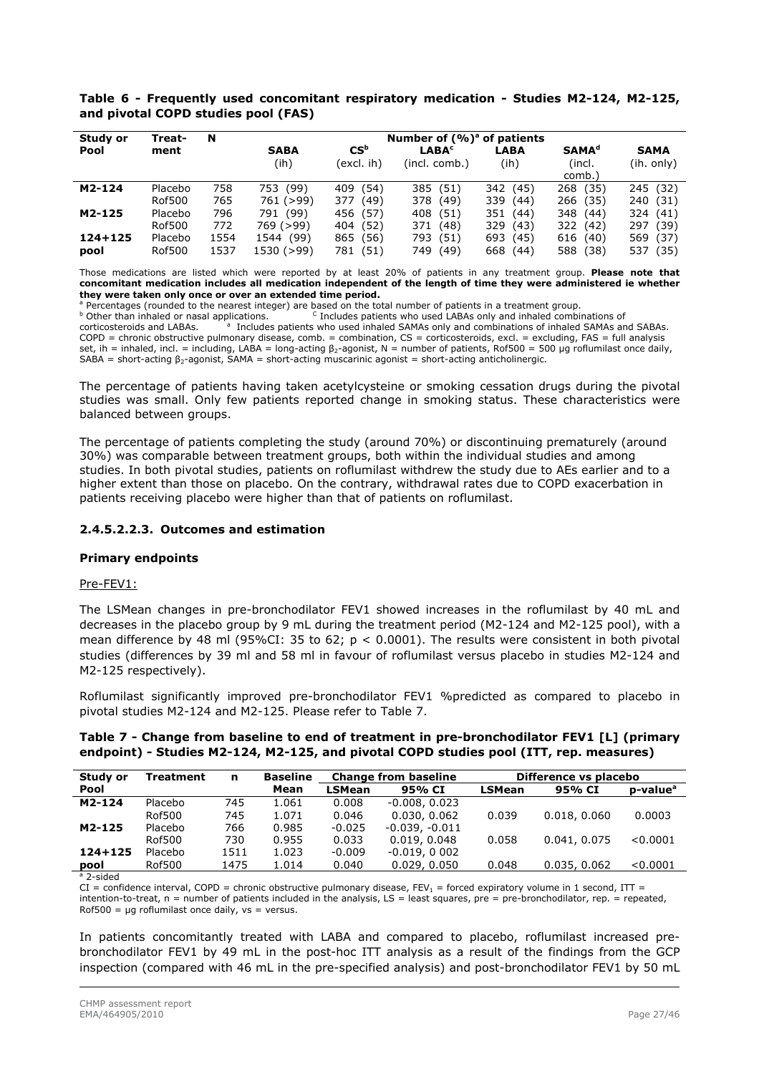| Study or    | Treat-        | N    | Number of $(%)^a$ of patients |                            |                   |             |                         |             |  |  |  |  |
|-------------|---------------|------|-------------------------------|----------------------------|-------------------|-------------|-------------------------|-------------|--|--|--|--|
| Pool        | ment          |      | <b>SABA</b>                   | $\mathsf{CS}^{\mathsf{b}}$ | LABA <sup>c</sup> | LABA        | <b>SAMA<sup>d</sup></b> | <b>SAMA</b> |  |  |  |  |
|             |               |      | (ih)                          | (excl. ih)                 | (incl. comb.)     | (ih)        | (incl.                  | (ih. only)  |  |  |  |  |
|             |               |      |                               |                            |                   |             | comb.)                  |             |  |  |  |  |
| M2-124      | Placebo       | 758  | 753 (99)                      | 409 (54)                   | 385 (51)          | 342 (45)    | 268 (35)                | 245 (32)    |  |  |  |  |
|             | <b>Rof500</b> | 765  | 761 (>99)                     | (49)<br>377                | 378<br>(49)       | 339 (44)    | 266 (35)                | 240 (31)    |  |  |  |  |
| M2-125      | Placebo       | 796  | 791 (99)                      | 456 (57)                   | 408 (51)          | 351 (44)    | 348 (44)                | 324 (41)    |  |  |  |  |
|             | <b>Rof500</b> | 772  | 769 (>99)                     | 404 (52)                   | 371<br>(48)       | 329 (43)    | 322 (42)                | 297 (39)    |  |  |  |  |
| $124 + 125$ | Placebo       | 1554 | 1544 (99)                     | 865 (56)                   | (51)<br>793       | 693 (45)    | 616 (40)                | 569 (37)    |  |  |  |  |
| pool        | <b>Rof500</b> | 1537 | 1530 (>99)                    | 781 (51)                   | 749<br>(49)       | 668<br>(44) | 588<br>(38)             | 537 (35)    |  |  |  |  |

### **Table 6 - Frequently used concomitant respiratory medication - Studies M2-124, M2-125, and pivotal COPD studies pool (FAS)**

Those medications are listed which were reported by at least 20% of patients in any treatment group. **Please note that concomitant medication includes all medication independent of the length of time they were administered ie whether they were taken only once or over an extended time period.** 

<sup>a</sup> Percentages (rounded to the nearest integer) are based on the total number of patients in a treatment group.<br><sup>b</sup> Other than inhaled or nasal applications. Cancilludes patients who used LABAs only and inhaled combinatio corticosteroids and LABAs. a Includes patients who used inhaled SAMAs only and combinations of inhaled SAMAs and SABAs. COPD = chronic obstructive pulmonary disease, comb. = combination, CS = corticosteroids, excl. = excluding, FAS = full analysis set, ih = inhaled, incl. = including, LABA = long-acting β<sub>2</sub>-agonist, N = number of patients, Rof500 = 500 µg roflumilast once daily, SABA = short-acting  $\beta_2$ -agonist, SAMA = short-acting muscarinic agonist = short-acting anticholinergic.

The percentage of patients having taken acetylcysteine or smoking cessation drugs during the pivotal studies was small. Only few patients reported change in smoking status. These characteristics were balanced between groups.

The percentage of patients completing the study (around 70%) or discontinuing prematurely (around 30%) was comparable between treatment groups, both within the individual studies and among studies. In both pivotal studies, patients on roflumilast withdrew the study due to AEs earlier and to a higher extent than those on placebo. On the contrary, withdrawal rates due to COPD exacerbation in patients receiving placebo were higher than that of patients on roflumilast.

### **2.4.5.2.2.3. Outcomes and estimation**

### **Primary endpoints**

### Pre-FEV1:

The LSMean changes in pre-bronchodilator FEV1 showed increases in the roflumilast by 40 mL and decreases in the placebo group by 9 mL during the treatment period (M2-124 and M2-125 pool), with a mean difference by 48 ml (95%CI: 35 to 62;  $p < 0.0001$ ). The results were consistent in both pivotal studies (differences by 39 ml and 58 ml in favour of roflumilast versus placebo in studies M2-124 and M2-125 respectively).

Roflumilast significantly improved pre-bronchodilator FEV1 %predicted as compared to placebo in pivotal studies M2-124 and M2-125. Please refer to Table 7.

#### **Table 7 - Change from baseline to end of treatment in pre-bronchodilator FEV1 [L] (primary endpoint) - Studies M2-124, M2-125, and pivotal COPD studies pool (ITT, rep. measures)**

| Study or    | <b>Treatment</b> | n    | <b>Baseline</b> | <b>Change from baseline</b> |                  |               | Difference vs placebo |                      |
|-------------|------------------|------|-----------------|-----------------------------|------------------|---------------|-----------------------|----------------------|
| Pool        |                  |      | Mean            | <b>LSMean</b>               | 95% CI           | <b>LSMean</b> | 95% CI                | p-value <sup>a</sup> |
| M2-124      | Placebo          | 745  | 1.061           | 0.008                       | $-0.008, 0.023$  |               |                       |                      |
|             | Rof500           | 745  | 1.071           | 0.046                       | 0.030, 0.062     | 0.039         | 0.018, 0.060          | 0.0003               |
| M2-125      | Placebo          | 766  | 0.985           | $-0.025$                    | $-0.039, -0.011$ |               |                       |                      |
|             | Rof500           | 730  | 0.955           | 0.033                       | 0.019.0.048      | 0.058         | 0.041, 0.075          | < 0.0001             |
| $124 + 125$ | Placebo          | 1511 | 1.023           | $-0.009$                    | $-0.019, 0.002$  |               |                       |                      |
| pool        | Rof500           | 1475 | 1.014           | 0.040                       | 0.029, 0.050     | 0.048         | 0.035, 0.062          | < 0.0001             |
| a a cidod   |                  |      |                 |                             |                  |               |                       |                      |

 $^{\frac{1}{a}}$  2-sided

 $CI =$  confidence interval, COPD = chronic obstructive pulmonary disease, FEV<sub>1</sub> = forced expiratory volume in 1 second, ITT = intention-to-treat,  $n =$  number of patients included in the analysis,  $LS =$  least squares,  $pre = pre-bronchodilator$ ,  $rep. = repeated$ ,  $Rof500 = \mu g$  roflumilast once daily, vs = versus.

In patients concomitantly treated with LABA and compared to placebo, roflumilast increased prebronchodilator FEV1 by 49 mL in the post-hoc ITT analysis as a result of the findings from the GCP inspection (compared with 46 mL in the pre-specified analysis) and post-bronchodilator FEV1 by 50 mL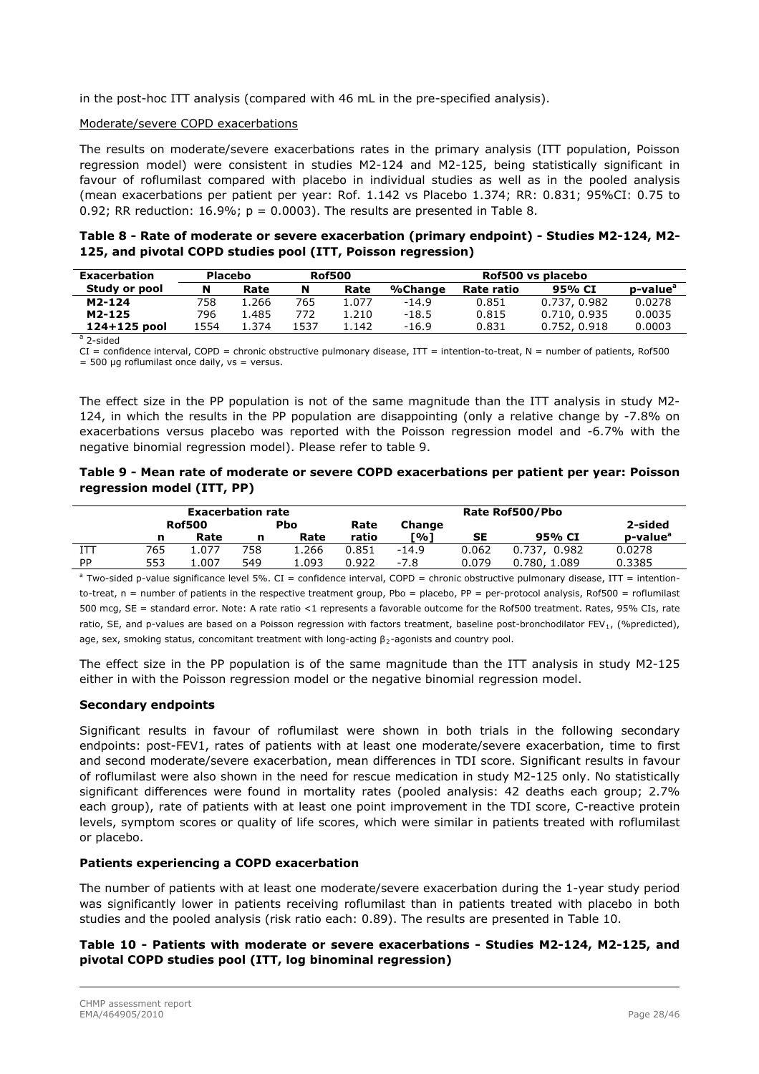in the post-hoc ITT analysis (compared with 46 mL in the pre-specified analysis).

#### Moderate/severe COPD exacerbations

The results on moderate/severe exacerbations rates in the primary analysis (ITT population, Poisson regression model) were consistent in studies M2-124 and M2-125, being statistically significant in favour of roflumilast compared with placebo in individual studies as well as in the pooled analysis (mean exacerbations per patient per year: Rof. 1.142 vs Placebo 1.374; RR: 0.831; 95%CI: 0.75 to 0.92; RR reduction:  $16.9\%$ ;  $p = 0.0003$ ). The results are presented in Table 8.

### **Table 8 - Rate of moderate or severe exacerbation (primary endpoint) - Studies M2-124, M2- 125, and pivotal COPD studies pool (ITT, Poisson regression)**

| <b>Rof500</b><br><b>Exacerbation</b><br><b>Placebo</b> |      |       |      |       | Rof500 vs placebo |            |              |                      |  |
|--------------------------------------------------------|------|-------|------|-------|-------------------|------------|--------------|----------------------|--|
| Study or pool                                          | N    | Rate  | N    | Rate  | %Change           | Rate ratio | 95% CI       | p-value <sup>a</sup> |  |
| M2-124                                                 | 758  | . 266 | 765  | 1.077 | $-14.9$           | 0.851      | 0.737, 0.982 | 0.0278               |  |
| M2-125                                                 | 796  | . 485 | 772  | 1.210 | $-18.5$           | 0.815      | 0.710.0.935  | 0.0035               |  |
| 124+125 pool                                           | 1554 | L.374 | 1537 | 1.142 | -16.9             | 0.831      | 0.752, 0.918 | 0.0003               |  |
| an sided                                               |      |       |      |       |                   |            |              |                      |  |

 $a$  2-sided

 $CI =$  confidence interval, COPD = chronic obstructive pulmonary disease, ITT = intention-to-treat, N = number of patients, Rof500  $= 500$  ug roflumilast once daily, ys  $=$  versus.

The effect size in the PP population is not of the same magnitude than the ITT analysis in study M2- 124, in which the results in the PP population are disappointing (only a relative change by -7.8% on exacerbations versus placebo was reported with the Poisson regression model and -6.7% with the negative binomial regression model). Please refer to table 9.

#### **Table 9 - Mean rate of moderate or severe COPD exacerbations per patient per year: Poisson regression model (ITT, PP)**

|           |     | <b>Exacerbation rate</b> |     |             |       |         |           | Rate Rof500/Pbo |                      |
|-----------|-----|--------------------------|-----|-------------|-------|---------|-----------|-----------------|----------------------|
|           |     | <b>Rof500</b>            |     | <b>P</b> bo | Rate  | Change  |           |                 | 2-sided              |
|           | n   | Rate                     | n   | Rate        | ratio | [%]     | <b>SE</b> | 95% CI          | p-value <sup>a</sup> |
| ITT       | 765 | 1.077                    | 758 | 1.266       | 0.851 | $-14.9$ | 0.062     | 0.982<br>0.737. | 0.0278               |
| <b>PP</b> | 553 | 007                      | 549 | L.093       | 0.922 | $-7.8$  | 0.079     | 0.780, 1.089    | 0.3385               |

<sup>a</sup> Two-sided p-value significance level 5%. CI = confidence interval, COPD = chronic obstructive pulmonary disease, ITT = intentionto-treat,  $n =$  number of patients in the respective treatment group, Pbo = placebo, PP = per-protocol analysis, Rof500 = roflumilast 500 mcg, SE = standard error. Note: A rate ratio <1 represents a favorable outcome for the Rof500 treatment. Rates, 95% CIs, rate ratio, SE, and p-values are based on a Poisson regression with factors treatment, baseline post-bronchodilator FEV<sub>1</sub>, (%predicted), age, sex, smoking status, concomitant treatment with long-acting β<sub>2</sub>-agonists and country pool.

The effect size in the PP population is of the same magnitude than the ITT analysis in study M2-125 either in with the Poisson regression model or the negative binomial regression model.

### **Secondary endpoints**

Significant results in favour of roflumilast were shown in both trials in the following secondary endpoints: post-FEV1, rates of patients with at least one moderate/severe exacerbation, time to first and second moderate/severe exacerbation, mean differences in TDI score. Significant results in favour of roflumilast were also shown in the need for rescue medication in study M2-125 only. No statistically significant differences were found in mortality rates (pooled analysis: 42 deaths each group; 2.7% each group), rate of patients with at least one point improvement in the TDI score, C-reactive protein levels, symptom scores or quality of life scores, which were similar in patients treated with roflumilast or placebo.

### **Patients experiencing a COPD exacerbation**

The number of patients with at least one moderate/severe exacerbation during the 1-year study period was significantly lower in patients receiving roflumilast than in patients treated with placebo in both studies and the pooled analysis (risk ratio each: 0.89). The results are presented in Table 10.

### **Table 10 - Patients with moderate or severe exacerbations - Studies M2-124, M2-125, and pivotal COPD studies pool (ITT, log binominal regression)**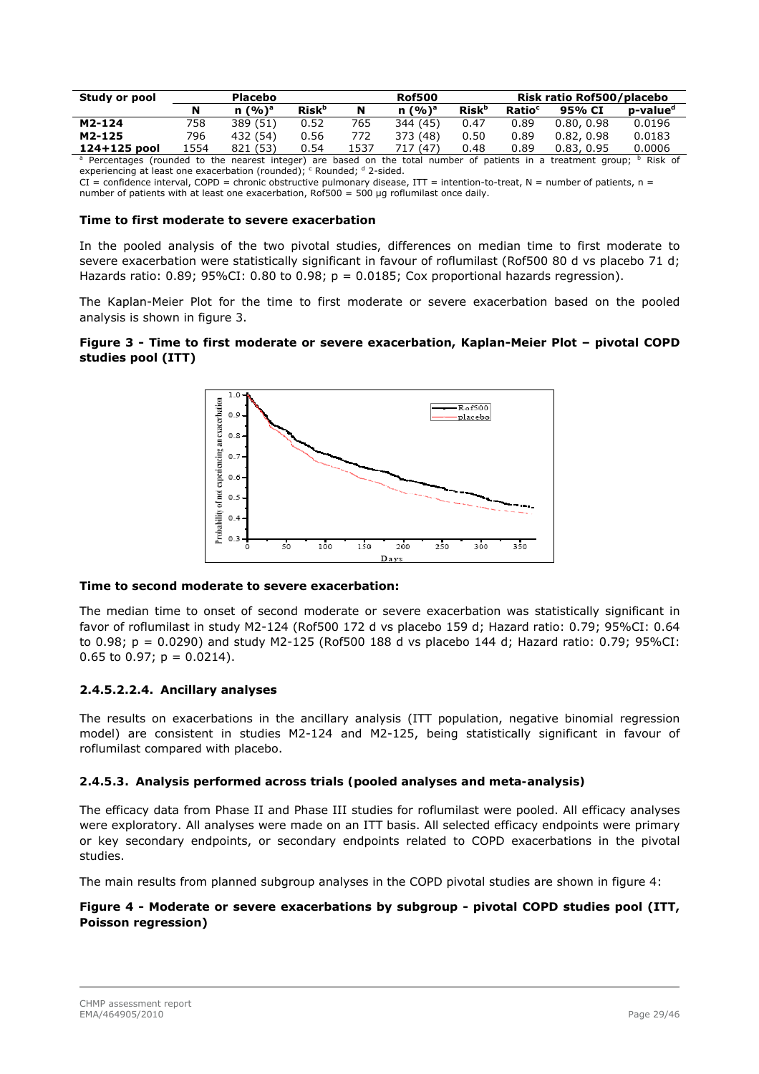| Study or pool            |      | <b>Placebo</b> |                          |      | <b>Rof500</b> |                          |                    | Risk ratio Rof500/placebo                                                                        |                      |
|--------------------------|------|----------------|--------------------------|------|---------------|--------------------------|--------------------|--------------------------------------------------------------------------------------------------|----------------------|
|                          |      | $n (%)^a$      | <b>Risk</b> <sup>b</sup> | N    | $n (%)^a$     | <b>Risk</b> <sup>b</sup> | Ratio <sup>c</sup> | 95% CI                                                                                           | p-value <sup>d</sup> |
| M2-124                   | 758  | 389 (51)       | 0.52                     | 765  | 344 (45)      | 0.47                     | 0.89               | 0.80, 0.98                                                                                       | 0.0196               |
| M2-125                   | 796  | 432 (54)       | 0.56                     | 772  | 373 (48)      | 0.50                     | 0.89               | 0.82, 0.98                                                                                       | 0.0183               |
| 124+125 pool             | 1554 | 821 (53)       | 0.54                     | 1537 | 717 (47)      | 0.48                     | 0.89               | 0.83, 0.95                                                                                       | 0.0006               |
| <sup>a</sup> Percentages |      |                |                          |      |               |                          |                    | (rounded to the nearest integer) are based on the total number of patients in a treatment group; | Risk of              |

experiencing at least one exacerbation (rounded); <sup>c</sup> Rounded; <sup>d</sup> 2-sided.  $CI = confidence$  interval, COPD = chronic obstructive pulmonary disease,  $IT =$  intention-to-treat, N = number of patients, n =

number of patients with at least one exacerbation, Rof500 = 500 μg roflumilast once daily.

### **Time to first moderate to severe exacerbation**

In the pooled analysis of the two pivotal studies, differences on median time to first moderate to severe exacerbation were statistically significant in favour of roflumilast (Rof500 80 d vs placebo 71 d; Hazards ratio:  $0.89$ ;  $95\%$ CI:  $0.80$  to  $0.98$ ;  $p = 0.0185$ ; Cox proportional hazards regression).

The Kaplan-Meier Plot for the time to first moderate or severe exacerbation based on the pooled analysis is shown in figure 3.

#### **Figure 3 - Time to first moderate or severe exacerbation, Kaplan-Meier Plot – pivotal COPD studies pool (ITT)**



### **Time to second moderate to severe exacerbation:**

The median time to onset of second moderate or severe exacerbation was statistically significant in favor of roflumilast in study M2-124 (Rof500 172 d vs placebo 159 d; Hazard ratio: 0.79; 95%CI: 0.64 to 0.98; p = 0.0290) and study M2-125 (Rof500 188 d vs placebo 144 d; Hazard ratio: 0.79; 95%CI: 0.65 to 0.97;  $p = 0.0214$ ).

### **2.4.5.2.2.4. Ancillary analyses**

The results on exacerbations in the ancillary analysis (ITT population, negative binomial regression model) are consistent in studies M2-124 and M2-125, being statistically significant in favour of roflumilast compared with placebo.

#### *2.4.5.3. Analysis performed across trials (pooled analyses and meta-analysis)*

The efficacy data from Phase II and Phase III studies for roflumilast were pooled. All efficacy analyses were exploratory. All analyses were made on an ITT basis. All selected efficacy endpoints were primary or key secondary endpoints, or secondary endpoints related to COPD exacerbations in the pivotal studies.

The main results from planned subgroup analyses in the COPD pivotal studies are shown in figure 4:

### **Figure 4 - Moderate or severe exacerbations by subgroup - pivotal COPD studies pool (ITT, Poisson regression)**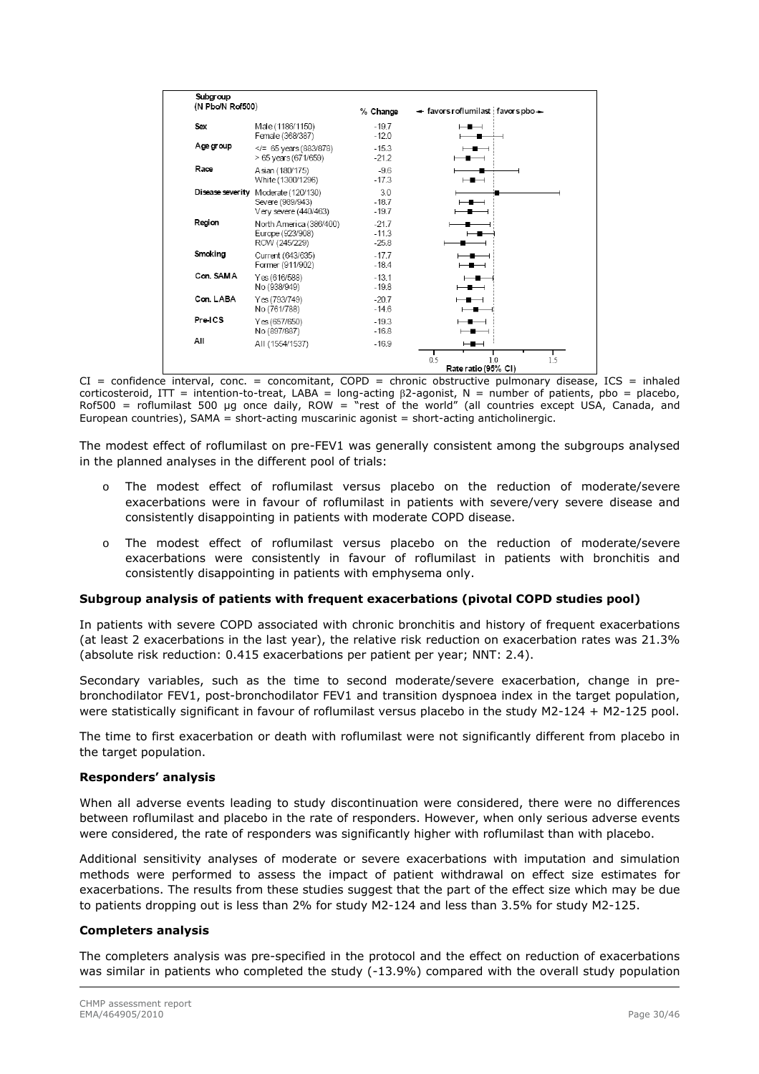| Subgroup<br>(N Pbo/N Rof500) |                                                                                  | % Change                      | + favors roflumilast favors pbo+         |
|------------------------------|----------------------------------------------------------------------------------|-------------------------------|------------------------------------------|
| Sex                          | Male (1186/1150)<br>Female (368/387)                                             | $-19.7$<br>$-12.0$            | ⊢∎⊣                                      |
| Age group                    | $\le$ /= 65 years (883/878)<br>> 65 years (671/659)                              | $-15.3$<br>$-21.2$            | $\overline{\phantom{a}}$<br>—            |
| Race                         | Asian (180/175)<br>White (1300/1296)                                             | $-9.6$<br>$-17.3$             | $\overline{\phantom{a}}$                 |
|                              | Disease severity Moderate (120/130)<br>Severe (989/943)<br>Very severe (440/463) | 3.0<br>$-18.7$<br>$-19.7$     | $\overline{\phantom{a}}$<br>-            |
| Region                       | North America (386/400)<br>Europe (923/908)<br>ROW (245/229)                     | $-21.7$<br>$-11.3$<br>$-25.8$ | -                                        |
| Smoking                      | Current (643/635)<br>Former (911/902)                                            | $-17.7$<br>$-18.4$            | ╼▆══╛<br>$-$                             |
| Con. SAMA                    | Yes (616/588)<br>No (938/949)                                                    | $-13.1$<br>$-19.8$            | ╼<br>$\overline{\phantom{a}}$            |
| Con. LABA                    | Yes (793/749)<br>No (761/788)                                                    | $-20.7$<br>$-14.6$            | $-$<br>—∎-                               |
| Pre-ICS                      | Yes (657/650)<br>No (897/887)                                                    | $-19.3$<br>$-16.8$            | $-$<br>$\overline{\phantom{0}}$          |
| All                          | AII (1554/1537)                                                                  | $-16.9$                       | $\overline{\phantom{0}}$                 |
|                              |                                                                                  |                               | 0.5<br>1.5<br>1.0<br>Rate ratio (95% CI) |

CI = confidence interval, conc. = concomitant, COPD = chronic obstructive pulmonary disease, ICS = inhaled corticosteroid, ITT = intention-to-treat, LABA = long-acting  $\beta$ 2-agonist, N = number of patients, pbo = placebo,  $Rof500 =$  roflumilast 500 µg once daily,  $ROW =$  rest of the world" (all countries except USA, Canada, and European countries), SAMA = short-acting muscarinic agonist = short-acting anticholinergic.

The modest effect of roflumilast on pre-FEV1 was generally consistent among the subgroups analysed in the planned analyses in the different pool of trials:

- The modest effect of roflumilast versus placebo on the reduction of moderate/severe exacerbations were in favour of roflumilast in patients with severe/very severe disease and consistently disappointing in patients with moderate COPD disease.
- o The modest effect of roflumilast versus placebo on the reduction of moderate/severe exacerbations were consistently in favour of roflumilast in patients with bronchitis and consistently disappointing in patients with emphysema only.

### **Subgroup analysis of patients with frequent exacerbations (pivotal COPD studies pool)**

In patients with severe COPD associated with chronic bronchitis and history of frequent exacerbations (at least 2 exacerbations in the last year), the relative risk reduction on exacerbation rates was 21.3% (absolute risk reduction: 0.415 exacerbations per patient per year; NNT: 2.4).

Secondary variables, such as the time to second moderate/severe exacerbation, change in prebronchodilator FEV1, post-bronchodilator FEV1 and transition dyspnoea index in the target population, were statistically significant in favour of roflumilast versus placebo in the study M2-124 + M2-125 pool.

The time to first exacerbation or death with roflumilast were not significantly different from placebo in the target population.

#### **Responders' analysis**

When all adverse events leading to study discontinuation were considered, there were no differences between roflumilast and placebo in the rate of responders. However, when only serious adverse events were considered, the rate of responders was significantly higher with roflumilast than with placebo.

Additional sensitivity analyses of moderate or severe exacerbations with imputation and simulation methods were performed to assess the impact of patient withdrawal on effect size estimates for exacerbations. The results from these studies suggest that the part of the effect size which may be due to patients dropping out is less than 2% for study M2-124 and less than 3.5% for study M2-125.

### **Completers analysis**

The completers analysis was pre-specified in the protocol and the effect on reduction of exacerbations was similar in patients who completed the study (-13.9%) compared with the overall study population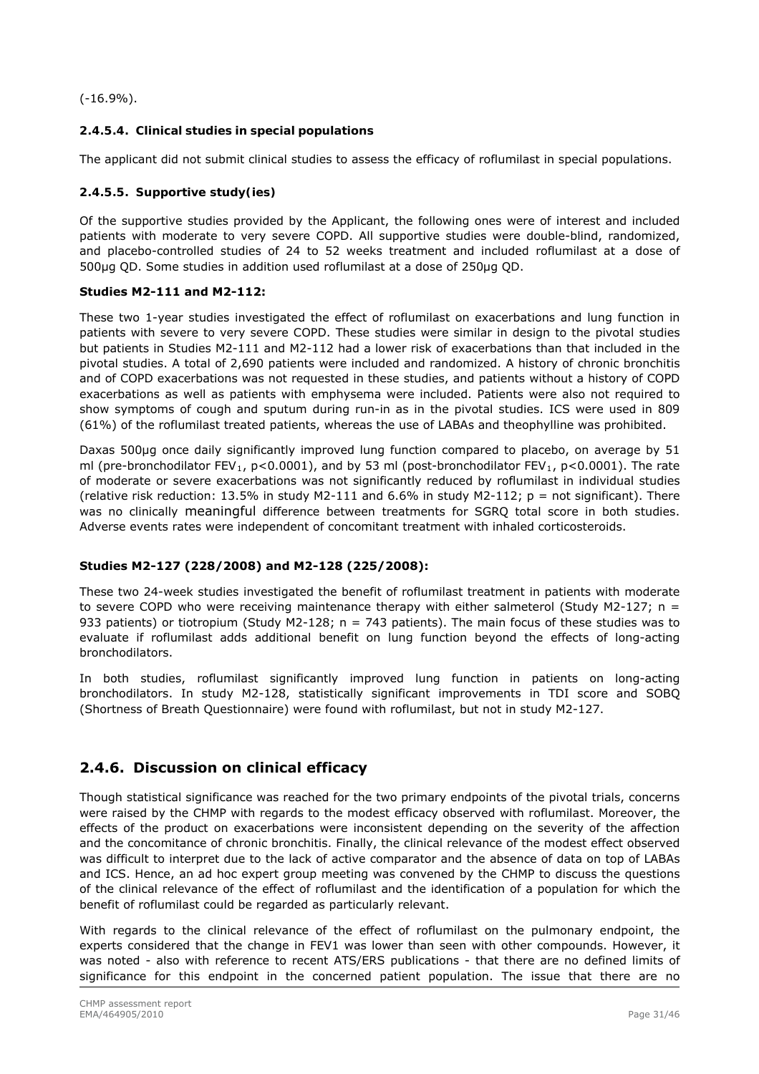(-16.9%).

### *2.4.5.4. Clinical studies in special populations*

The applicant did not submit clinical studies to assess the efficacy of roflumilast in special populations.

### *2.4.5.5. Supportive study(ies)*

Of the supportive studies provided by the Applicant, the following ones were of interest and included patients with moderate to very severe COPD. All supportive studies were double-blind, randomized, and placebo-controlled studies of 24 to 52 weeks treatment and included roflumilast at a dose of 500μg QD. Some studies in addition used roflumilast at a dose of 250μg QD.

#### **Studies M2-111 and M2-112:**

These two 1-year studies investigated the effect of roflumilast on exacerbations and lung function in patients with severe to very severe COPD. These studies were similar in design to the pivotal studies but patients in Studies M2-111 and M2-112 had a lower risk of exacerbations than that included in the pivotal studies. A total of 2,690 patients were included and randomized. A history of chronic bronchitis and of COPD exacerbations was not requested in these studies, and patients without a history of COPD exacerbations as well as patients with emphysema were included. Patients were also not required to show symptoms of cough and sputum during run-in as in the pivotal studies. ICS were used in 809 (61%) of the roflumilast treated patients, whereas the use of LABAs and theophylline was prohibited.

Daxas 500µg once daily significantly improved lung function compared to placebo, on average by 51 ml (pre-bronchodilator FEV<sub>1</sub>, p<0.0001), and by 53 ml (post-bronchodilator FEV<sub>1</sub>, p<0.0001). The rate of moderate or severe exacerbations was not significantly reduced by roflumilast in individual studies (relative risk reduction: 13.5% in study M2-111 and 6.6% in study M2-112;  $p = not$  significant). There was no clinically meaningful difference between treatments for SGRQ total score in both studies. Adverse events rates were independent of concomitant treatment with inhaled corticosteroids.

### **Studies M2-127 (228/2008) and M2-128 (225/2008):**

These two 24-week studies investigated the benefit of roflumilast treatment in patients with moderate to severe COPD who were receiving maintenance therapy with either salmeterol (Study M2-127;  $n =$ 933 patients) or tiotropium (Study M2-128; n = 743 patients). The main focus of these studies was to evaluate if roflumilast adds additional benefit on lung function beyond the effects of long-acting bronchodilators.

In both studies, roflumilast significantly improved lung function in patients on long-acting bronchodilators. In study M2-128, statistically significant improvements in TDI score and SOBQ (Shortness of Breath Questionnaire) were found with roflumilast, but not in study M2-127.

### **2.4.6. Discussion on clinical efficacy**

Though statistical significance was reached for the two primary endpoints of the pivotal trials, concerns were raised by the CHMP with regards to the modest efficacy observed with roflumilast. Moreover, the effects of the product on exacerbations were inconsistent depending on the severity of the affection and the concomitance of chronic bronchitis. Finally, the clinical relevance of the modest effect observed was difficult to interpret due to the lack of active comparator and the absence of data on top of LABAs and ICS. Hence, an ad hoc expert group meeting was convened by the CHMP to discuss the questions of the clinical relevance of the effect of roflumilast and the identification of a population for which the benefit of roflumilast could be regarded as particularly relevant.

With regards to the clinical relevance of the effect of roflumilast on the pulmonary endpoint, the experts considered that the change in FEV1 was lower than seen with other compounds. However, it was noted - also with reference to recent ATS/ERS publications - that there are no defined limits of significance for this endpoint in the concerned patient population. The issue that there are no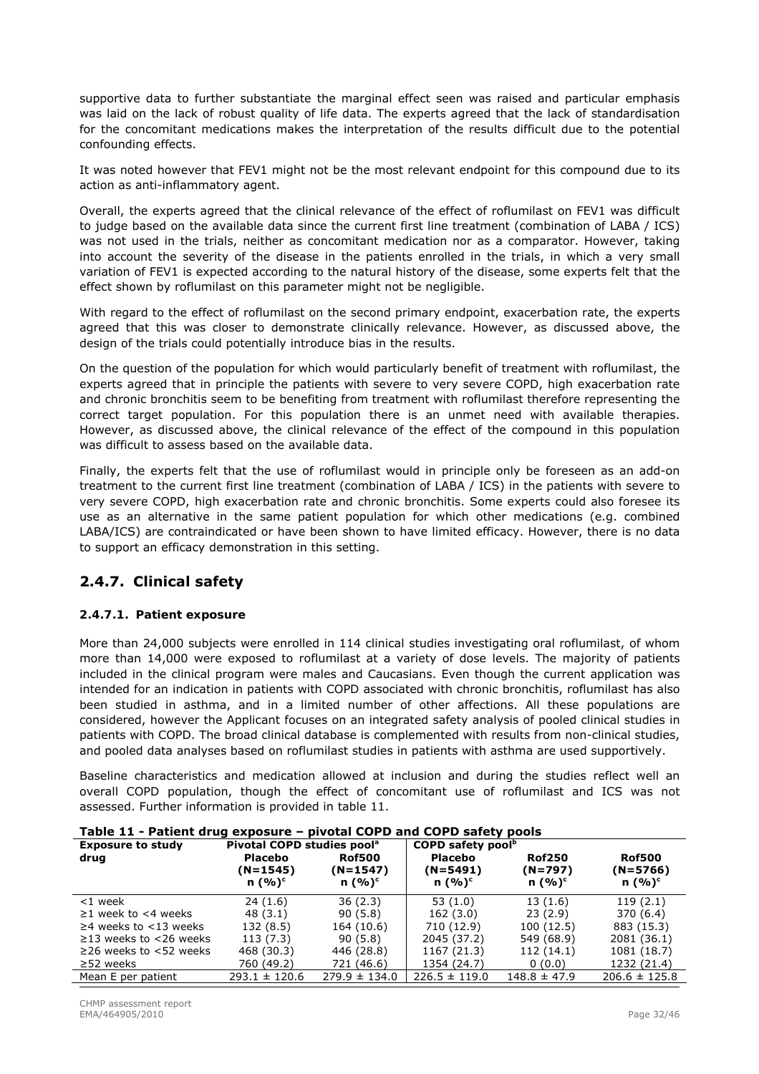supportive data to further substantiate the marginal effect seen was raised and particular emphasis was laid on the lack of robust quality of life data. The experts agreed that the lack of standardisation for the concomitant medications makes the interpretation of the results difficult due to the potential confounding effects.

It was noted however that FEV1 might not be the most relevant endpoint for this compound due to its action as anti-inflammatory agent.

Overall, the experts agreed that the clinical relevance of the effect of roflumilast on FEV1 was difficult to judge based on the available data since the current first line treatment (combination of LABA / ICS) was not used in the trials, neither as concomitant medication nor as a comparator. However, taking into account the severity of the disease in the patients enrolled in the trials, in which a very small variation of FEV1 is expected according to the natural history of the disease, some experts felt that the effect shown by roflumilast on this parameter might not be negligible.

With regard to the effect of roflumilast on the second primary endpoint, exacerbation rate, the experts agreed that this was closer to demonstrate clinically relevance. However, as discussed above, the design of the trials could potentially introduce bias in the results.

On the question of the population for which would particularly benefit of treatment with roflumilast, the experts agreed that in principle the patients with severe to very severe COPD, high exacerbation rate and chronic bronchitis seem to be benefiting from treatment with roflumilast therefore representing the correct target population. For this population there is an unmet need with available therapies. However, as discussed above, the clinical relevance of the effect of the compound in this population was difficult to assess based on the available data.

Finally, the experts felt that the use of roflumilast would in principle only be foreseen as an add-on treatment to the current first line treatment (combination of LABA / ICS) in the patients with severe to very severe COPD, high exacerbation rate and chronic bronchitis. Some experts could also foresee its use as an alternative in the same patient population for which other medications (e.g. combined LABA/ICS) are contraindicated or have been shown to have limited efficacy. However, there is no data to support an efficacy demonstration in this setting.

### **2.4.7. Clinical safety**

### *2.4.7.1. Patient exposure*

More than 24,000 subjects were enrolled in 114 clinical studies investigating oral roflumilast, of whom more than 14,000 were exposed to roflumilast at a variety of dose levels. The majority of patients included in the clinical program were males and Caucasians. Even though the current application was intended for an indication in patients with COPD associated with chronic bronchitis, roflumilast has also been studied in asthma, and in a limited number of other affections. All these populations are considered, however the Applicant focuses on an integrated safety analysis of pooled clinical studies in patients with COPD. The broad clinical database is complemented with results from non-clinical studies, and pooled data analyses based on roflumilast studies in patients with asthma are used supportively.

Baseline characteristics and medication allowed at inclusion and during the studies reflect well an overall COPD population, though the effect of concomitant use of roflumilast and ICS was not assessed. Further information is provided in table 11.

| Table 11 - Patient drug exposure - pivotal COPD and COPD safety pools |                                        |                   |                   |                               |                   |  |
|-----------------------------------------------------------------------|----------------------------------------|-------------------|-------------------|-------------------------------|-------------------|--|
| <b>Exposure to study</b>                                              | Pivotal COPD studies pool <sup>a</sup> |                   |                   | COPD safety pool <sup>b</sup> |                   |  |
| drug                                                                  | <b>Placebo</b>                         | <b>Rof500</b>     | <b>Placebo</b>    | <b>Rof250</b>                 | <b>Rof500</b>     |  |
|                                                                       | $(N=1545)$                             | $(N=1547)$        | $(N=5491)$        | $(N=797)$                     | $(N=5766)$        |  |
|                                                                       | n $(%)^c$                              | n $(%)^c$         | n $(\%)^c$        | n $(%)^c$                     | n $(%)^c$         |  |
| $<$ 1 week                                                            | 24(1.6)                                | 36(2.3)           | 53(1.0)           | 13(1.6)                       | 119(2.1)          |  |
| $\geq$ 1 week to <4 weeks                                             | 48(3.1)                                | 90(5.8)           | 162(3.0)          | 23(2.9)                       | 370 (6.4)         |  |
| $\geq$ 4 weeks to <13 weeks                                           | 132 (8.5)                              | 164 (10.6)        | 710 (12.9)        | 100(12.5)                     | 883 (15.3)        |  |
| $\geq$ 13 weeks to <26 weeks                                          | 113 (7.3)                              | 90(5.8)           | 2045 (37.2)       | 549 (68.9)                    | 2081 (36.1)       |  |
| $\geq$ 26 weeks to <52 weeks                                          | 468 (30.3)                             | 446 (28.8)        | 1167 (21.3)       | 112 (14.1)                    | 1081 (18.7)       |  |
| $\geq$ 52 weeks                                                       | 760 (49.2)                             | 721 (46.6)        | 1354 (24.7)       | 0(0.0)                        | 1232 (21.4)       |  |
| Mean E per patient                                                    | $293.1 \pm 120.6$                      | $279.9 \pm 134.0$ | $226.5 \pm 119.0$ | $148.8 \pm 47.9$              | $206.6 \pm 125.8$ |  |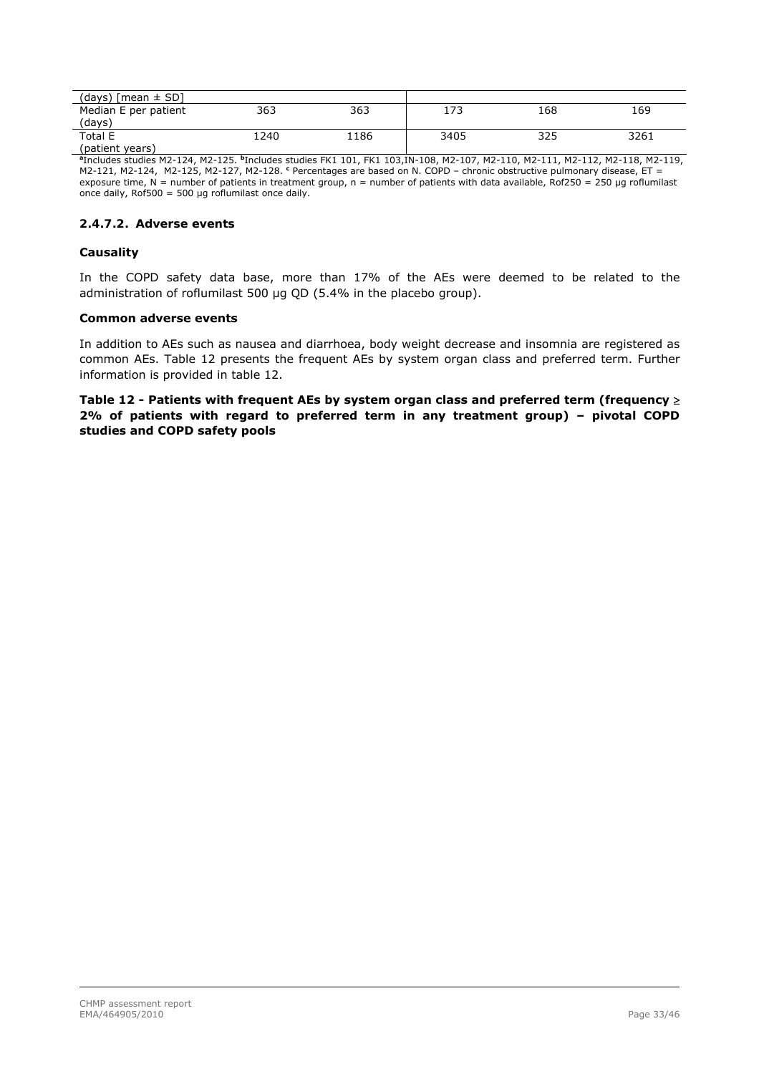| (days) $[mean \pm SD]$ |      |      |      |     |      |
|------------------------|------|------|------|-----|------|
| Median E per patient   | 363  | 363  | 173  | 168 | 169  |
| (days`                 |      |      |      |     |      |
| Total E                | 1240 | 1186 | 3405 | 325 | 3261 |
| $(national \theta)$    |      |      |      |     |      |

(patient years) **a** Includes studies M2-124, M2-125. **<sup>b</sup>**Includes studies FK1 101, FK1 103,IN-108, M2-107, M2-110, M2-111, M2-112, M2-118, M2-119, M2-121, M2-124, M2-125, M2-127, M2-128. **<sup>c</sup>** Percentages are based on N. COPD – chronic obstructive pulmonary disease, ET = exposure time,  $N =$  number of patients in treatment group,  $n =$  number of patients with data available, Rof250 = 250 µg roflumilast once daily,  $Rof500 = 500$  µg roflumilast once daily.

#### *2.4.7.2. Adverse events*

#### **Causality**

In the COPD safety data base, more than 17% of the AEs were deemed to be related to the administration of roflumilast 500 μg QD (5.4% in the placebo group).

#### **Common adverse events**

In addition to AEs such as nausea and diarrhoea, body weight decrease and insomnia are registered as common AEs. Table 12 presents the frequent AEs by system organ class and preferred term. Further information is provided in table 12.

**Table 12 - Patients with frequent AEs by system organ class and preferred term (frequency 2% of patients with regard to preferred term in any treatment group) – pivotal COPD studies and COPD safety pools**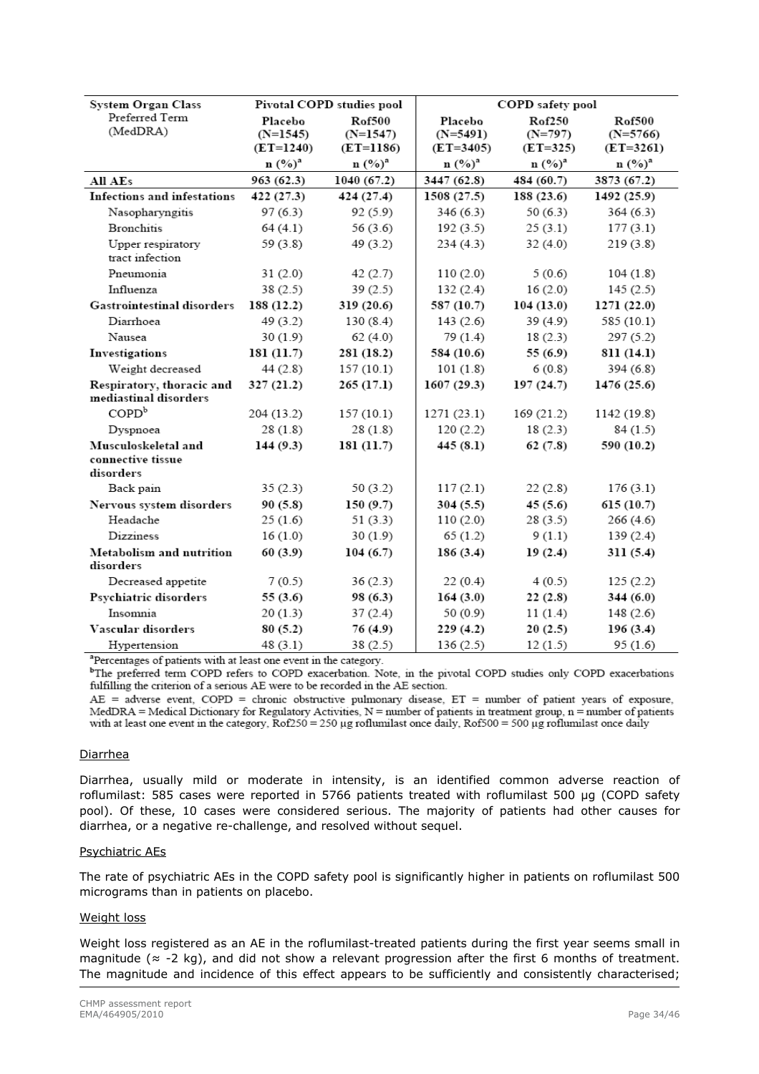| <b>System Organ Class</b>                             |                                      | Pivotal COPD studies pool                  | COPD safety pool                       |                                   |                                              |
|-------------------------------------------------------|--------------------------------------|--------------------------------------------|----------------------------------------|-----------------------------------|----------------------------------------------|
| Preferred Term<br>(MedDRA)                            | Placebo<br>$(N=1545)$<br>$(ET=1240)$ | <b>Rof500</b><br>$(N=1547)$<br>$(ET=1186)$ | Placebo<br>$(N=5491)$<br>$(ET = 3405)$ | Rof250<br>$(N=797)$<br>$(ET=325)$ | <b>Rof500</b><br>$(N=5766)$<br>$(ET = 3261)$ |
|                                                       | $\mathbf{n}$ $(\%)^a$                | $n (%)^a$                                  | n (%) <sup>a</sup>                     | $n (%)^a$                         | $n (%)^a$                                    |
| All AEs                                               | 963 (62.3)                           | 1040 (67.2)                                | 3447 (62.8)                            | 484 (60.7)                        | 3873 (67.2)                                  |
| Infections and infestations                           | 422 (27.3)                           | 424 (27.4)                                 | 1508 (27.5)                            | 188 (23.6)                        | 1492 (25.9)                                  |
| Nasopharyngitis                                       | 97(6.3)                              | 92 (5.9)                                   | 346 (6.3)                              | 50(6.3)                           | 364(6.3)                                     |
| <b>Bronchitis</b>                                     | 64(4.1)                              | 56 $(3.6)$                                 | 192(3.5)                               | 25(3.1)                           | 177(3.1)                                     |
| Upper respiratory<br>tract infection                  | 59 (3.8)                             | 49 (3.2)                                   | 234(4.3)                               | 32 (4.0)                          | 219 (3.8)                                    |
| Pneumonia                                             | 31(2.0)                              | 42(2.7)                                    | 110(2.0)                               | 5(0.6)                            | 104(1.8)                                     |
| Influenza                                             | 38(2.5)                              | 39(2.5)                                    | 132(2.4)                               | 16(2.0)                           | 145(2.5)                                     |
| <b>Gastrointestinal disorders</b>                     | 188 (12.2)                           | 319(20.6)                                  | 587 (10.7)                             | 104(13.0)                         | 1271 (22.0)                                  |
| Diarrhoea                                             | 49 (3.2)                             | 130(8.4)                                   | 143(2.6)                               | 39 (4.9)                          | 585 (10.1)                                   |
| Nausea                                                | 30(1.9)                              | 62(4.0)                                    | 79 (1.4)                               | 18(2.3)                           | 297 (5.2)                                    |
| Investigations                                        | 181 (11.7)                           | 281 (18.2)                                 | 584 (10.6)                             | 55 (6.9)                          | 811 (14.1)                                   |
| Weight decreased                                      | 44(2.8)                              | 157(10.1)                                  | 101(1.8)                               | 6(0.8)                            | 394 (6.8)                                    |
| Respiratory, thoracic and<br>mediastinal disorders    | 327(21.2)                            | 265(17.1)                                  | 1607(29.3)                             | 197(24.7)                         | 1476 (25.6)                                  |
| COPD <sup>b</sup>                                     | 204 (13.2)                           | 157(10.1)                                  | 1271 (23.1)                            | 169 (21.2)                        | 1142 (19.8)                                  |
| Dyspnoea                                              | 28(1.8)                              | 28(1.8)                                    | 120(2.2)                               | 18(2.3)                           | 84(1.5)                                      |
| Musculoskeletal and<br>connective tissue<br>disorders | 144(9.3)                             | 181 (11.7)                                 | 445 (8.1)                              | 62(7.8)                           | 590 (10.2)                                   |
| Back pain                                             | 35(2.3)                              | 50 $(3.2)$                                 | 117(2.1)                               | 22(2.8)                           | 176(3.1)                                     |
| Nervous system disorders                              | 90(5.8)                              | 150(9.7)                                   | 304(5.5)                               | 45(5.6)                           | 615(10.7)                                    |
| Headache                                              | 25(1.6)                              | 51 $(3.3)$                                 | 110(2.0)                               | 28(3.5)                           | 266 (4.6)                                    |
| Dizziness                                             | 16(1.0)                              | 30(1.9)                                    | 65(1.2)                                | 9(1.1)                            | 139 (2.4)                                    |
| Metabolism and nutrition<br>disorders                 | 60(3.9)                              | 104(6.7)                                   | 186 (3.4)                              | 19(2.4)                           | 311 (5.4)                                    |
| Decreased appetite                                    | 7(0.5)                               | 36(2.3)                                    | 22(0.4)                                | 4(0.5)                            | 125(2.2)                                     |
| Psychiatric disorders                                 | 55(3.6)                              | 98 (6.3)                                   | 164(3.0)                               | 22(2.8)                           | 344 (6.0)                                    |
| Insomnia                                              | 20 (1.3)                             | 37 (2.4)                                   | 50 (0.9)                               | 11(1.4)                           | 148 (2.6)                                    |
| Vascular disorders                                    | 80(5.2)                              | 76 (4.9)                                   | 229(4.2)                               | 20(2.5)                           | 196(3.4)                                     |
| Hypertension                                          | 48(3.1)                              | 38(2.5)                                    | 136 (2.5)                              | 12(1.5)                           | 95(1.6)                                      |

<sup>a</sup>Percentages of patients with at least one event in the category.

<sup>b</sup>The preferred term COPD refers to COPD exacerbation. Note, in the pivotal COPD studies only COPD exacerbations fulfilling the criterion of a serious AE were to be recorded in the AE section.

 $AE$  = adverse event, COPD = chronic obstructive pulmonary disease,  $ET$  = number of patient years of exposure,  $MedDRA = Medical Dictionary for Regularory Activities, N = number of patients in treatment group, n = number of patients$ with at least one event in the category,  $Rof250 = 250 \mu g$  roflumilast once daily,  $Rof500 = 500 \mu g$  roflumilast once daily

#### Diarrhea

Diarrhea, usually mild or moderate in intensity, is an identified common adverse reaction of roflumilast: 585 cases were reported in 5766 patients treated with roflumilast 500 µg (COPD safety pool). Of these, 10 cases were considered serious. The majority of patients had other causes for diarrhea, or a negative re-challenge, and resolved without sequel.

#### Psychiatric AEs

The rate of psychiatric AEs in the COPD safety pool is significantly higher in patients on roflumilast 500 micrograms than in patients on placebo.

#### Weight loss

Weight loss registered as an AE in the roflumilast-treated patients during the first year seems small in magnitude ( $\approx$  -2 kg), and did not show a relevant progression after the first 6 months of treatment. The magnitude and incidence of this effect appears to be sufficiently and consistently characterised;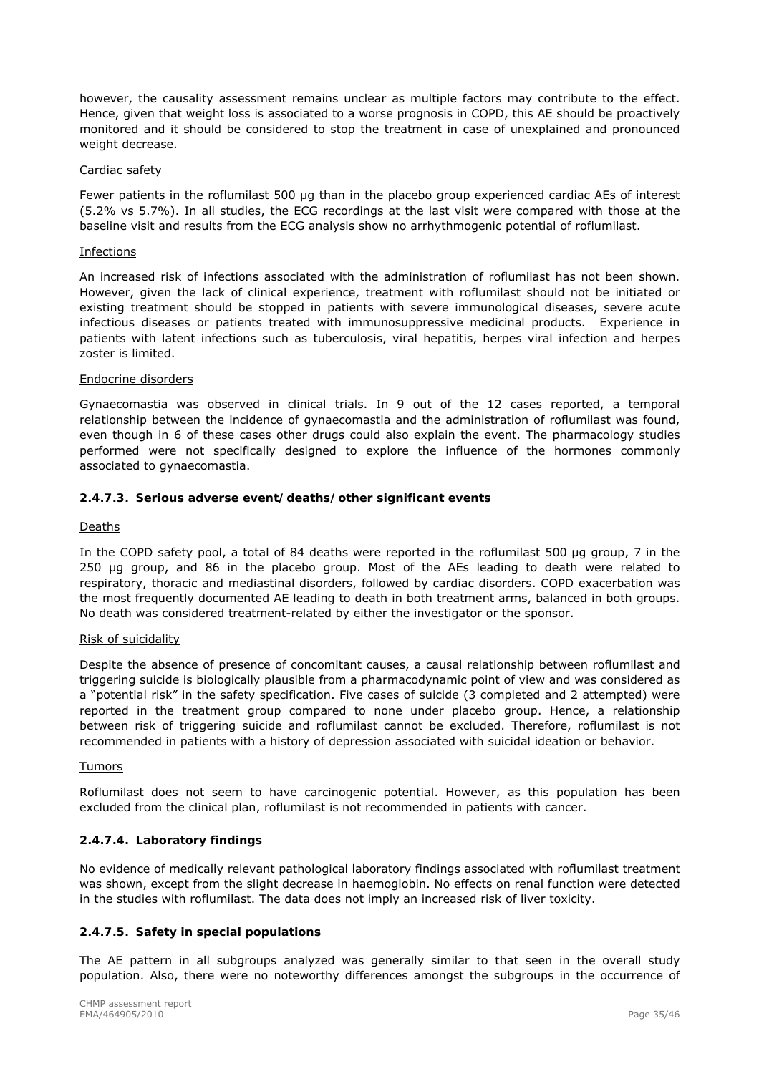however, the causality assessment remains unclear as multiple factors may contribute to the effect. Hence, given that weight loss is associated to a worse prognosis in COPD, this AE should be proactively monitored and it should be considered to stop the treatment in case of unexplained and pronounced weight decrease.

#### Cardiac safety

Fewer patients in the roflumilast 500 μg than in the placebo group experienced cardiac AEs of interest (5.2% vs 5.7%). In all studies, the ECG recordings at the last visit were compared with those at the baseline visit and results from the ECG analysis show no arrhythmogenic potential of roflumilast.

#### Infections

An increased risk of infections associated with the administration of roflumilast has not been shown. However, given the lack of clinical experience, treatment with roflumilast should not be initiated or existing treatment should be stopped in patients with severe immunological diseases, severe acute infectious diseases or patients treated with immunosuppressive medicinal products. Experience in patients with latent infections such as tuberculosis, viral hepatitis, herpes viral infection and herpes zoster is limited.

#### Endocrine disorders

Gynaecomastia was observed in clinical trials. In 9 out of the 12 cases reported, a temporal relationship between the incidence of gynaecomastia and the administration of roflumilast was found, even though in 6 of these cases other drugs could also explain the event. The pharmacology studies performed were not specifically designed to explore the influence of the hormones commonly associated to gynaecomastia.

### *2.4.7.3. Serious adverse event/deaths/other significant events*

#### Deaths

In the COPD safety pool, a total of 84 deaths were reported in the roflumilast 500 μg group, 7 in the 250 μg group, and 86 in the placebo group. Most of the AEs leading to death were related to respiratory, thoracic and mediastinal disorders, followed by cardiac disorders. COPD exacerbation was the most frequently documented AE leading to death in both treatment arms, balanced in both groups. No death was considered treatment-related by either the investigator or the sponsor.

#### Risk of suicidality

Despite the absence of presence of concomitant causes, a causal relationship between roflumilast and triggering suicide is biologically plausible from a pharmacodynamic point of view and was considered as a "potential risk" in the safety specification. Five cases of suicide (3 completed and 2 attempted) were reported in the treatment group compared to none under placebo group. Hence, a relationship between risk of triggering suicide and roflumilast cannot be excluded. Therefore, roflumilast is not recommended in patients with a history of depression associated with suicidal ideation or behavior.

#### Tumors

Roflumilast does not seem to have carcinogenic potential. However, as this population has been excluded from the clinical plan, roflumilast is not recommended in patients with cancer.

### *2.4.7.4. Laboratory findings*

No evidence of medically relevant pathological laboratory findings associated with roflumilast treatment was shown, except from the slight decrease in haemoglobin. No effects on renal function were detected in the studies with roflumilast. The data does not imply an increased risk of liver toxicity.

### *2.4.7.5. Safety in special populations*

The AE pattern in all subgroups analyzed was generally similar to that seen in the overall study population. Also, there were no noteworthy differences amongst the subgroups in the occurrence of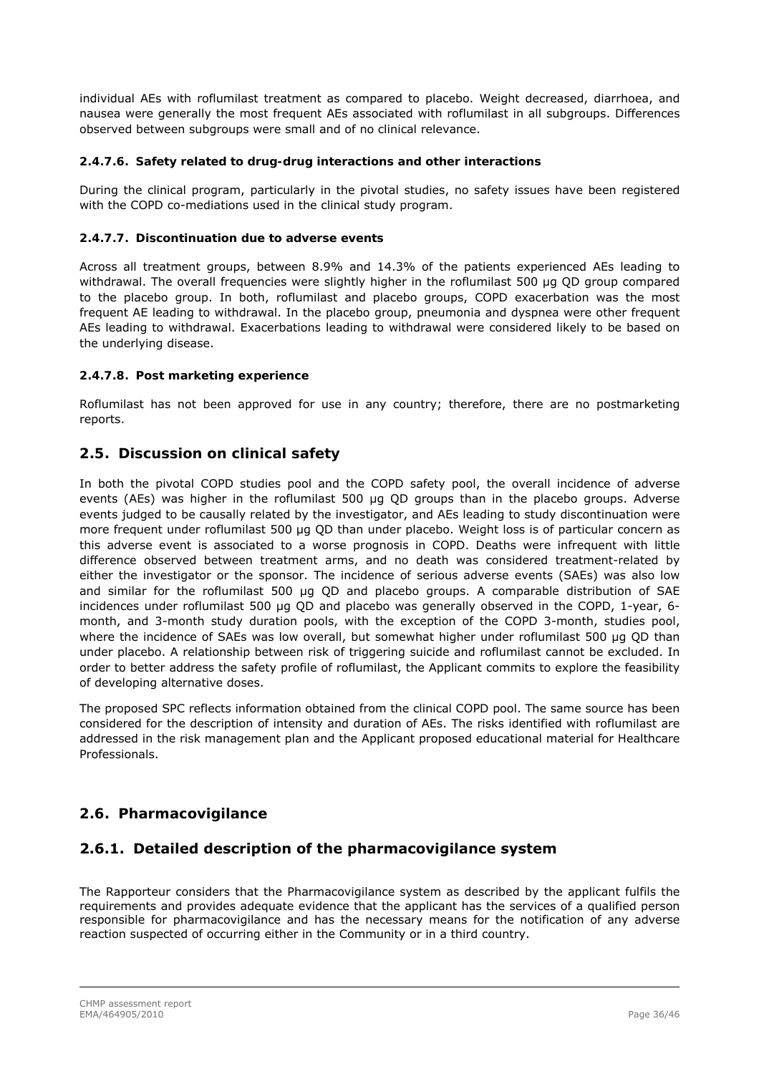individual AEs with roflumilast treatment as compared to placebo. Weight decreased, diarrhoea, and nausea were generally the most frequent AEs associated with roflumilast in all subgroups. Differences observed between subgroups were small and of no clinical relevance.

### *2.4.7.6. Safety related to drug-drug interactions and other interactions*

During the clinical program, particularly in the pivotal studies, no safety issues have been registered with the COPD co-mediations used in the clinical study program.

### *2.4.7.7. Discontinuation due to adverse events*

Across all treatment groups, between 8.9% and 14.3% of the patients experienced AEs leading to withdrawal. The overall frequencies were slightly higher in the roflumilast 500 μg QD group compared to the placebo group. In both, roflumilast and placebo groups, COPD exacerbation was the most frequent AE leading to withdrawal. In the placebo group, pneumonia and dyspnea were other frequent AEs leading to withdrawal. Exacerbations leading to withdrawal were considered likely to be based on the underlying disease.

#### *2.4.7.8. Post marketing experience*

Roflumilast has not been approved for use in any country; therefore, there are no postmarketing reports.

### <span id="page-35-0"></span>*2.5. Discussion on clinical safety*

In both the pivotal COPD studies pool and the COPD safety pool, the overall incidence of adverse events (AEs) was higher in the roflumilast 500 μg QD groups than in the placebo groups. Adverse events judged to be causally related by the investigator, and AEs leading to study discontinuation were more frequent under roflumilast 500 μg OD than under placebo. Weight loss is of particular concern as this adverse event is associated to a worse prognosis in COPD. Deaths were infrequent with little difference observed between treatment arms, and no death was considered treatment-related by either the investigator or the sponsor. The incidence of serious adverse events (SAEs) was also low and similar for the roflumilast 500 μg QD and placebo groups. A comparable distribution of SAE incidences under roflumilast 500 μg QD and placebo was generally observed in the COPD, 1-year, 6 month, and 3-month study duration pools, with the exception of the COPD 3-month, studies pool, where the incidence of SAEs was low overall, but somewhat higher under roflumilast 500 µg OD than under placebo. A relationship between risk of triggering suicide and roflumilast cannot be excluded. In order to better address the safety profile of roflumilast, the Applicant commits to explore the feasibility of developing alternative doses.

The proposed SPC reflects information obtained from the clinical COPD pool. The same source has been considered for the description of intensity and duration of AEs. The risks identified with roflumilast are addressed in the risk management plan and the Applicant proposed educational material for Healthcare Professionals.

### <span id="page-35-1"></span>*2.6. Pharmacovigilance*

### **2.6.1. Detailed description of the pharmacovigilance system**

The Rapporteur considers that the Pharmacovigilance system as described by the applicant fulfils the requirements and provides adequate evidence that the applicant has the services of a qualified person responsible for pharmacovigilance and has the necessary means for the notification of any adverse reaction suspected of occurring either in the Community or in a third country.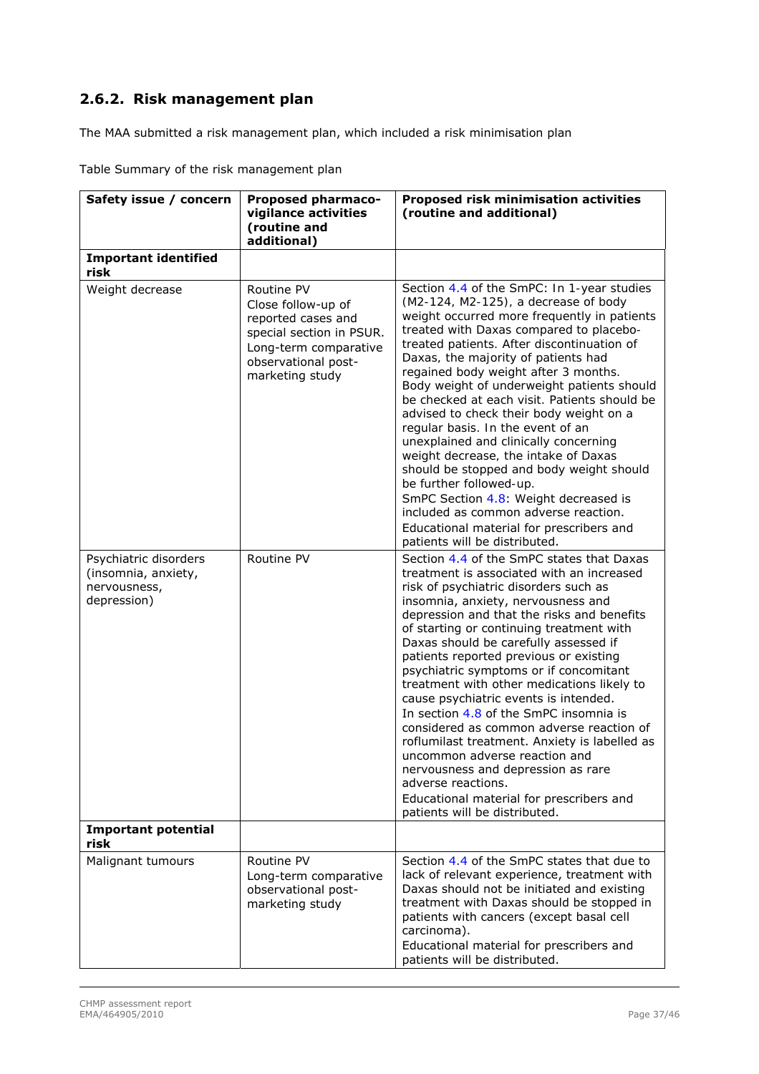# **2.6.2. Risk management plan**

The MAA submitted a risk management plan, which included a risk minimisation plan

| Safety issue / concern                                                      | <b>Proposed pharmaco-</b><br>vigilance activities<br>(routine and<br>additional)                                                                      | <b>Proposed risk minimisation activities</b><br>(routine and additional)                                                                                                                                                                                                                                                                                                                                                                                                                                                                                                                                                                                                                                                                                                                                         |
|-----------------------------------------------------------------------------|-------------------------------------------------------------------------------------------------------------------------------------------------------|------------------------------------------------------------------------------------------------------------------------------------------------------------------------------------------------------------------------------------------------------------------------------------------------------------------------------------------------------------------------------------------------------------------------------------------------------------------------------------------------------------------------------------------------------------------------------------------------------------------------------------------------------------------------------------------------------------------------------------------------------------------------------------------------------------------|
| <b>Important identified</b><br>risk                                         |                                                                                                                                                       |                                                                                                                                                                                                                                                                                                                                                                                                                                                                                                                                                                                                                                                                                                                                                                                                                  |
| Weight decrease                                                             | Routine PV<br>Close follow-up of<br>reported cases and<br>special section in PSUR.<br>Long-term comparative<br>observational post-<br>marketing study | Section 4.4 of the SmPC: In 1-year studies<br>$(M2-124, M2-125)$ , a decrease of body<br>weight occurred more frequently in patients<br>treated with Daxas compared to placebo-<br>treated patients. After discontinuation of<br>Daxas, the majority of patients had<br>regained body weight after 3 months.<br>Body weight of underweight patients should<br>be checked at each visit. Patients should be<br>advised to check their body weight on a<br>regular basis. In the event of an<br>unexplained and clinically concerning<br>weight decrease, the intake of Daxas<br>should be stopped and body weight should<br>be further followed-up.<br>SmPC Section 4.8: Weight decreased is<br>included as common adverse reaction.<br>Educational material for prescribers and<br>patients will be distributed. |
| Psychiatric disorders<br>(insomnia, anxiety,<br>nervousness,<br>depression) | Routine PV                                                                                                                                            | Section 4.4 of the SmPC states that Daxas<br>treatment is associated with an increased<br>risk of psychiatric disorders such as<br>insomnia, anxiety, nervousness and<br>depression and that the risks and benefits<br>of starting or continuing treatment with<br>Daxas should be carefully assessed if<br>patients reported previous or existing<br>psychiatric symptoms or if concomitant<br>treatment with other medications likely to<br>cause psychiatric events is intended.<br>In section 4.8 of the SmPC insomnia is<br>considered as common adverse reaction of<br>roflumilast treatment. Anxiety is labelled as<br>uncommon adverse reaction and<br>nervousness and depression as rare<br>adverse reactions.<br>Educational material for prescribers and<br>patients will be distributed.             |
| <b>Important potential</b><br>risk                                          |                                                                                                                                                       |                                                                                                                                                                                                                                                                                                                                                                                                                                                                                                                                                                                                                                                                                                                                                                                                                  |
| Malignant tumours                                                           | Routine PV<br>Long-term comparative<br>observational post-<br>marketing study                                                                         | Section 4.4 of the SmPC states that due to<br>lack of relevant experience, treatment with<br>Daxas should not be initiated and existing<br>treatment with Daxas should be stopped in<br>patients with cancers (except basal cell<br>carcinoma).<br>Educational material for prescribers and<br>patients will be distributed.                                                                                                                                                                                                                                                                                                                                                                                                                                                                                     |

Table Summary of the risk management plan

 $\mathbf{r}$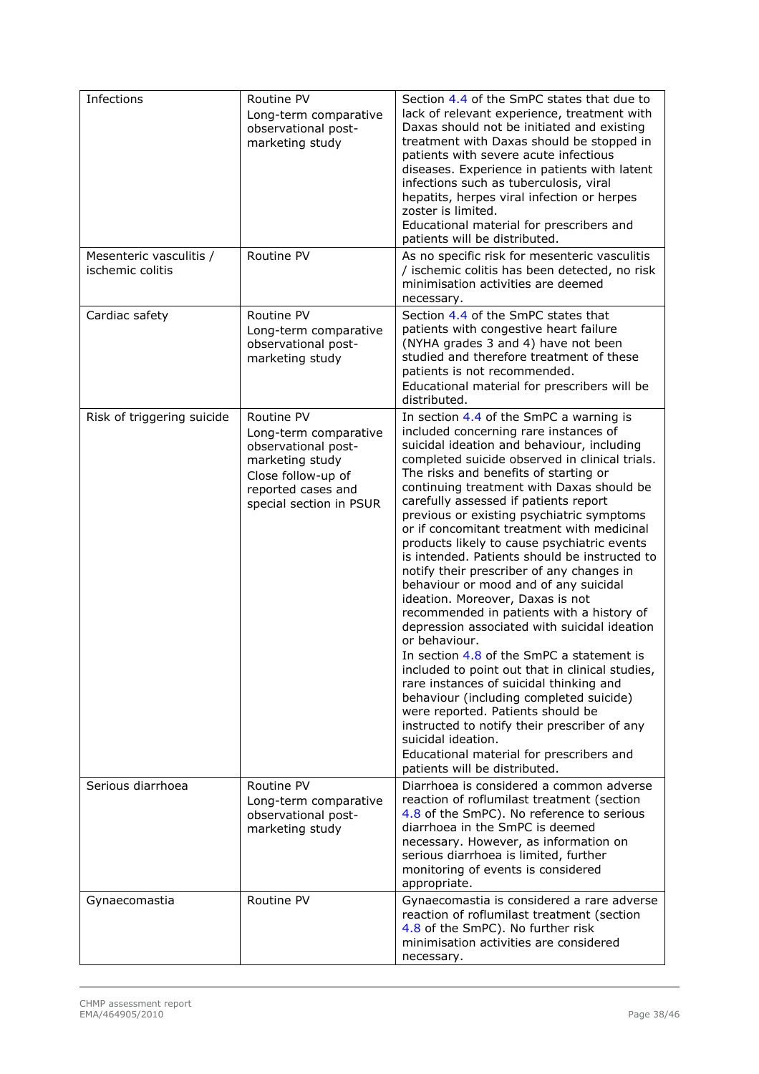| Infections                                  | Routine PV<br>Long-term comparative<br>observational post-<br>marketing study                                                                        | Section 4.4 of the SmPC states that due to<br>lack of relevant experience, treatment with<br>Daxas should not be initiated and existing<br>treatment with Daxas should be stopped in<br>patients with severe acute infectious<br>diseases. Experience in patients with latent<br>infections such as tuberculosis, viral<br>hepatits, herpes viral infection or herpes<br>zoster is limited.<br>Educational material for prescribers and<br>patients will be distributed.                                                                                                                                                                                                                                                                                                                                                                                                                                                                                                                                                                                                                                                         |
|---------------------------------------------|------------------------------------------------------------------------------------------------------------------------------------------------------|----------------------------------------------------------------------------------------------------------------------------------------------------------------------------------------------------------------------------------------------------------------------------------------------------------------------------------------------------------------------------------------------------------------------------------------------------------------------------------------------------------------------------------------------------------------------------------------------------------------------------------------------------------------------------------------------------------------------------------------------------------------------------------------------------------------------------------------------------------------------------------------------------------------------------------------------------------------------------------------------------------------------------------------------------------------------------------------------------------------------------------|
| Mesenteric vasculitis /<br>ischemic colitis | Routine PV                                                                                                                                           | As no specific risk for mesenteric vasculitis<br>/ ischemic colitis has been detected, no risk<br>minimisation activities are deemed<br>necessary.                                                                                                                                                                                                                                                                                                                                                                                                                                                                                                                                                                                                                                                                                                                                                                                                                                                                                                                                                                               |
| Cardiac safety                              | Routine PV<br>Long-term comparative<br>observational post-<br>marketing study                                                                        | Section 4.4 of the SmPC states that<br>patients with congestive heart failure<br>(NYHA grades 3 and 4) have not been<br>studied and therefore treatment of these<br>patients is not recommended.<br>Educational material for prescribers will be<br>distributed.                                                                                                                                                                                                                                                                                                                                                                                                                                                                                                                                                                                                                                                                                                                                                                                                                                                                 |
| Risk of triggering suicide                  | Routine PV<br>Long-term comparative<br>observational post-<br>marketing study<br>Close follow-up of<br>reported cases and<br>special section in PSUR | In section 4.4 of the SmPC a warning is<br>included concerning rare instances of<br>suicidal ideation and behaviour, including<br>completed suicide observed in clinical trials.<br>The risks and benefits of starting or<br>continuing treatment with Daxas should be<br>carefully assessed if patients report<br>previous or existing psychiatric symptoms<br>or if concomitant treatment with medicinal<br>products likely to cause psychiatric events<br>is intended. Patients should be instructed to<br>notify their prescriber of any changes in<br>behaviour or mood and of any suicidal<br>ideation. Moreover, Daxas is not<br>recommended in patients with a history of<br>depression associated with suicidal ideation<br>or behaviour.<br>In section 4.8 of the SmPC a statement is<br>included to point out that in clinical studies,<br>rare instances of suicidal thinking and<br>behaviour (including completed suicide)<br>were reported. Patients should be<br>instructed to notify their prescriber of any<br>suicidal ideation.<br>Educational material for prescribers and<br>patients will be distributed. |
| Serious diarrhoea                           | Routine PV<br>Long-term comparative<br>observational post-<br>marketing study                                                                        | Diarrhoea is considered a common adverse<br>reaction of roflumilast treatment (section<br>4.8 of the SmPC). No reference to serious<br>diarrhoea in the SmPC is deemed<br>necessary. However, as information on<br>serious diarrhoea is limited, further<br>monitoring of events is considered<br>appropriate.                                                                                                                                                                                                                                                                                                                                                                                                                                                                                                                                                                                                                                                                                                                                                                                                                   |
| Gynaecomastia                               | Routine PV                                                                                                                                           | Gynaecomastia is considered a rare adverse<br>reaction of roflumilast treatment (section<br>4.8 of the SmPC). No further risk<br>minimisation activities are considered<br>necessary.                                                                                                                                                                                                                                                                                                                                                                                                                                                                                                                                                                                                                                                                                                                                                                                                                                                                                                                                            |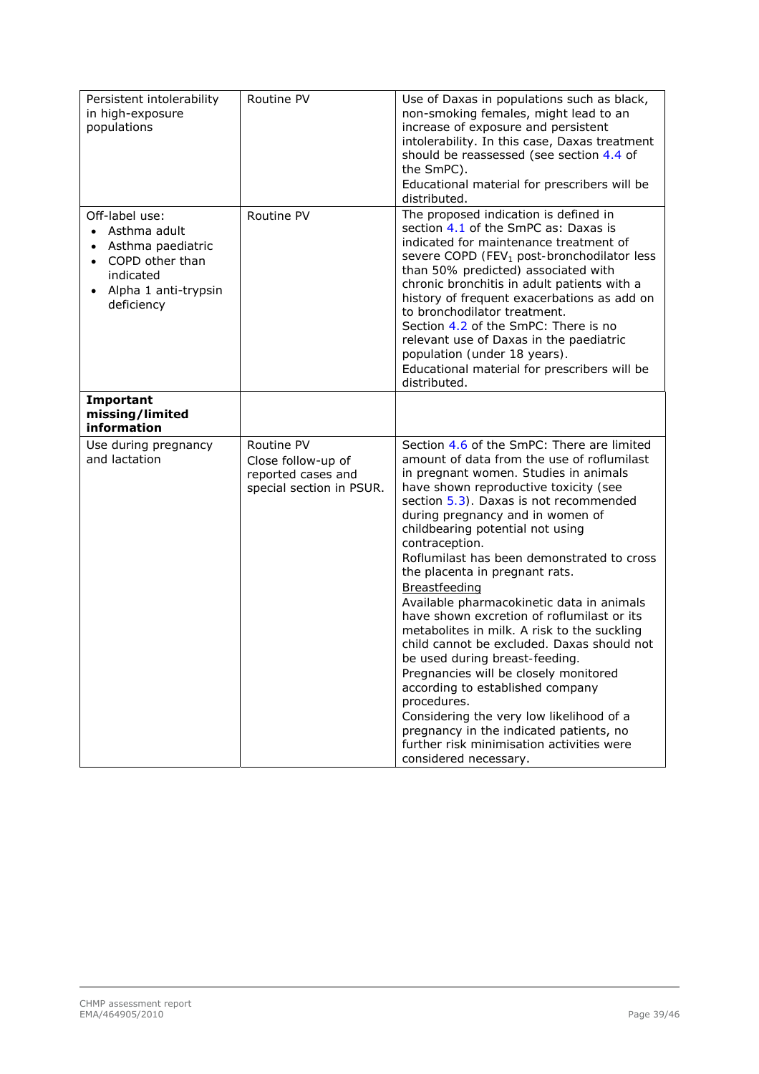| Persistent intolerability<br>in high-exposure<br>populations                                                                           | Routine PV                                                                         | Use of Daxas in populations such as black,<br>non-smoking females, might lead to an<br>increase of exposure and persistent<br>intolerability. In this case, Daxas treatment<br>should be reassessed (see section 4.4 of<br>the SmPC).<br>Educational material for prescribers will be<br>distributed.                                                                                                                                                                                                                                                                                                                                                                                                                                                                                                                                                                                                     |
|----------------------------------------------------------------------------------------------------------------------------------------|------------------------------------------------------------------------------------|-----------------------------------------------------------------------------------------------------------------------------------------------------------------------------------------------------------------------------------------------------------------------------------------------------------------------------------------------------------------------------------------------------------------------------------------------------------------------------------------------------------------------------------------------------------------------------------------------------------------------------------------------------------------------------------------------------------------------------------------------------------------------------------------------------------------------------------------------------------------------------------------------------------|
| Off-label use:<br>Asthma adult<br>$\bullet$<br>Asthma paediatric<br>COPD other than<br>indicated<br>Alpha 1 anti-trypsin<br>deficiency | Routine PV                                                                         | The proposed indication is defined in<br>section 4.1 of the SmPC as: Daxas is<br>indicated for maintenance treatment of<br>severe COPD (FEV <sub>1</sub> post-bronchodilator less<br>than 50% predicted) associated with<br>chronic bronchitis in adult patients with a<br>history of frequent exacerbations as add on<br>to bronchodilator treatment.<br>Section 4.2 of the SmPC: There is no<br>relevant use of Daxas in the paediatric<br>population (under 18 years).<br>Educational material for prescribers will be<br>distributed.                                                                                                                                                                                                                                                                                                                                                                 |
| Important<br>missing/limited<br>information                                                                                            |                                                                                    |                                                                                                                                                                                                                                                                                                                                                                                                                                                                                                                                                                                                                                                                                                                                                                                                                                                                                                           |
| Use during pregnancy<br>and lactation                                                                                                  | Routine PV<br>Close follow-up of<br>reported cases and<br>special section in PSUR. | Section 4.6 of the SmPC: There are limited<br>amount of data from the use of roflumilast<br>in pregnant women. Studies in animals<br>have shown reproductive toxicity (see<br>section 5.3). Daxas is not recommended<br>during pregnancy and in women of<br>childbearing potential not using<br>contraception.<br>Roflumilast has been demonstrated to cross<br>the placenta in pregnant rats.<br><b>Breastfeeding</b><br>Available pharmacokinetic data in animals<br>have shown excretion of roflumilast or its<br>metabolites in milk. A risk to the suckling<br>child cannot be excluded. Daxas should not<br>be used during breast-feeding.<br>Pregnancies will be closely monitored<br>according to established company<br>procedures.<br>Considering the very low likelihood of a<br>pregnancy in the indicated patients, no<br>further risk minimisation activities were<br>considered necessary. |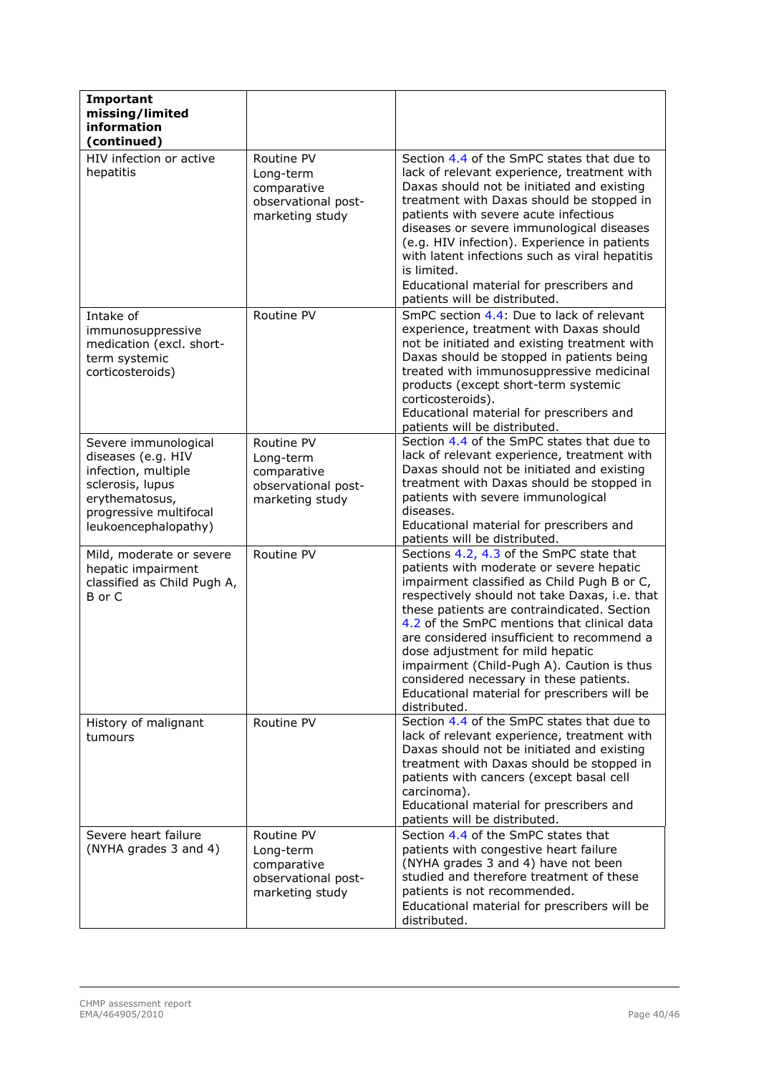| Important<br>missing/limited<br>information<br>(continued)                                                                                                |                                                                                  |                                                                                                                                                                                                                                                                                                                                                                                                                                                                                                                               |
|-----------------------------------------------------------------------------------------------------------------------------------------------------------|----------------------------------------------------------------------------------|-------------------------------------------------------------------------------------------------------------------------------------------------------------------------------------------------------------------------------------------------------------------------------------------------------------------------------------------------------------------------------------------------------------------------------------------------------------------------------------------------------------------------------|
| HIV infection or active<br>hepatitis                                                                                                                      | Routine PV<br>Long-term<br>comparative<br>observational post-<br>marketing study | Section 4.4 of the SmPC states that due to<br>lack of relevant experience, treatment with<br>Daxas should not be initiated and existing<br>treatment with Daxas should be stopped in<br>patients with severe acute infectious<br>diseases or severe immunological diseases<br>(e.g. HIV infection). Experience in patients<br>with latent infections such as viral hepatitis<br>is limited.<br>Educational material for prescribers and<br>patients will be distributed.                                                      |
| Intake of<br>immunosuppressive<br>medication (excl. short-<br>term systemic<br>corticosteroids)                                                           | Routine PV                                                                       | SmPC section 4.4: Due to lack of relevant<br>experience, treatment with Daxas should<br>not be initiated and existing treatment with<br>Daxas should be stopped in patients being<br>treated with immunosuppressive medicinal<br>products (except short-term systemic<br>corticosteroids).<br>Educational material for prescribers and<br>patients will be distributed.                                                                                                                                                       |
| Severe immunological<br>diseases (e.g. HIV<br>infection, multiple<br>sclerosis, lupus<br>erythematosus,<br>progressive multifocal<br>leukoencephalopathy) | Routine PV<br>Long-term<br>comparative<br>observational post-<br>marketing study | Section 4.4 of the SmPC states that due to<br>lack of relevant experience, treatment with<br>Daxas should not be initiated and existing<br>treatment with Daxas should be stopped in<br>patients with severe immunological<br>diseases.<br>Educational material for prescribers and<br>patients will be distributed.                                                                                                                                                                                                          |
| Mild, moderate or severe<br>hepatic impairment<br>classified as Child Pugh A,<br>B or C                                                                   | Routine PV                                                                       | Sections 4.2, 4.3 of the SmPC state that<br>patients with moderate or severe hepatic<br>impairment classified as Child Pugh B or C,<br>respectively should not take Daxas, i.e. that<br>these patients are contraindicated. Section<br>4.2 of the SmPC mentions that clinical data<br>are considered insufficient to recommend a<br>dose adjustment for mild hepatic<br>impairment (Child-Pugh A). Caution is thus<br>considered necessary in these patients.<br>Educational material for prescribers will be<br>distributed. |
| History of malignant<br>tumours                                                                                                                           | Routine PV                                                                       | Section 4.4 of the SmPC states that due to<br>lack of relevant experience, treatment with<br>Daxas should not be initiated and existing<br>treatment with Daxas should be stopped in<br>patients with cancers (except basal cell<br>carcinoma).<br>Educational material for prescribers and<br>patients will be distributed.                                                                                                                                                                                                  |
| Severe heart failure<br>(NYHA grades 3 and 4)                                                                                                             | Routine PV<br>Long-term<br>comparative<br>observational post-<br>marketing study | Section 4.4 of the SmPC states that<br>patients with congestive heart failure<br>(NYHA grades 3 and 4) have not been<br>studied and therefore treatment of these<br>patients is not recommended.<br>Educational material for prescribers will be<br>distributed.                                                                                                                                                                                                                                                              |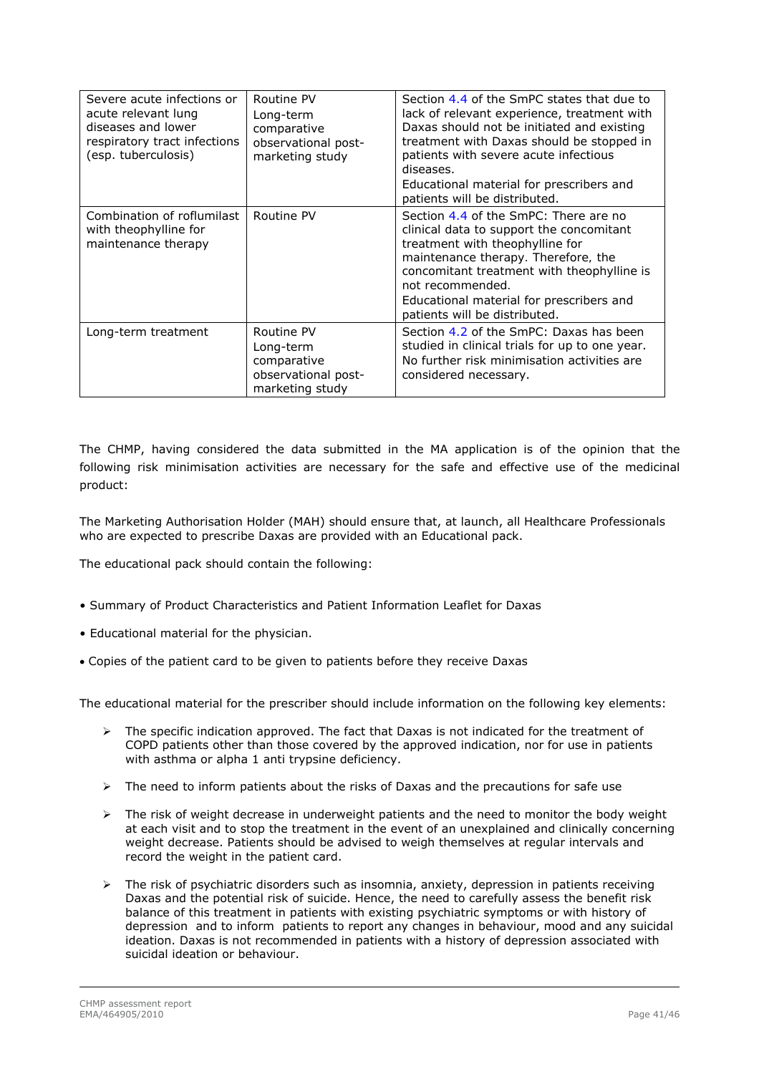| Severe acute infections or<br>acute relevant lung<br>diseases and lower<br>respiratory tract infections<br>(esp. tuberculosis) | Routine PV<br>Long-term<br>comparative<br>observational post-<br>marketing study | Section 4.4 of the SmPC states that due to<br>lack of relevant experience, treatment with<br>Daxas should not be initiated and existing<br>treatment with Daxas should be stopped in<br>patients with severe acute infectious<br>diseases.<br>Educational material for prescribers and<br>patients will be distributed. |
|--------------------------------------------------------------------------------------------------------------------------------|----------------------------------------------------------------------------------|-------------------------------------------------------------------------------------------------------------------------------------------------------------------------------------------------------------------------------------------------------------------------------------------------------------------------|
| Combination of roflumilast<br>with theophylline for<br>maintenance therapy                                                     | Routine PV                                                                       | Section 4.4 of the SmPC: There are no<br>clinical data to support the concomitant<br>treatment with theophylline for<br>maintenance therapy. Therefore, the<br>concomitant treatment with theophylline is<br>not recommended.<br>Educational material for prescribers and<br>patients will be distributed.              |
| Long-term treatment                                                                                                            | Routine PV<br>Long-term<br>comparative<br>observational post-<br>marketing study | Section 4.2 of the SmPC: Daxas has been<br>studied in clinical trials for up to one year.<br>No further risk minimisation activities are<br>considered necessary.                                                                                                                                                       |

The CHMP, having considered the data submitted in the MA application is of the opinion that the following risk minimisation activities are necessary for the safe and effective use of the medicinal product:

The Marketing Authorisation Holder (MAH) should ensure that, at launch, all Healthcare Professionals who are expected to prescribe Daxas are provided with an Educational pack.

The educational pack should contain the following:

- Summary of Product Characteristics and Patient Information Leaflet for Daxas
- Educational material for the physician.
- Copies of the patient card to be given to patients before they receive Daxas

The educational material for the prescriber should include information on the following key elements:

- $\triangleright$  The specific indication approved. The fact that Daxas is not indicated for the treatment of COPD patients other than those covered by the approved indication, nor for use in patients with asthma or alpha 1 anti trypsine deficiency.
- $\triangleright$  The need to inform patients about the risks of Daxas and the precautions for safe use
- $\triangleright$  The risk of weight decrease in underweight patients and the need to monitor the body weight at each visit and to stop the treatment in the event of an unexplained and clinically concerning weight decrease. Patients should be advised to weigh themselves at regular intervals and record the weight in the patient card.
- $\triangleright$  The risk of psychiatric disorders such as insomnia, anxiety, depression in patients receiving Daxas and the potential risk of suicide. Hence, the need to carefully assess the benefit risk balance of this treatment in patients with existing psychiatric symptoms or with history of depression and to inform patients to report any changes in behaviour, mood and any suicidal ideation. Daxas is not recommended in patients with a history of depression associated with suicidal ideation or behaviour.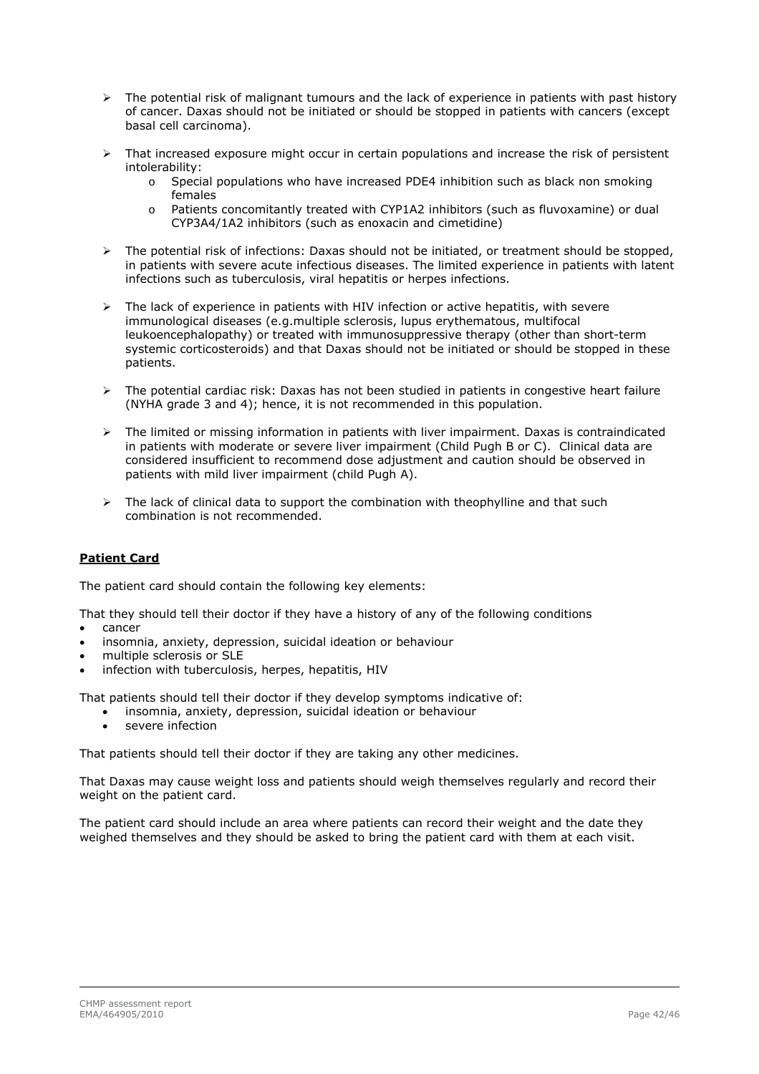- $\triangleright$  The potential risk of malignant tumours and the lack of experience in patients with past history of cancer. Daxas should not be initiated or should be stopped in patients with cancers (except basal cell carcinoma).
- $\triangleright$  That increased exposure might occur in certain populations and increase the risk of persistent intolerability:
	- o Special populations who have increased PDE4 inhibition such as black non smoking females
	- o Patients concomitantly treated with CYP1A2 inhibitors (such as fluvoxamine) or dual CYP3A4/1A2 inhibitors (such as enoxacin and cimetidine)
- > The potential risk of infections: Daxas should not be initiated, or treatment should be stopped, in patients with severe acute infectious diseases. The limited experience in patients with latent infections such as tuberculosis, viral hepatitis or herpes infections.
- $\triangleright$  The lack of experience in patients with HIV infection or active hepatitis, with severe immunological diseases (e.g.multiple sclerosis, lupus erythematous, multifocal leukoencephalopathy) or treated with immunosuppressive therapy (other than short-term systemic corticosteroids) and that Daxas should not be initiated or should be stopped in these patients.
- The potential cardiac risk: Daxas has not been studied in patients in congestive heart failure (NYHA grade 3 and 4); hence, it is not recommended in this population.
- $\triangleright$  The limited or missing information in patients with liver impairment. Daxas is contraindicated in patients with moderate or severe liver impairment (Child Pugh B or C). Clinical data are considered insufficient to recommend dose adjustment and caution should be observed in patients with mild liver impairment (child Pugh A).
- The lack of clinical data to support the combination with theophylline and that such combination is not recommended.

### **Patient Card**

The patient card should contain the following key elements:

That they should tell their doctor if they have a history of any of the following conditions

- cancer
- insomnia, anxiety, depression, suicidal ideation or behaviour
- multiple sclerosis or SLE
- infection with tuberculosis, herpes, hepatitis, HIV

That patients should tell their doctor if they develop symptoms indicative of:

- insomnia, anxiety, depression, suicidal ideation or behaviour
- severe infection

That patients should tell their doctor if they are taking any other medicines.

That Daxas may cause weight loss and patients should weigh themselves regularly and record their weight on the patient card.

The patient card should include an area where patients can record their weight and the date they weighed themselves and they should be asked to bring the patient card with them at each visit.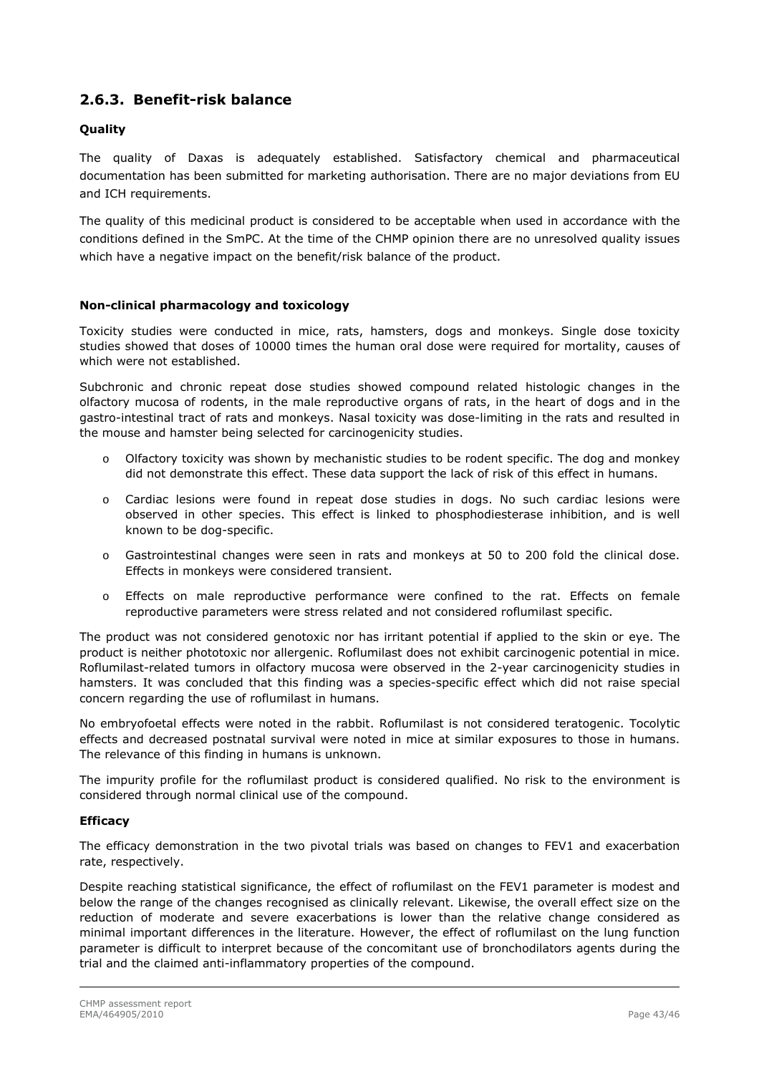# **2.6.3. Benefit-risk balance**

### **Quality**

The quality of Daxas is adequately established. Satisfactory chemical and pharmaceutical documentation has been submitted for marketing authorisation. There are no major deviations from EU and ICH requirements.

The quality of this medicinal product is considered to be acceptable when used in accordance with the conditions defined in the SmPC. At the time of the CHMP opinion there are no unresolved quality issues which have a negative impact on the benefit/risk balance of the product.

#### **Non-clinical pharmacology and toxicology**

Toxicity studies were conducted in mice, rats, hamsters, dogs and monkeys. Single dose toxicity studies showed that doses of 10000 times the human oral dose were required for mortality, causes of which were not established.

Subchronic and chronic repeat dose studies showed compound related histologic changes in the olfactory mucosa of rodents, in the male reproductive organs of rats, in the heart of dogs and in the gastro-intestinal tract of rats and monkeys. Nasal toxicity was dose-limiting in the rats and resulted in the mouse and hamster being selected for carcinogenicity studies.

- $\circ$  Olfactory toxicity was shown by mechanistic studies to be rodent specific. The dog and monkey did not demonstrate this effect. These data support the lack of risk of this effect in humans.
- o Cardiac lesions were found in repeat dose studies in dogs. No such cardiac lesions were observed in other species. This effect is linked to phosphodiesterase inhibition, and is well known to be dog-specific.
- o Gastrointestinal changes were seen in rats and monkeys at 50 to 200 fold the clinical dose. Effects in monkeys were considered transient.
- o Effects on male reproductive performance were confined to the rat. Effects on female reproductive parameters were stress related and not considered roflumilast specific.

The product was not considered genotoxic nor has irritant potential if applied to the skin or eye. The product is neither phototoxic nor allergenic. Roflumilast does not exhibit carcinogenic potential in mice. Roflumilast-related tumors in olfactory mucosa were observed in the 2-year carcinogenicity studies in hamsters. It was concluded that this finding was a species-specific effect which did not raise special concern regarding the use of roflumilast in humans.

No embryofoetal effects were noted in the rabbit. Roflumilast is not considered teratogenic. Tocolytic effects and decreased postnatal survival were noted in mice at similar exposures to those in humans. The relevance of this finding in humans is unknown.

The impurity profile for the roflumilast product is considered qualified. No risk to the environment is considered through normal clinical use of the compound.

#### **Efficacy**

The efficacy demonstration in the two pivotal trials was based on changes to FEV1 and exacerbation rate, respectively.

Despite reaching statistical significance, the effect of roflumilast on the FEV1 parameter is modest and below the range of the changes recognised as clinically relevant. Likewise, the overall effect size on the reduction of moderate and severe exacerbations is lower than the relative change considered as minimal important differences in the literature. However, the effect of roflumilast on the lung function parameter is difficult to interpret because of the concomitant use of bronchodilators agents during the trial and the claimed anti-inflammatory properties of the compound.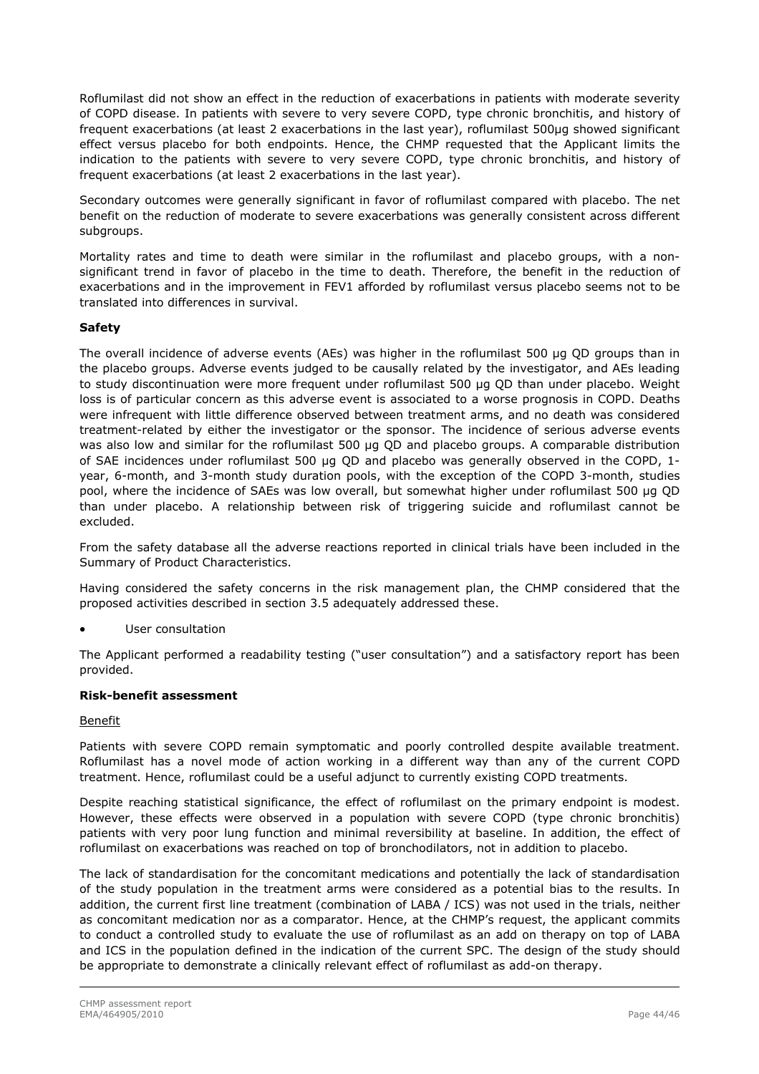Roflumilast did not show an effect in the reduction of exacerbations in patients with moderate severity of COPD disease. In patients with severe to very severe COPD, type chronic bronchitis, and history of frequent exacerbations (at least 2 exacerbations in the last year), roflumilast 500μg showed significant effect versus placebo for both endpoints. Hence, the CHMP requested that the Applicant limits the indication to the patients with severe to very severe COPD, type chronic bronchitis, and history of frequent exacerbations (at least 2 exacerbations in the last year).

Secondary outcomes were generally significant in favor of roflumilast compared with placebo. The net benefit on the reduction of moderate to severe exacerbations was generally consistent across different subgroups.

Mortality rates and time to death were similar in the roflumilast and placebo groups, with a nonsignificant trend in favor of placebo in the time to death. Therefore, the benefit in the reduction of exacerbations and in the improvement in FEV1 afforded by roflumilast versus placebo seems not to be translated into differences in survival.

### **Safety**

The overall incidence of adverse events (AEs) was higher in the roflumilast 500 μg QD groups than in the placebo groups. Adverse events judged to be causally related by the investigator, and AEs leading to study discontinuation were more frequent under roflumilast 500 μg QD than under placebo. Weight loss is of particular concern as this adverse event is associated to a worse prognosis in COPD. Deaths were infrequent with little difference observed between treatment arms, and no death was considered treatment-related by either the investigator or the sponsor. The incidence of serious adverse events was also low and similar for the roflumilast 500 μg QD and placebo groups. A comparable distribution of SAE incidences under roflumilast 500 μg QD and placebo was generally observed in the COPD, 1 year, 6-month, and 3-month study duration pools, with the exception of the COPD 3-month, studies pool, where the incidence of SAEs was low overall, but somewhat higher under roflumilast 500 μg QD than under placebo. A relationship between risk of triggering suicide and roflumilast cannot be excluded.

From the safety database all the adverse reactions reported in clinical trials have been included in the Summary of Product Characteristics.

Having considered the safety concerns in the risk management plan, the CHMP considered that the proposed activities described in section 3.5 adequately addressed these.

User consultation

The Applicant performed a readability testing ("user consultation") and a satisfactory report has been provided.

### **Risk-benefit assessment**

### Benefit

Patients with severe COPD remain symptomatic and poorly controlled despite available treatment. Roflumilast has a novel mode of action working in a different way than any of the current COPD treatment. Hence, roflumilast could be a useful adjunct to currently existing COPD treatments.

Despite reaching statistical significance, the effect of roflumilast on the primary endpoint is modest. However, these effects were observed in a population with severe COPD (type chronic bronchitis) patients with very poor lung function and minimal reversibility at baseline. In addition, the effect of roflumilast on exacerbations was reached on top of bronchodilators, not in addition to placebo.

The lack of standardisation for the concomitant medications and potentially the lack of standardisation of the study population in the treatment arms were considered as a potential bias to the results. In addition, the current first line treatment (combination of LABA / ICS) was not used in the trials, neither as concomitant medication nor as a comparator. Hence, at the CHMP's request, the applicant commits to conduct a controlled study to evaluate the use of roflumilast as an add on therapy on top of LABA and ICS in the population defined in the indication of the current SPC. The design of the study should be appropriate to demonstrate a clinically relevant effect of roflumilast as add-on therapy.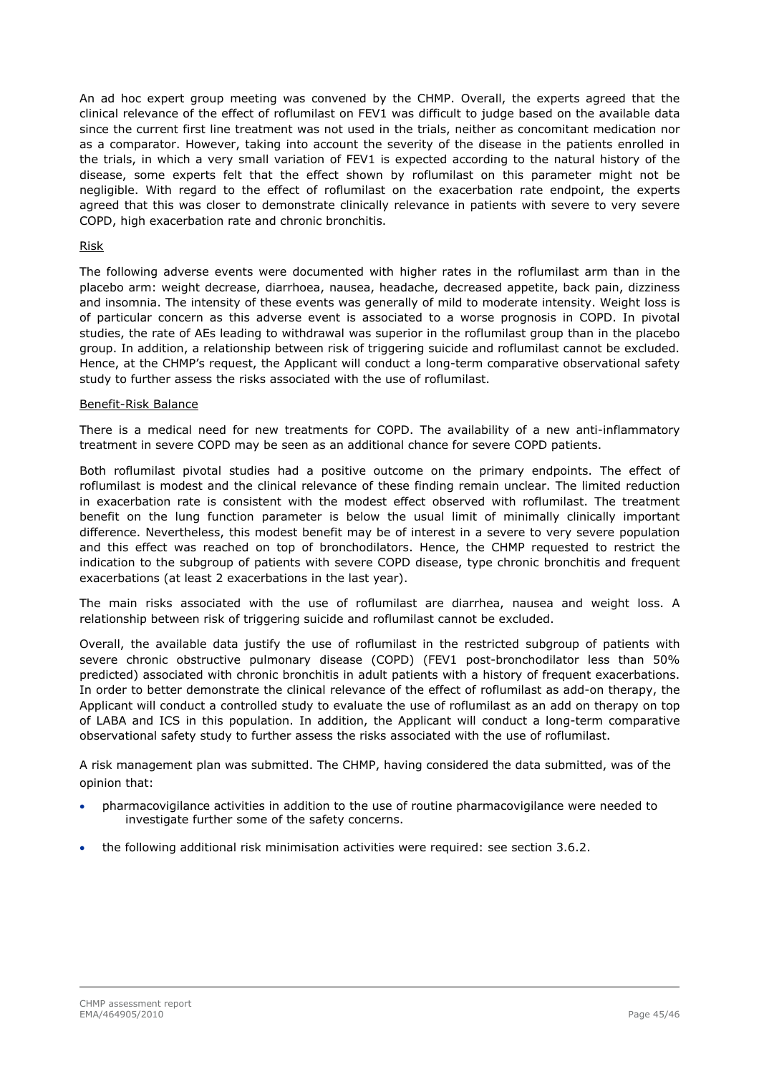An ad hoc expert group meeting was convened by the CHMP. Overall, the experts agreed that the clinical relevance of the effect of roflumilast on FEV1 was difficult to judge based on the available data since the current first line treatment was not used in the trials, neither as concomitant medication nor as a comparator. However, taking into account the severity of the disease in the patients enrolled in the trials, in which a very small variation of FEV1 is expected according to the natural history of the disease, some experts felt that the effect shown by roflumilast on this parameter might not be negligible. With regard to the effect of roflumilast on the exacerbation rate endpoint, the experts agreed that this was closer to demonstrate clinically relevance in patients with severe to very severe COPD, high exacerbation rate and chronic bronchitis.

#### Risk

The following adverse events were documented with higher rates in the roflumilast arm than in the placebo arm: weight decrease, diarrhoea, nausea, headache, decreased appetite, back pain, dizziness and insomnia. The intensity of these events was generally of mild to moderate intensity. Weight loss is of particular concern as this adverse event is associated to a worse prognosis in COPD. In pivotal studies, the rate of AEs leading to withdrawal was superior in the roflumilast group than in the placebo group. In addition, a relationship between risk of triggering suicide and roflumilast cannot be excluded. Hence, at the CHMP's request, the Applicant will conduct a long-term comparative observational safety study to further assess the risks associated with the use of roflumilast.

#### Benefit-Risk Balance

There is a medical need for new treatments for COPD. The availability of a new anti-inflammatory treatment in severe COPD may be seen as an additional chance for severe COPD patients.

Both roflumilast pivotal studies had a positive outcome on the primary endpoints. The effect of roflumilast is modest and the clinical relevance of these finding remain unclear. The limited reduction in exacerbation rate is consistent with the modest effect observed with roflumilast. The treatment benefit on the lung function parameter is below the usual limit of minimally clinically important difference. Nevertheless, this modest benefit may be of interest in a severe to very severe population and this effect was reached on top of bronchodilators. Hence, the CHMP requested to restrict the indication to the subgroup of patients with severe COPD disease, type chronic bronchitis and frequent exacerbations (at least 2 exacerbations in the last year).

The main risks associated with the use of roflumilast are diarrhea, nausea and weight loss. A relationship between risk of triggering suicide and roflumilast cannot be excluded.

Overall, the available data justify the use of roflumilast in the restricted subgroup of patients with severe chronic obstructive pulmonary disease (COPD) (FEV1 post-bronchodilator less than 50% predicted) associated with chronic bronchitis in adult patients with a history of frequent exacerbations. In order to better demonstrate the clinical relevance of the effect of roflumilast as add-on therapy, the Applicant will conduct a controlled study to evaluate the use of roflumilast as an add on therapy on top of LABA and ICS in this population. In addition, the Applicant will conduct a long-term comparative observational safety study to further assess the risks associated with the use of roflumilast.

A risk management plan was submitted. The CHMP, having considered the data submitted, was of the opinion that:

- pharmacovigilance activities in addition to the use of routine pharmacovigilance were needed to investigate further some of the safety concerns.
- the following additional risk minimisation activities were required: see section 3.6.2.